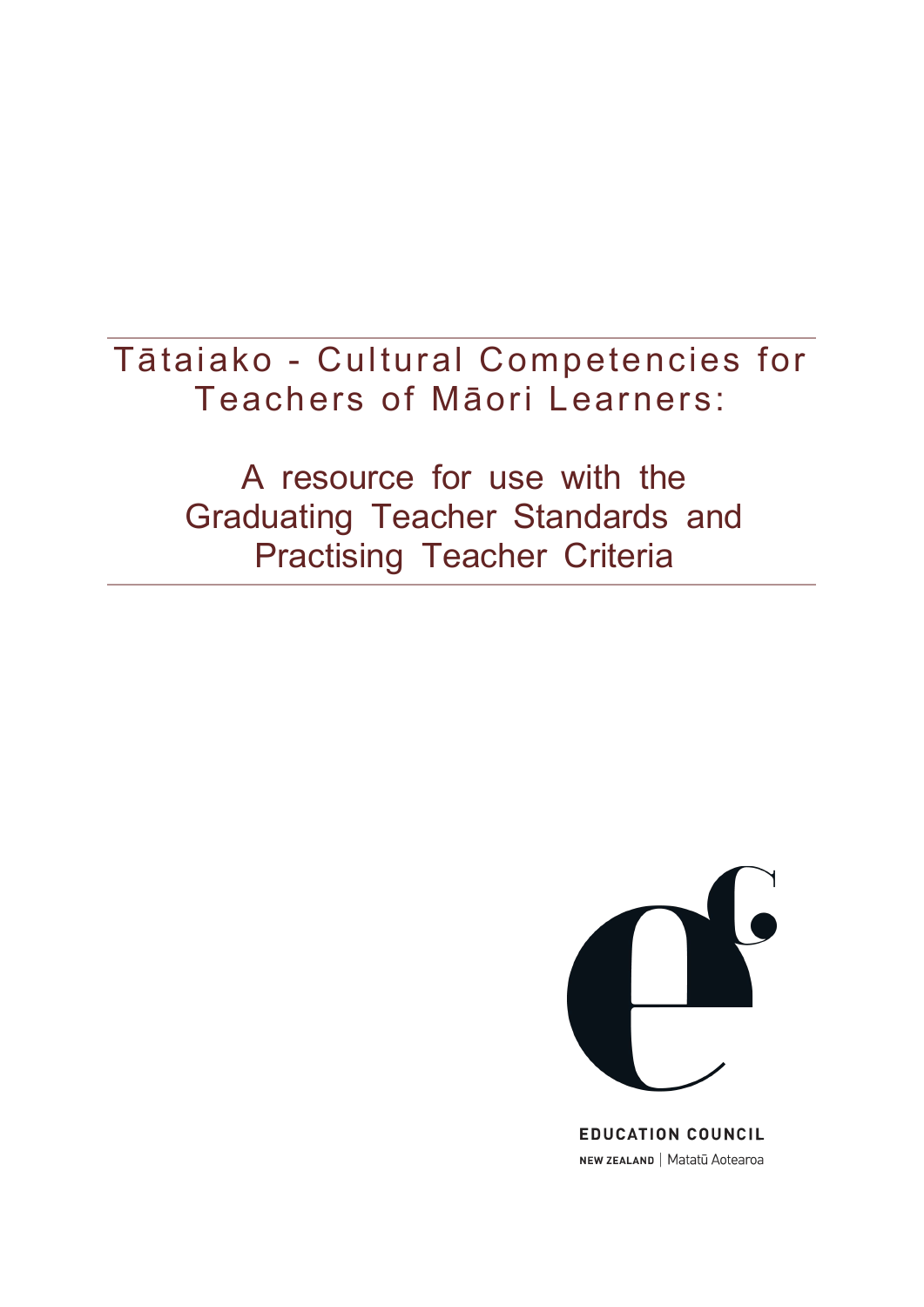Tātaiako - Cultural Competencies for Teachers of Māori Learners:

> A resource for use with the Graduating Teacher Standards and Practising Teacher Criteria



**EDUCATION COUNCIL** NEW ZEALAND | Matatū Aotearoa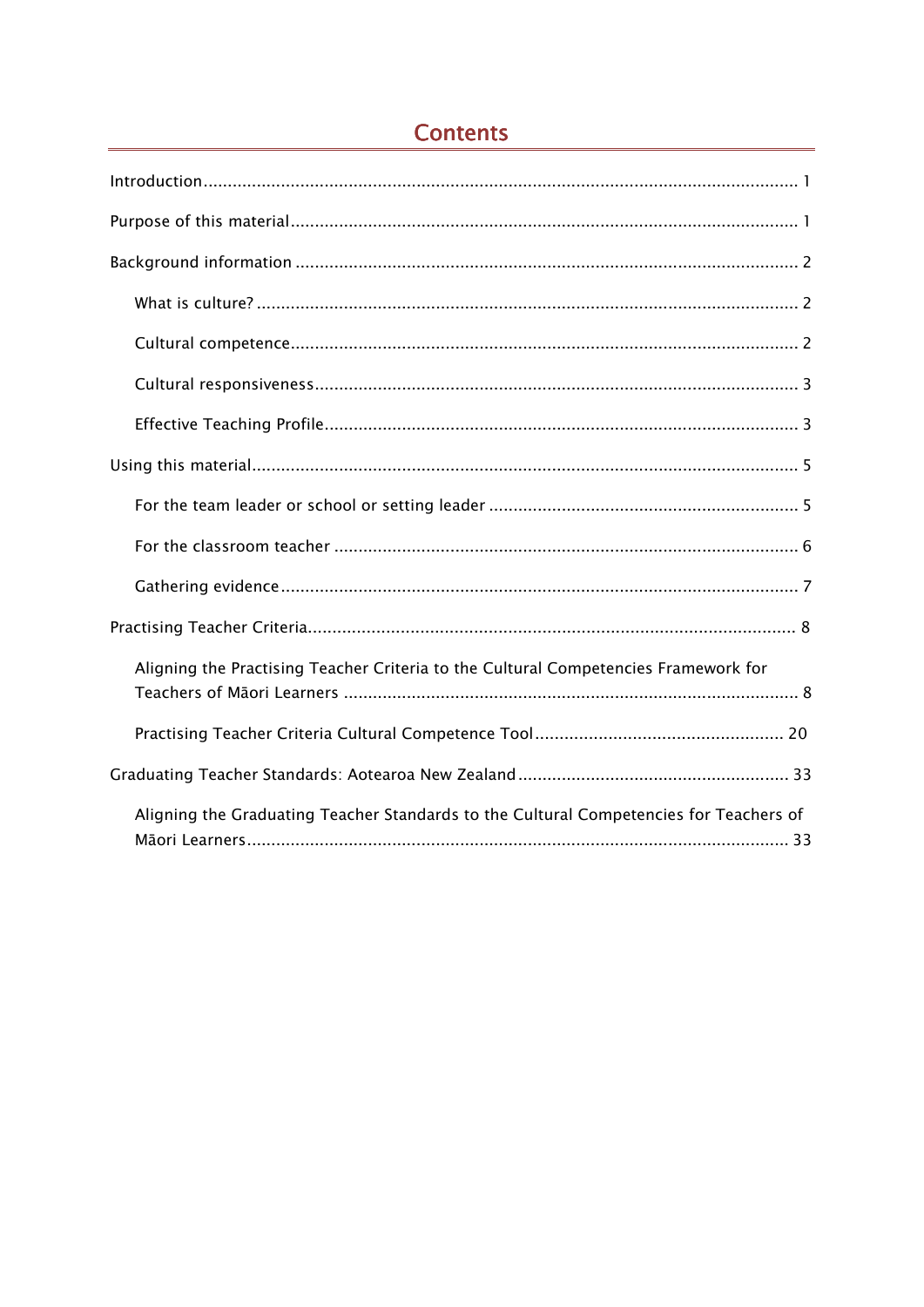| Aligning the Practising Teacher Criteria to the Cultural Competencies Framework for    |
|----------------------------------------------------------------------------------------|
|                                                                                        |
|                                                                                        |
| Aligning the Graduating Teacher Standards to the Cultural Competencies for Teachers of |

# **Contents**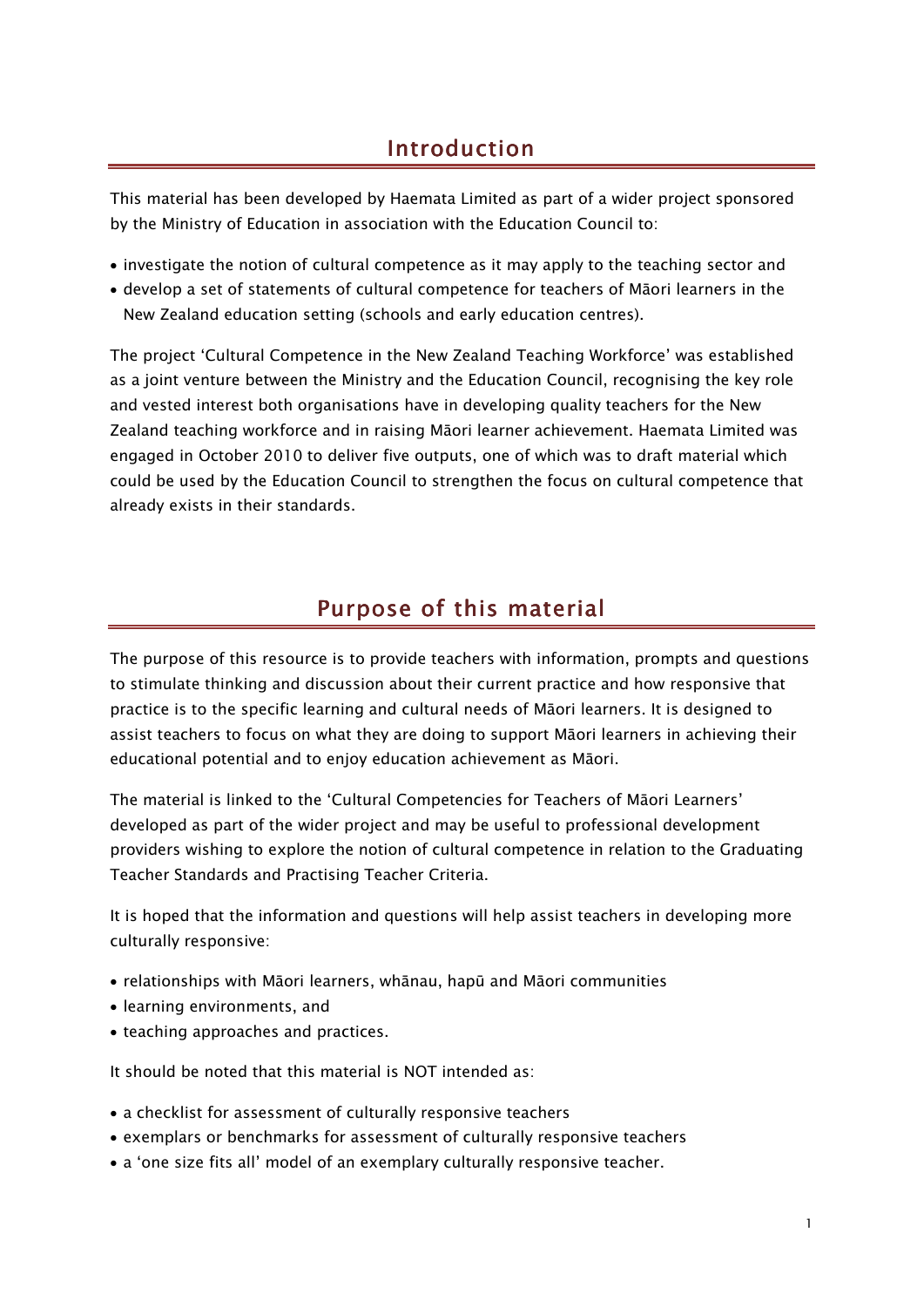## Introduction

This material has been developed by Haemata Limited as part of a wider project sponsored by the Ministry of Education in association with the Education Council to:

- investigate the notion of cultural competence as it may apply to the teaching sector and
- develop a set of statements of cultural competence for teachers of Māori learners in the New Zealand education setting (schools and early education centres).

The project 'Cultural Competence in the New Zealand Teaching Workforce' was established as a joint venture between the Ministry and the Education Council, recognising the key role and vested interest both organisations have in developing quality teachers for the New Zealand teaching workforce and in raising Māori learner achievement. Haemata Limited was engaged in October 2010 to deliver five outputs, one of which was to draft material which could be used by the Education Council to strengthen the focus on cultural competence that already exists in their standards.

## Purpose of this material

The purpose of this resource is to provide teachers with information, prompts and questions to stimulate thinking and discussion about their current practice and how responsive that practice is to the specific learning and cultural needs of Māori learners. It is designed to assist teachers to focus on what they are doing to support Māori learners in achieving their educational potential and to enjoy education achievement as Māori.

The material is linked to the 'Cultural Competencies for Teachers of Māori Learners' developed as part of the wider project and may be useful to professional development providers wishing to explore the notion of cultural competence in relation to the Graduating Teacher Standards and Practising Teacher Criteria.

It is hoped that the information and questions will help assist teachers in developing more culturally responsive:

- relationships with Māori learners, whānau, hapū and Māori communities
- learning environments, and
- teaching approaches and practices.

It should be noted that this material is NOT intended as:

- a checklist for assessment of culturally responsive teachers
- exemplars or benchmarks for assessment of culturally responsive teachers
- a 'one size fits all' model of an exemplary culturally responsive teacher.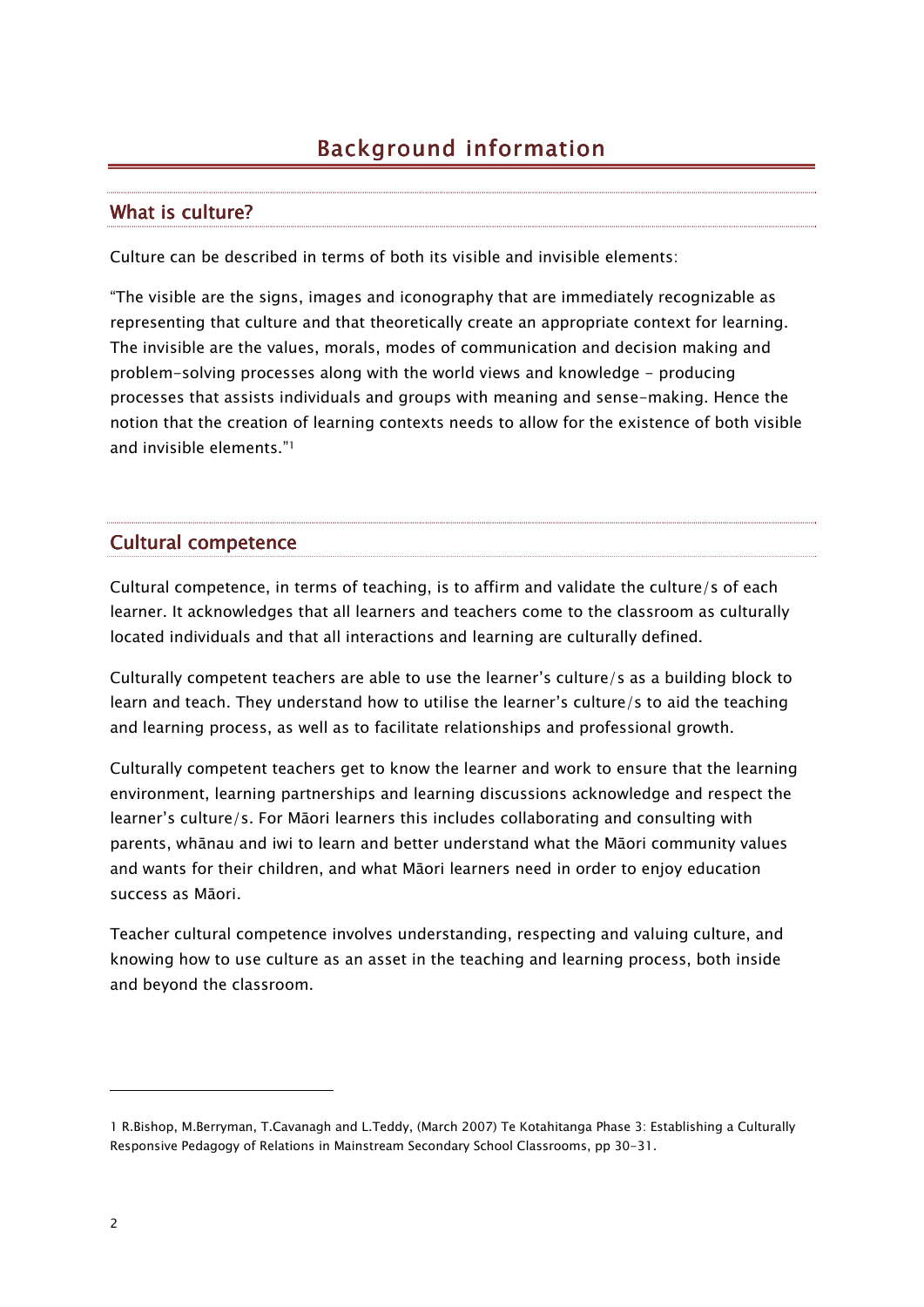# Background information

### What is culture?

Culture can be described in terms of both its visible and invisible elements:

"The visible are the signs, images and iconography that are immediately recognizable as representing that culture and that theoretically create an appropriate context for learning. The invisible are the values, morals, modes of communication and decision making and problem-solving processes along with the world views and knowledge - producing processes that assists individuals and groups with meaning and sense-making. Hence the notion that the creation of learning contexts needs to allow for the existence of both visible and invisible elements."<sup>1</sup>

### Cultural competence

Cultural competence, in terms of teaching, is to affirm and validate the culture/s of each learner. It acknowledges that all learners and teachers come to the classroom as culturally located individuals and that all interactions and learning are culturally defined.

Culturally competent teachers are able to use the learner's culture/s as a building block to learn and teach. They understand how to utilise the learner's culture/s to aid the teaching and learning process, as well as to facilitate relationships and professional growth.

Culturally competent teachers get to know the learner and work to ensure that the learning environment, learning partnerships and learning discussions acknowledge and respect the learner's culture/s. For Māori learners this includes collaborating and consulting with parents, whānau and iwi to learn and better understand what the Māori community values and wants for their children, and what Māori learners need in order to enjoy education success as Māori.

Teacher cultural competence involves understanding, respecting and valuing culture, and knowing how to use culture as an asset in the teaching and learning process, both inside and beyond the classroom.

-

<sup>1</sup> R.Bishop, M.Berryman, T.Cavanagh and L.Teddy, (March 2007) Te Kotahitanga Phase 3: Establishing a Culturally Responsive Pedagogy of Relations in Mainstream Secondary School Classrooms, pp 30-31.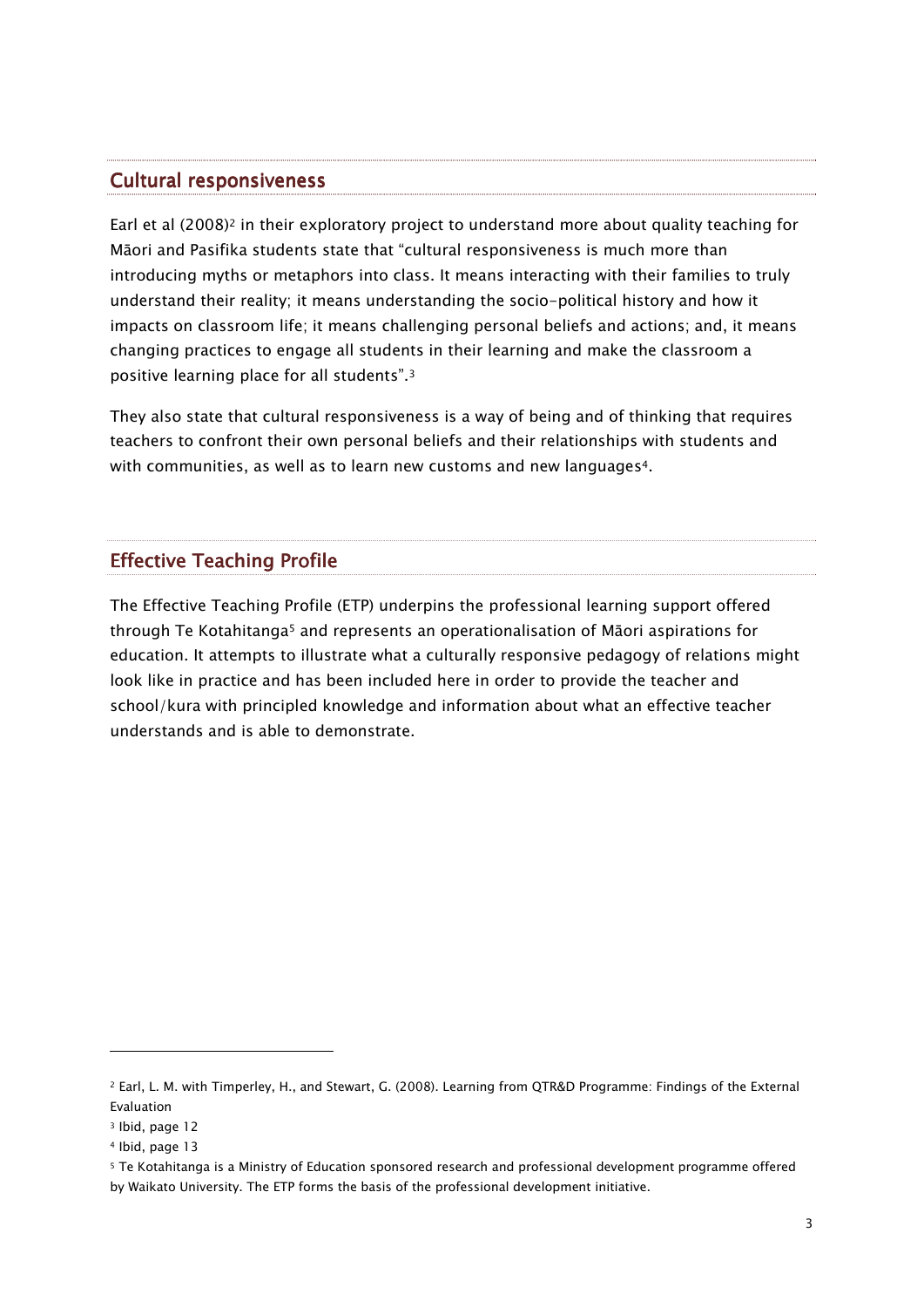### **Cultural responsiveness**

Earl et al (2008)<sup>2</sup> in their exploratory project to understand more about quality teaching for Māori and Pasifika students state that "cultural responsiveness is much more than introducing myths or metaphors into class. It means interacting with their families to truly understand their reality; it means understanding the socio-political history and how it impacts on classroom life; it means challenging personal beliefs and actions; and, it means changing practices to engage all students in their learning and make the classroom a positive learning place for all students".<sup>3</sup>

They also state that cultural responsiveness is a way of being and of thinking that requires teachers to confront their own personal beliefs and their relationships with students and with communities, as well as to learn new customs and new languages<sup>4</sup>.

## **Effective Teaching Profile**

The Effective Teaching Profile (ETP) underpins the professional learning support offered through Te Kotahitanga5 and represents an operationalisation of Māori aspirations for education. It attempts to illustrate what a culturally responsive pedagogy of relations might look like in practice and has been included here in order to provide the teacher and school/kura with principled knowledge and information about what an effective teacher understands and is able to demonstrate.

-

<sup>2</sup> Earl, L. M. with Timperley, H., and Stewart, G. (2008). Learning from QTR&D Programme: Findings of the External Evaluation

<sup>3</sup> Ibid, page 12

<sup>4</sup> Ibid, page 13

<sup>5</sup> Te Kotahitanga is a Ministry of Education sponsored research and professional development programme offered by Waikato University. The ETP forms the basis of the professional development initiative.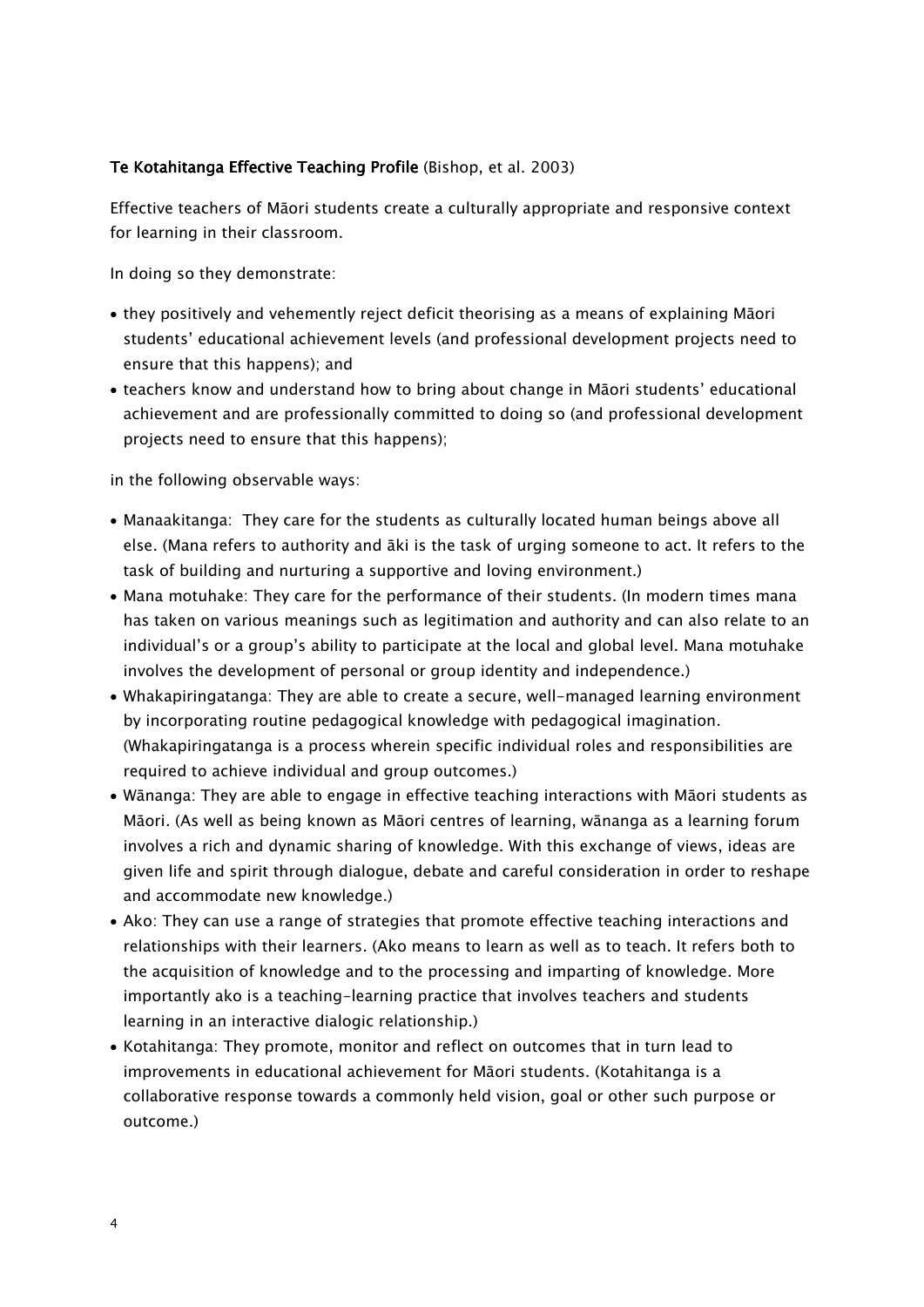#### Te Kotahitanga Effective Teaching Profile (Bishop, et al. 2003)

Effective teachers of Māori students create a culturally appropriate and responsive context for learning in their classroom.

In doing so they demonstrate:

- they positively and vehemently reject deficit theorising as a means of explaining Māori students' educational achievement levels (and professional development projects need to ensure that this happens); and
- teachers know and understand how to bring about change in Māori students' educational achievement and are professionally committed to doing so (and professional development projects need to ensure that this happens);

in the following observable ways:

- Manaakitanga: They care for the students as culturally located human beings above all else. (Mana refers to authority and āki is the task of urging someone to act. It refers to the task of building and nurturing a supportive and loving environment.)
- Mana motuhake: They care for the performance of their students. (In modern times mana has taken on various meanings such as legitimation and authority and can also relate to an individual's or a group's ability to participate at the local and global level. Mana motuhake involves the development of personal or group identity and independence.)
- Whakapiringatanga: They are able to create a secure, well-managed learning environment by incorporating routine pedagogical knowledge with pedagogical imagination. (Whakapiringatanga is a process wherein specific individual roles and responsibilities are required to achieve individual and group outcomes.)
- Wānanga: They are able to engage in effective teaching interactions with Māori students as Māori. (As well as being known as Māori centres of learning, wānanga as a learning forum involves a rich and dynamic sharing of knowledge. With this exchange of views, ideas are given life and spirit through dialogue, debate and careful consideration in order to reshape and accommodate new knowledge.)
- Ako: They can use a range of strategies that promote effective teaching interactions and relationships with their learners. (Ako means to learn as well as to teach. It refers both to the acquisition of knowledge and to the processing and imparting of knowledge. More importantly ako is a teaching-learning practice that involves teachers and students learning in an interactive dialogic relationship.)
- Kotahitanga: They promote, monitor and reflect on outcomes that in turn lead to improvements in educational achievement for Māori students. (Kotahitanga is a collaborative response towards a commonly held vision, goal or other such purpose or outcome.)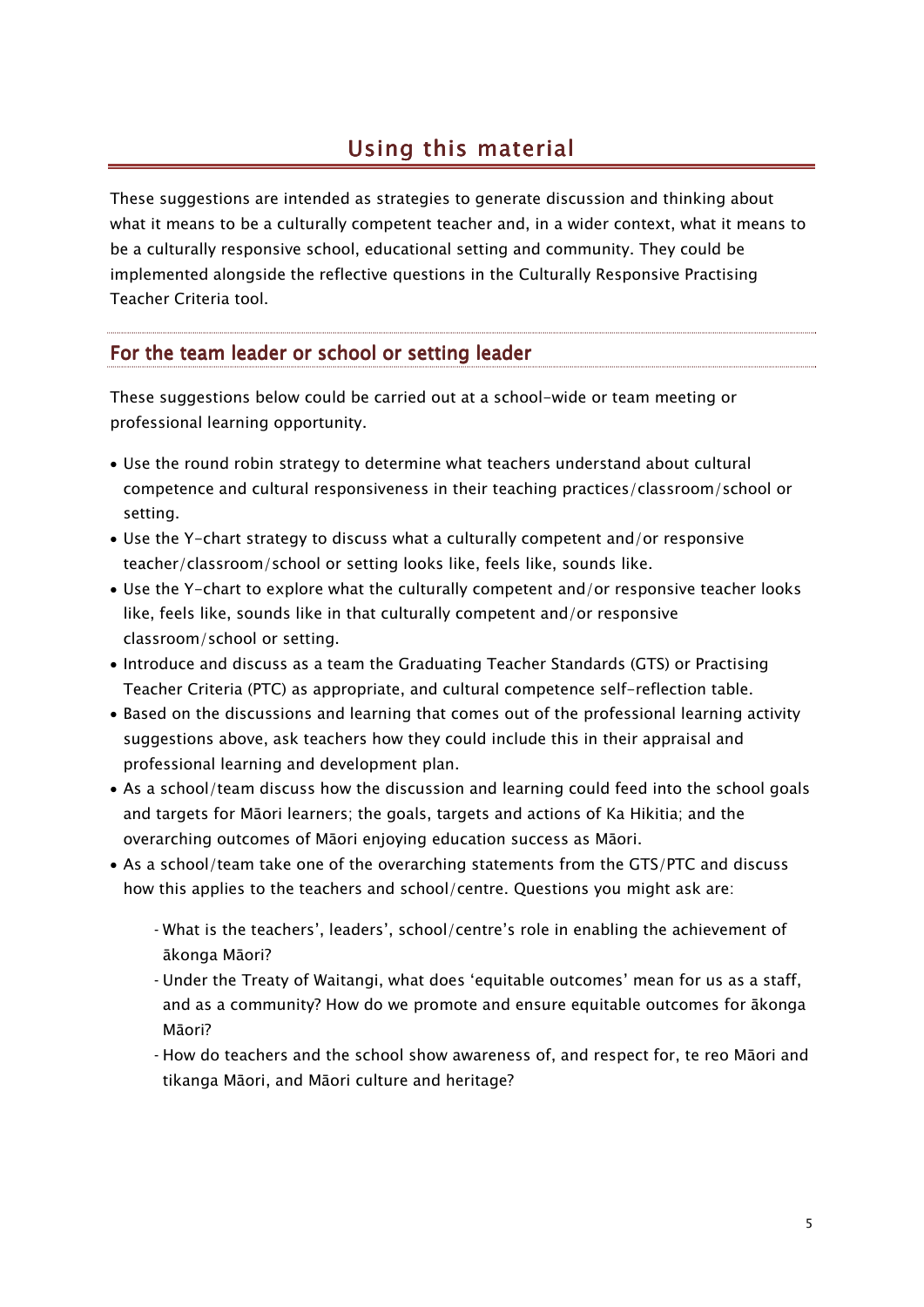## Using this material

These suggestions are intended as strategies to generate discussion and thinking about what it means to be a culturally competent teacher and, in a wider context, what it means to be a culturally responsive school, educational setting and community. They could be implemented alongside the reflective questions in the Culturally Responsive Practising Teacher Criteria tool.

## For the team leader or school or setting leader

These suggestions below could be carried out at a school-wide or team meeting or professional learning opportunity.

- Use the round robin strategy to determine what teachers understand about cultural competence and cultural responsiveness in their teaching practices/classroom/school or setting.
- Use the Y-chart strategy to discuss what a culturally competent and/or responsive teacher/classroom/school or setting looks like, feels like, sounds like.
- Use the Y-chart to explore what the culturally competent and/or responsive teacher looks like, feels like, sounds like in that culturally competent and/or responsive classroom/school or setting.
- Introduce and discuss as a team the Graduating Teacher Standards (GTS) or Practising Teacher Criteria (PTC) as appropriate, and cultural competence self-reflection table.
- Based on the discussions and learning that comes out of the professional learning activity suggestions above, ask teachers how they could include this in their appraisal and professional learning and development plan.
- As a school/team discuss how the discussion and learning could feed into the school goals and targets for Māori learners; the goals, targets and actions of Ka Hikitia; and the overarching outcomes of Māori enjoying education success as Māori.
- As a school/team take one of the overarching statements from the GTS/PTC and discuss how this applies to the teachers and school/centre. Questions you might ask are:
	- ‑ What is the teachers', leaders', school/centre's role in enabling the achievement of ākonga Māori?
	- ‑ Under the Treaty of Waitangi, what does 'equitable outcomes' mean for us as a staff, and as a community? How do we promote and ensure equitable outcomes for ākonga Māori?
	- ‑ How do teachers and the school show awareness of, and respect for, te reo Māori and tikanga Māori, and Māori culture and heritage?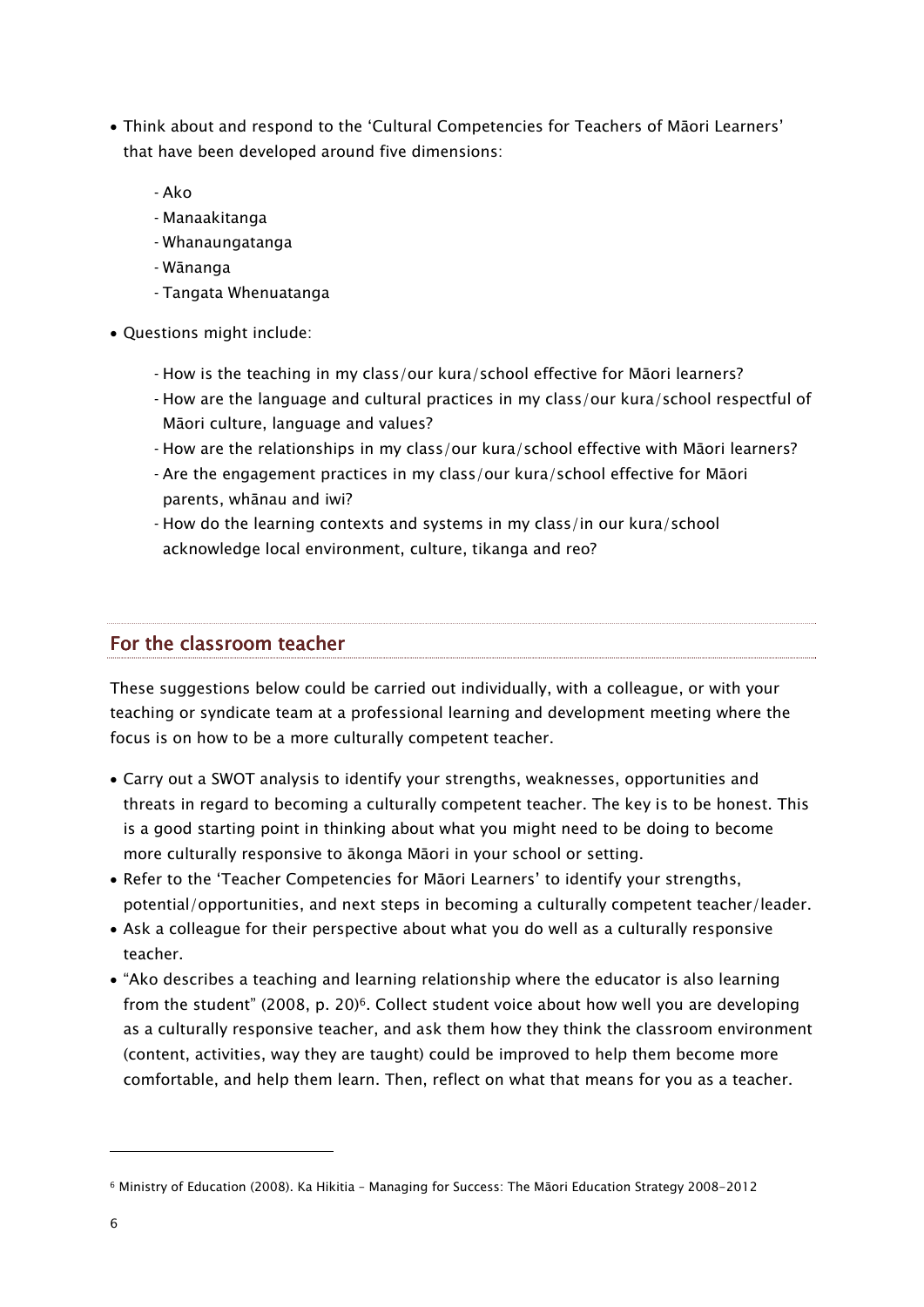- Think about and respond to the 'Cultural Competencies for Teachers of Māori Learners' that have been developed around five dimensions:
	- ‑ Ako
	- ‑ Manaakitanga
	- ‑ Whanaungatanga
	- ‑ Wānanga
	- ‑ Tangata Whenuatanga
- Questions might include:
	- ‑ How is the teaching in my class/our kura/school effective for Māori learners?
	- ‑ How are the language and cultural practices in my class/our kura/school respectful of Māori culture, language and values?
	- ‑ How are the relationships in my class/our kura/school effective with Māori learners?
	- ‑ Are the engagement practices in my class/our kura/school effective for Māori parents, whānau and iwi?
	- ‑ How do the learning contexts and systems in my class/in our kura/school acknowledge local environment, culture, tikanga and reo?

### For the classroom teacher

These suggestions below could be carried out individually, with a colleague, or with your teaching or syndicate team at a professional learning and development meeting where the focus is on how to be a more culturally competent teacher.

- Carry out a SWOT analysis to identify your strengths, weaknesses, opportunities and threats in regard to becoming a culturally competent teacher. The key is to be honest. This is a good starting point in thinking about what you might need to be doing to become more culturally responsive to ākonga Māori in your school or setting.
- Refer to the 'Teacher Competencies for Māori Learners' to identify your strengths, potential/opportunities, and next steps in becoming a culturally competent teacher/leader.
- Ask a colleague for their perspective about what you do well as a culturally responsive teacher.
- "Ako describes a teaching and learning relationship where the educator is also learning from the student" (2008, p. 20)<sup>6</sup>. Collect student voice about how well you are developing as a culturally responsive teacher, and ask them how they think the classroom environment (content, activities, way they are taught) could be improved to help them become more comfortable, and help them learn. Then, reflect on what that means for you as a teacher.

-

<sup>6</sup> Ministry of Education (2008). Ka Hikitia – Managing for Success: The Māori Education Strategy 2008-2012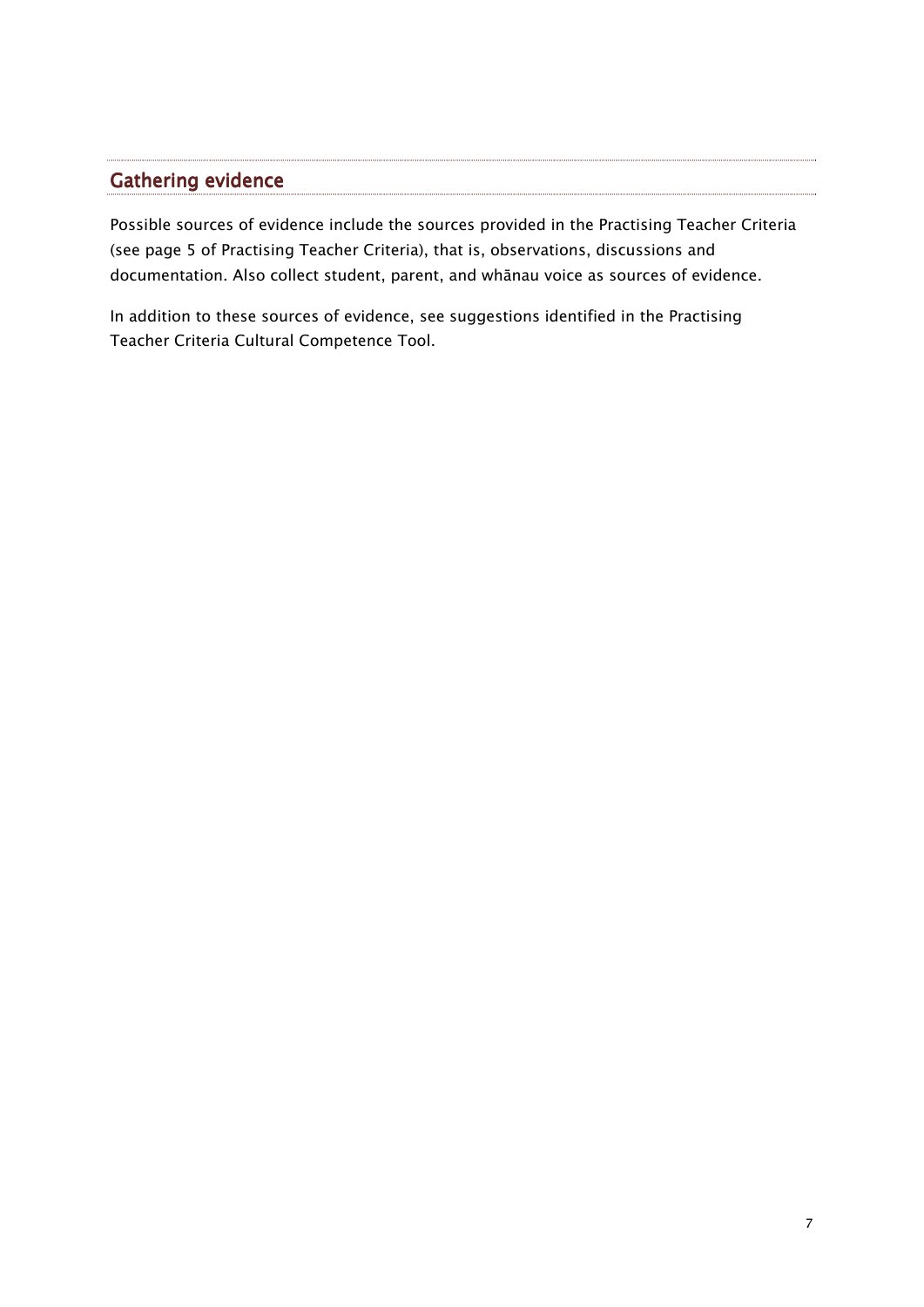## Gathering evidence

Possible sources of evidence include the sources provided in the Practising Teacher Criteria (see page 5 of Practising Teacher Criteria), that is, observations, discussions and documentation. Also collect student, parent, and whānau voice as sources of evidence.

In addition to these sources of evidence, see suggestions identified in the Practising Teacher Criteria Cultural Competence Tool.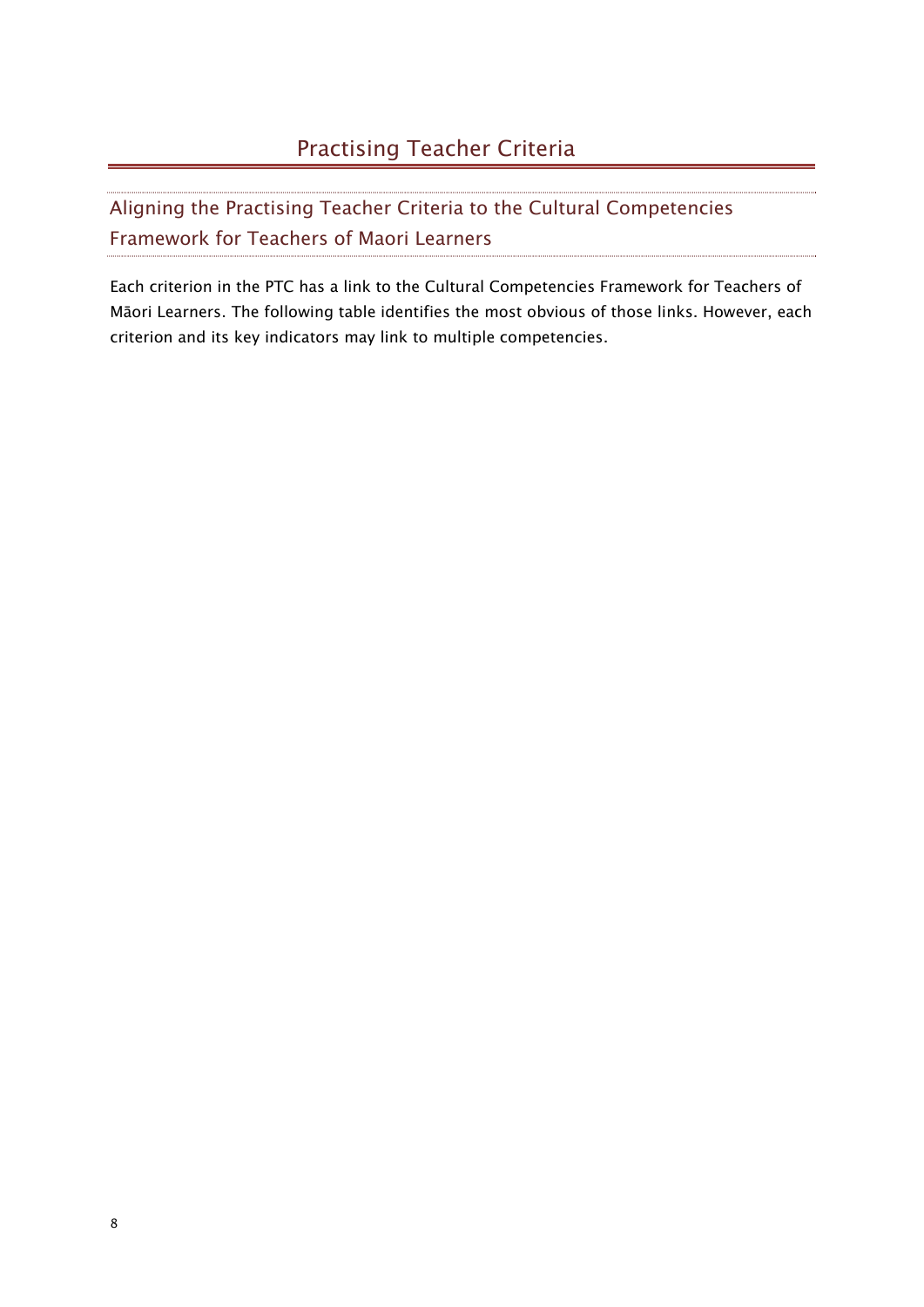# Practising Teacher Criteria

Aligning the Practising Teacher Criteria to the Cultural Competencies Framework for Teachers of Maori Learners

Each criterion in the PTC has a link to the Cultural Competencies Framework for Teachers of Māori Learners. The following table identifies the most obvious of those links. However, each criterion and its key indicators may link to multiple competencies.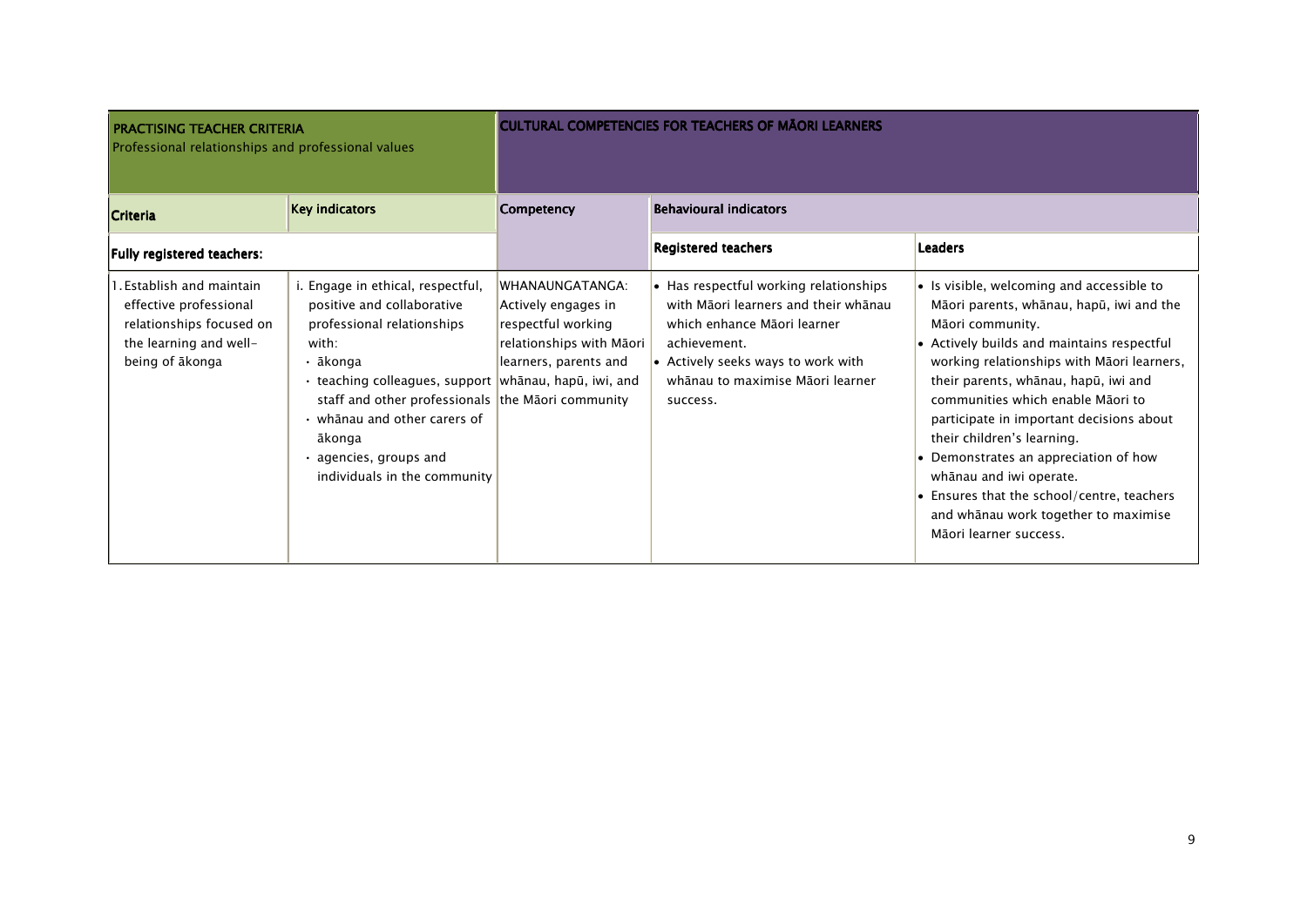| <b>PRACTISING TEACHER CRITERIA</b><br>Professional relationships and professional values                                     |                                                                                                                                                                                                                                                                                                                                                   |                                                                                                                   | <b>CULTURAL COMPETENCIES FOR TEACHERS OF MAORI LEARNERS</b>                                                                                                                                                         |                                                                                                                                                                                                                                                                                                                                                                                                                                                                                                                                                  |
|------------------------------------------------------------------------------------------------------------------------------|---------------------------------------------------------------------------------------------------------------------------------------------------------------------------------------------------------------------------------------------------------------------------------------------------------------------------------------------------|-------------------------------------------------------------------------------------------------------------------|---------------------------------------------------------------------------------------------------------------------------------------------------------------------------------------------------------------------|--------------------------------------------------------------------------------------------------------------------------------------------------------------------------------------------------------------------------------------------------------------------------------------------------------------------------------------------------------------------------------------------------------------------------------------------------------------------------------------------------------------------------------------------------|
| <b>Criteria</b>                                                                                                              | <b>Key indicators</b>                                                                                                                                                                                                                                                                                                                             | <b>Competency</b>                                                                                                 | <b>Behavioural indicators</b>                                                                                                                                                                                       |                                                                                                                                                                                                                                                                                                                                                                                                                                                                                                                                                  |
| Fully registered teachers:                                                                                                   |                                                                                                                                                                                                                                                                                                                                                   |                                                                                                                   | <b>Registered teachers</b>                                                                                                                                                                                          | <b>Leaders</b>                                                                                                                                                                                                                                                                                                                                                                                                                                                                                                                                   |
| 1. Establish and maintain<br>effective professional<br>relationships focused on<br>the learning and well-<br>being of ākonga | i. Engage in ethical, respectful,<br>positive and collaborative<br>professional relationships<br>with:<br>• ākonga<br>• teaching colleagues, support  whānau, hapū, iwi, and<br>staff and other professionals the Maori community<br>$\cdot$ whanau and other carers of<br>ākonga<br>$\cdot$ agencies, groups and<br>individuals in the community | WHANAUNGATANGA:<br>Actively engages in<br>respectful working<br>relationships with Māori<br>learners, parents and | • Has respectful working relationships<br>with Māori learners and their whānau<br>which enhance Māori learner<br>achievement.<br>• Actively seeks ways to work with<br>whānau to maximise Māori learner<br>success. | • Is visible, welcoming and accessible to<br>Māori parents, whānau, hapū, iwi and the<br>Māori community.<br>• Actively builds and maintains respectful<br>working relationships with Māori learners,<br>their parents, whānau, hapū, iwi and<br>communities which enable Māori to<br>participate in important decisions about<br>their children's learning.<br>• Demonstrates an appreciation of how<br>whānau and iwi operate.<br>• Ensures that the school/centre, teachers<br>and whanau work together to maximise<br>Māori learner success. |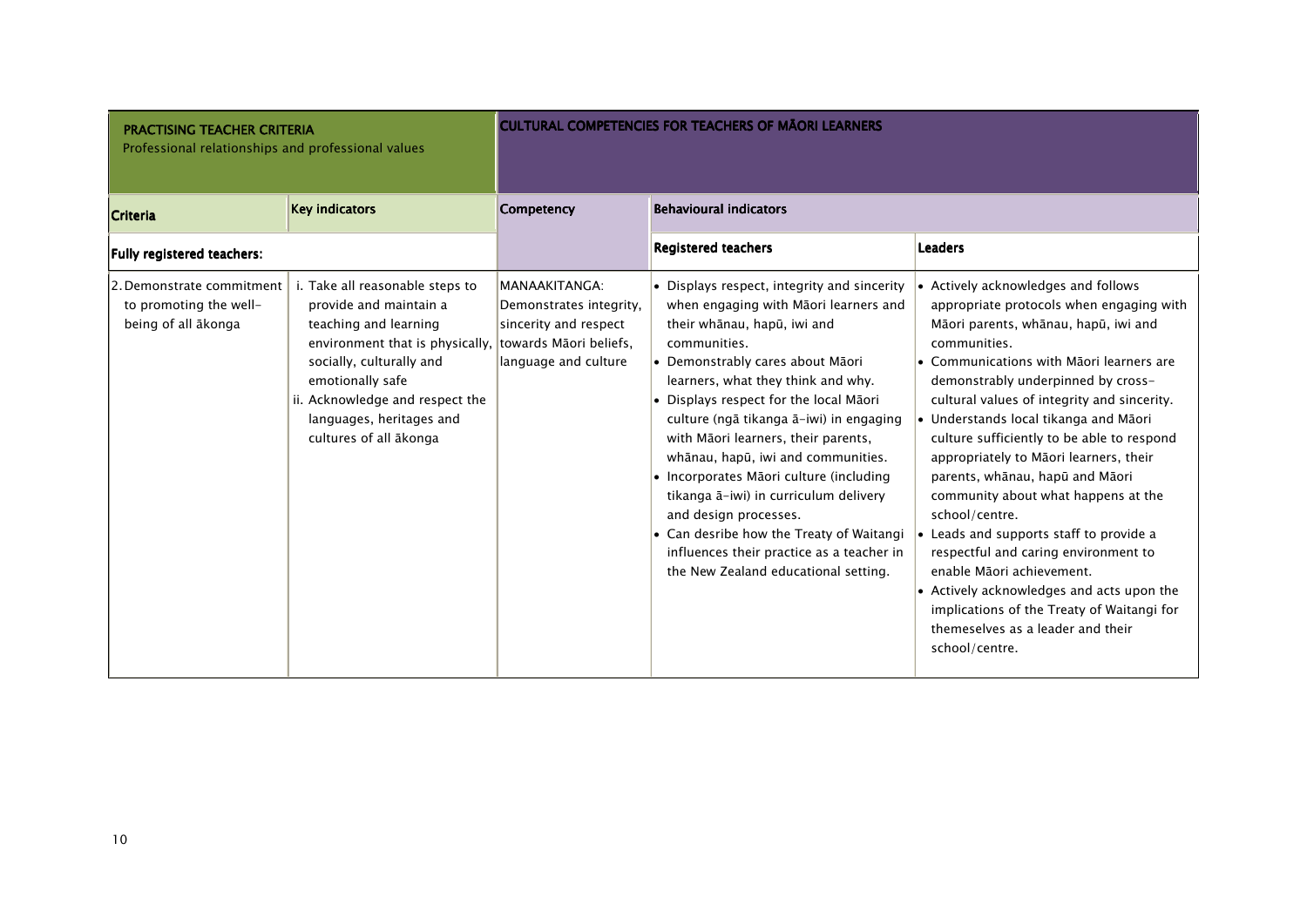| <b>PRACTISING TEACHER CRITERIA</b><br>Professional relationships and professional values |                                                                                                                                                                                                                                                                                       |                                                                                           | <b>CULTURAL COMPETENCIES FOR TEACHERS OF MAORI LEARNERS</b>                                                                                                                                                                                                                                                                                                                                                                                                                                                                                                                                                                   |                                                                                                                                                                                                                                                                                                                                                                                                                                                                                                                                                                                                                                                                                                                                                                         |
|------------------------------------------------------------------------------------------|---------------------------------------------------------------------------------------------------------------------------------------------------------------------------------------------------------------------------------------------------------------------------------------|-------------------------------------------------------------------------------------------|-------------------------------------------------------------------------------------------------------------------------------------------------------------------------------------------------------------------------------------------------------------------------------------------------------------------------------------------------------------------------------------------------------------------------------------------------------------------------------------------------------------------------------------------------------------------------------------------------------------------------------|-------------------------------------------------------------------------------------------------------------------------------------------------------------------------------------------------------------------------------------------------------------------------------------------------------------------------------------------------------------------------------------------------------------------------------------------------------------------------------------------------------------------------------------------------------------------------------------------------------------------------------------------------------------------------------------------------------------------------------------------------------------------------|
| Criteria                                                                                 | <b>Key indicators</b>                                                                                                                                                                                                                                                                 | <b>Competency</b>                                                                         | <b>Behavioural indicators</b>                                                                                                                                                                                                                                                                                                                                                                                                                                                                                                                                                                                                 |                                                                                                                                                                                                                                                                                                                                                                                                                                                                                                                                                                                                                                                                                                                                                                         |
| Fully registered teachers:                                                               |                                                                                                                                                                                                                                                                                       |                                                                                           | <b>Registered teachers</b>                                                                                                                                                                                                                                                                                                                                                                                                                                                                                                                                                                                                    | <b>Leaders</b>                                                                                                                                                                                                                                                                                                                                                                                                                                                                                                                                                                                                                                                                                                                                                          |
| 2. Demonstrate commitment<br>to promoting the well-<br>being of all ākonga               | i. Take all reasonable steps to<br>provide and maintain a<br>teaching and learning<br>environment that is physically, towards Māori beliefs,<br>socially, culturally and<br>emotionally safe<br>ii. Acknowledge and respect the<br>languages, heritages and<br>cultures of all ākonga | MANAAKITANGA:<br>Demonstrates integrity,<br>sincerity and respect<br>language and culture | • Displays respect, integrity and sincerity<br>when engaging with Māori learners and<br>their whānau, hapū, iwi and<br>communities.<br>• Demonstrably cares about Māori<br>learners, what they think and why.<br>• Displays respect for the local Māori<br>culture (ngā tikanga ā-iwi) in engaging<br>with Māori learners, their parents,<br>whānau, hapū, iwi and communities.<br>· Incorporates Māori culture (including<br>tikanga ā-iwi) in curriculum delivery<br>and design processes.<br>• Can desribe how the Treaty of Waitangi<br>influences their practice as a teacher in<br>the New Zealand educational setting. | • Actively acknowledges and follows<br>appropriate protocols when engaging with<br>Māori parents, whānau, hapū, iwi and<br>communities.<br>• Communications with Māori learners are<br>demonstrably underpinned by cross-<br>cultural values of integrity and sincerity.<br>· Understands local tikanga and Māori<br>culture sufficiently to be able to respond<br>appropriately to Māori learners, their<br>parents, whānau, hapū and Māori<br>community about what happens at the<br>school/centre.<br>• Leads and supports staff to provide a<br>respectful and caring environment to<br>enable Māori achievement.<br>• Actively acknowledges and acts upon the<br>implications of the Treaty of Waitangi for<br>themeselves as a leader and their<br>school/centre. |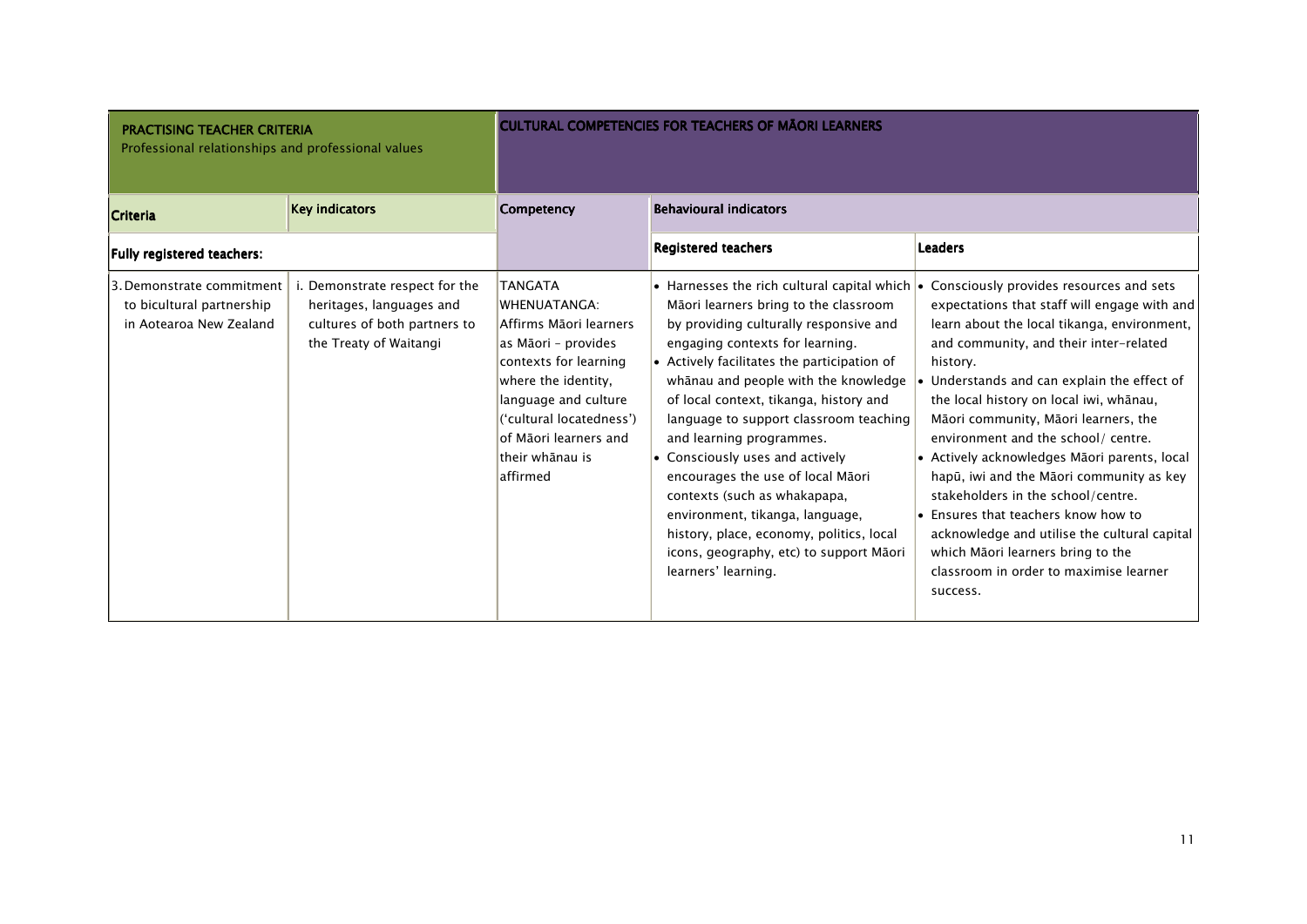| <b>PRACTISING TEACHER CRITERIA</b><br>Professional relationships and professional values |                                                                                                                     |                                                                                                                                                                                                                                              | <b>CULTURAL COMPETENCIES FOR TEACHERS OF MAORI LEARNERS</b>                                                                                                                                                                                                                                                                                                                                                                                                                                                                                                                                                                                       |                                                                                                                                                                                                                                                                                                                                                                                                                                                                                                                                                                                                                                                                                                 |
|------------------------------------------------------------------------------------------|---------------------------------------------------------------------------------------------------------------------|----------------------------------------------------------------------------------------------------------------------------------------------------------------------------------------------------------------------------------------------|---------------------------------------------------------------------------------------------------------------------------------------------------------------------------------------------------------------------------------------------------------------------------------------------------------------------------------------------------------------------------------------------------------------------------------------------------------------------------------------------------------------------------------------------------------------------------------------------------------------------------------------------------|-------------------------------------------------------------------------------------------------------------------------------------------------------------------------------------------------------------------------------------------------------------------------------------------------------------------------------------------------------------------------------------------------------------------------------------------------------------------------------------------------------------------------------------------------------------------------------------------------------------------------------------------------------------------------------------------------|
| <b>Criteria</b>                                                                          | <b>Key indicators</b>                                                                                               | Competency                                                                                                                                                                                                                                   | <b>Behavioural indicators</b>                                                                                                                                                                                                                                                                                                                                                                                                                                                                                                                                                                                                                     |                                                                                                                                                                                                                                                                                                                                                                                                                                                                                                                                                                                                                                                                                                 |
| Fully registered teachers:                                                               |                                                                                                                     |                                                                                                                                                                                                                                              | <b>Registered teachers</b>                                                                                                                                                                                                                                                                                                                                                                                                                                                                                                                                                                                                                        | <b>Leaders</b>                                                                                                                                                                                                                                                                                                                                                                                                                                                                                                                                                                                                                                                                                  |
| 3. Demonstrate commitment<br>to bicultural partnership<br>in Aotearoa New Zealand        | . Demonstrate respect for the<br>heritages, languages and<br>cultures of both partners to<br>the Treaty of Waitangi | <b>TANGATA</b><br>WHENUATANGA:<br>Affirms Māori learners<br>as Māori - provides<br>contexts for learning<br>where the identity,<br>language and culture<br>('cultural locatedness')<br>of Māori learners and<br>ltheir whānau is<br>affirmed | • Harnesses the rich cultural capital which $\cdot$<br>Māori learners bring to the classroom<br>by providing culturally responsive and<br>engaging contexts for learning.<br>• Actively facilitates the participation of<br>whanau and people with the knowledge<br>of local context, tikanga, history and<br>language to support classroom teaching<br>and learning programmes.<br>$\bullet$ Consciously uses and actively<br>encourages the use of local Māori<br>contexts (such as whakapapa,<br>environment, tikanga, language,<br>history, place, economy, politics, local<br>icons, geography, etc) to support Māori<br>learners' learning. | Consciously provides resources and sets<br>expectations that staff will engage with and<br>learn about the local tikanga, environment,<br>and community, and their inter-related<br>history.<br>Understands and can explain the effect of<br>the local history on local iwi, whānau,<br>Māori community, Māori learners, the<br>environment and the school/ centre.<br>• Actively acknowledges Māori parents, local<br>hapū, iwi and the Māori community as key<br>stakeholders in the school/centre.<br>$\bullet$ Ensures that teachers know how to<br>acknowledge and utilise the cultural capital<br>which Māori learners bring to the<br>classroom in order to maximise learner<br>success. |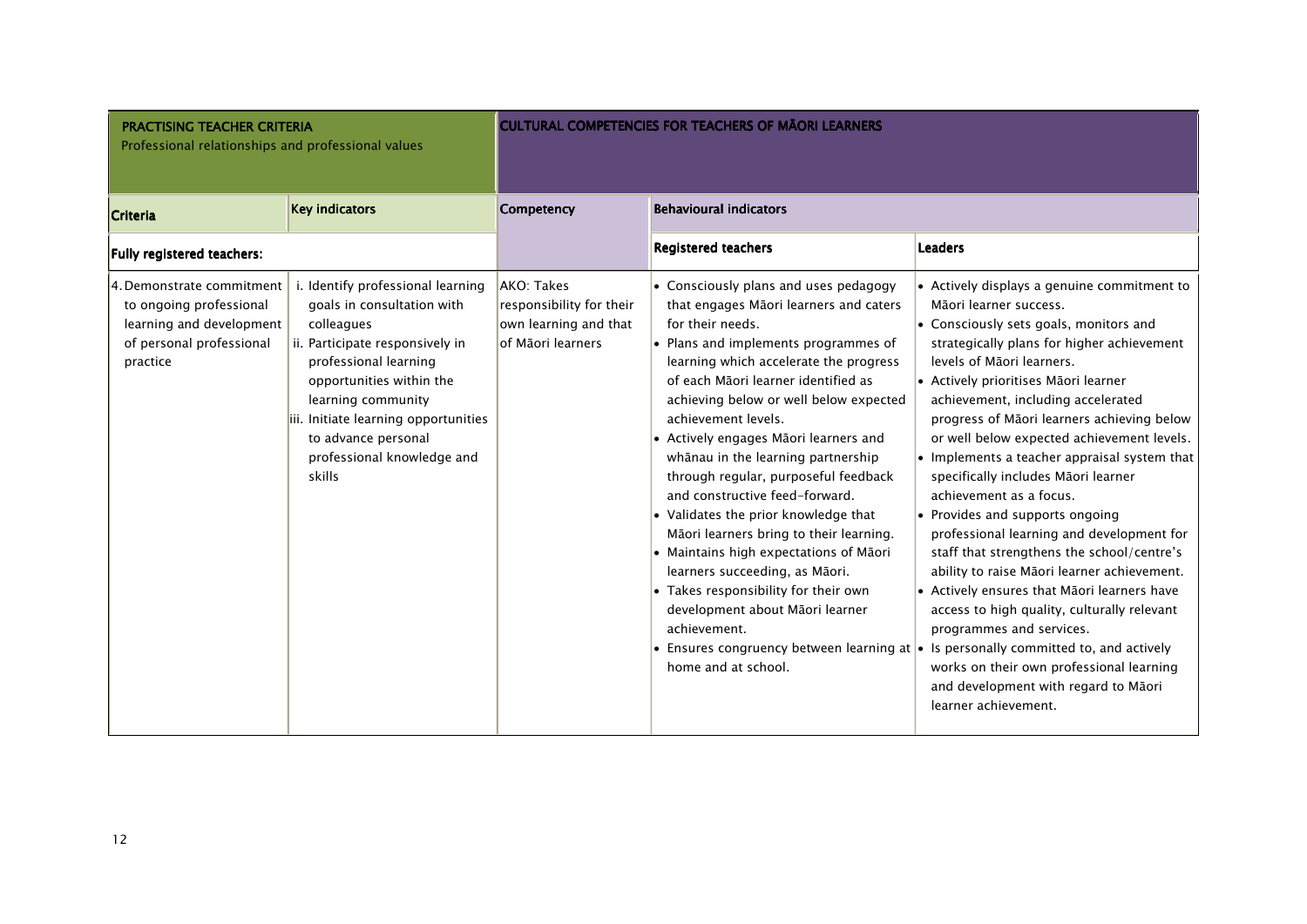| <b>PRACTISING TEACHER CRITERIA</b><br>Professional relationships and professional values                                 |                                                                                                                                                                                                                                                                                                    |                                                                                      | <b>CULTURAL COMPETENCIES FOR TEACHERS OF MAORI LEARNERS</b>                                                                                                                                                                                                                                                                                                                                                                                                                                                                                                                                                                                                                                                                                                                                                                                                                  |                                                                                                                                                                                                                                                                                                                                                                                                                                                                                                                                                                                                                                                                                                                                                                                                                                                                                                           |
|--------------------------------------------------------------------------------------------------------------------------|----------------------------------------------------------------------------------------------------------------------------------------------------------------------------------------------------------------------------------------------------------------------------------------------------|--------------------------------------------------------------------------------------|------------------------------------------------------------------------------------------------------------------------------------------------------------------------------------------------------------------------------------------------------------------------------------------------------------------------------------------------------------------------------------------------------------------------------------------------------------------------------------------------------------------------------------------------------------------------------------------------------------------------------------------------------------------------------------------------------------------------------------------------------------------------------------------------------------------------------------------------------------------------------|-----------------------------------------------------------------------------------------------------------------------------------------------------------------------------------------------------------------------------------------------------------------------------------------------------------------------------------------------------------------------------------------------------------------------------------------------------------------------------------------------------------------------------------------------------------------------------------------------------------------------------------------------------------------------------------------------------------------------------------------------------------------------------------------------------------------------------------------------------------------------------------------------------------|
| <b>Criteria</b>                                                                                                          | <b>Key indicators</b>                                                                                                                                                                                                                                                                              | Competency                                                                           | <b>Behavioural indicators</b>                                                                                                                                                                                                                                                                                                                                                                                                                                                                                                                                                                                                                                                                                                                                                                                                                                                |                                                                                                                                                                                                                                                                                                                                                                                                                                                                                                                                                                                                                                                                                                                                                                                                                                                                                                           |
| Fully registered teachers:                                                                                               |                                                                                                                                                                                                                                                                                                    |                                                                                      | <b>Registered teachers</b>                                                                                                                                                                                                                                                                                                                                                                                                                                                                                                                                                                                                                                                                                                                                                                                                                                                   | <b>Leaders</b>                                                                                                                                                                                                                                                                                                                                                                                                                                                                                                                                                                                                                                                                                                                                                                                                                                                                                            |
| 4. Demonstrate commitment<br>to ongoing professional<br>learning and development<br>of personal professional<br>practice | i. Identify professional learning<br>goals in consultation with<br>colleagues<br>ii. Participate responsively in<br>professional learning<br>opportunities within the<br>learning community<br>iii. Initiate learning opportunities<br>to advance personal<br>professional knowledge and<br>skills | AKO: Takes<br>responsibility for their<br>own learning and that<br>of Māori learners | $\bullet$ Consciously plans and uses pedagogy<br>that engages Māori learners and caters<br>for their needs.<br>$\cdot$ Plans and implements programmes of<br>learning which accelerate the progress<br>of each Māori learner identified as<br>achieving below or well below expected<br>achievement levels.<br>• Actively engages Māori learners and<br>whānau in the learning partnership<br>through regular, purposeful feedback<br>and constructive feed-forward.<br>$\bullet$ Validates the prior knowledge that<br>Māori learners bring to their learning.<br>$\bullet$ Maintains high expectations of Māori<br>learners succeeding, as Māori.<br>$\bullet$ Takes responsibility for their own<br>development about Māori learner<br>achievement.<br>• Ensures congruency between learning at $\bullet$ Is personally committed to, and actively<br>home and at school. | • Actively displays a genuine commitment to<br>Māori learner success.<br>• Consciously sets goals, monitors and<br>strategically plans for higher achievement<br>levels of Māori learners.<br>• Actively prioritises Māori learner<br>achievement, including accelerated<br>progress of Māori learners achieving below<br>or well below expected achievement levels.<br>• Implements a teacher appraisal system that<br>specifically includes Māori learner<br>achievement as a focus.<br>• Provides and supports ongoing<br>professional learning and development for<br>staff that strengthens the school/centre's<br>ability to raise Māori learner achievement.<br>• Actively ensures that Māori learners have<br>access to high quality, culturally relevant<br>programmes and services.<br>works on their own professional learning<br>and development with regard to Māori<br>learner achievement. |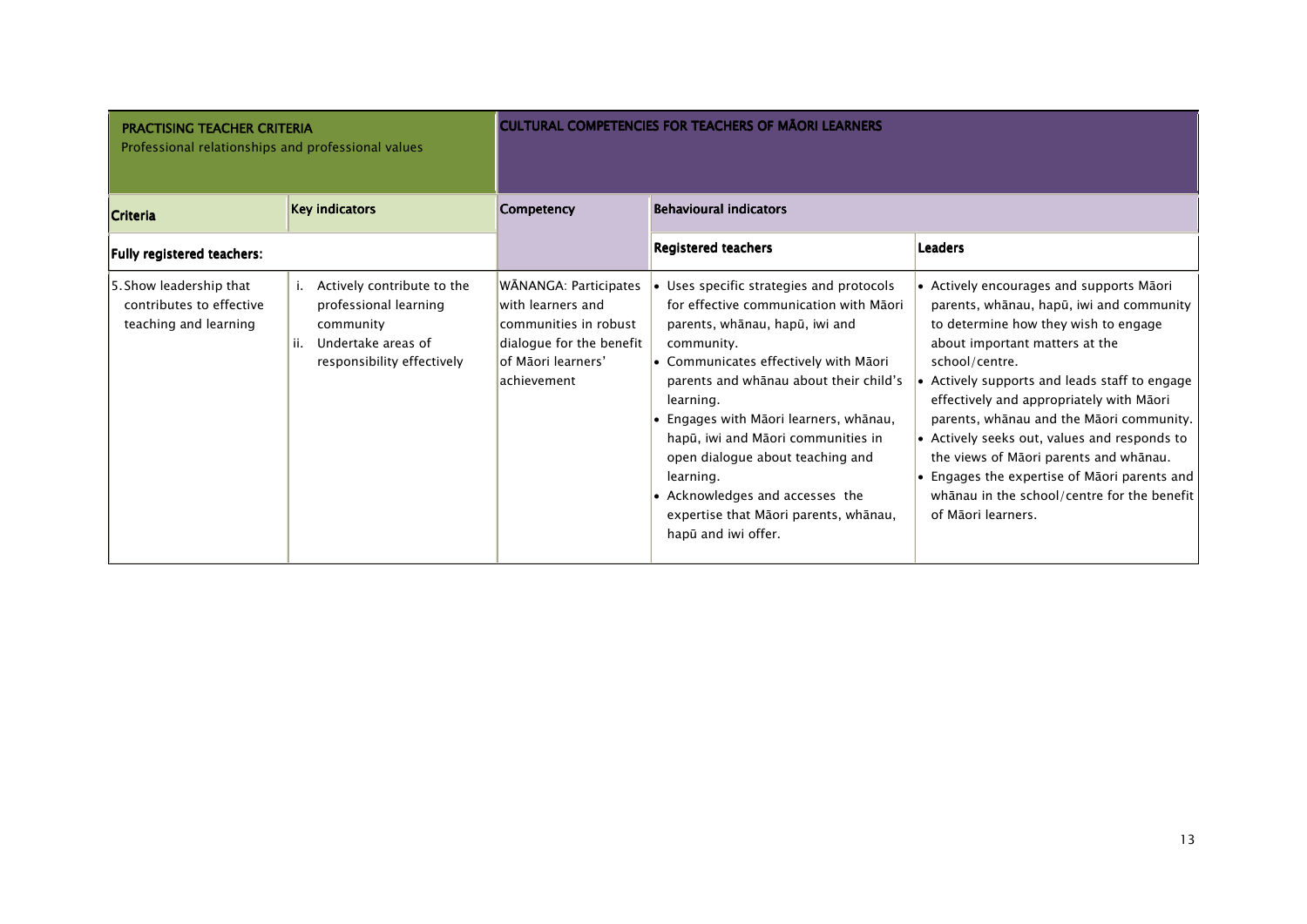| <b>PRACTISING TEACHER CRITERIA</b><br>Professional relationships and professional values |                                                                                                                             |                                                                                                                                       | <b>CULTURAL COMPETENCIES FOR TEACHERS OF MAORI LEARNERS</b>                                                                                                                                                                                                                                                                                                                                                                                                            |                                                                                                                                                                                                                                                                                                                                                                                                                                                                                                                                          |
|------------------------------------------------------------------------------------------|-----------------------------------------------------------------------------------------------------------------------------|---------------------------------------------------------------------------------------------------------------------------------------|------------------------------------------------------------------------------------------------------------------------------------------------------------------------------------------------------------------------------------------------------------------------------------------------------------------------------------------------------------------------------------------------------------------------------------------------------------------------|------------------------------------------------------------------------------------------------------------------------------------------------------------------------------------------------------------------------------------------------------------------------------------------------------------------------------------------------------------------------------------------------------------------------------------------------------------------------------------------------------------------------------------------|
| <b>Criteria</b>                                                                          | <b>Key indicators</b>                                                                                                       | Competency                                                                                                                            | <b>Behavioural indicators</b>                                                                                                                                                                                                                                                                                                                                                                                                                                          |                                                                                                                                                                                                                                                                                                                                                                                                                                                                                                                                          |
| Fully registered teachers:                                                               |                                                                                                                             |                                                                                                                                       | <b>Registered teachers</b>                                                                                                                                                                                                                                                                                                                                                                                                                                             | <b>Leaders</b>                                                                                                                                                                                                                                                                                                                                                                                                                                                                                                                           |
| 5. Show leadership that<br>contributes to effective<br>teaching and learning             | Actively contribute to the<br>professional learning<br>community<br>Undertake areas of<br>ii.<br>responsibility effectively | WĀNANGA: Participates<br>with learners and<br>communities in robust<br>dialogue for the benefit<br>lof Māori learners'<br>achievement | • Uses specific strategies and protocols<br>for effective communication with Māori<br>parents, whānau, hapū, iwi and<br>community.<br>• Communicates effectively with Māori<br>parents and whanau about their child's<br>learning.<br>• Engages with Māori learners, whānau,<br>hapū, iwi and Māori communities in<br>open dialogue about teaching and<br>learning.<br>• Acknowledges and accesses the<br>expertise that Māori parents, whānau,<br>hapū and iwi offer. | • Actively encourages and supports Māori<br>parents, whānau, hapū, iwi and community<br>to determine how they wish to engage<br>about important matters at the<br>school/centre.<br>• Actively supports and leads staff to engage<br>effectively and appropriately with Māori<br>parents, whānau and the Māori community.<br>• Actively seeks out, values and responds to<br>the views of Māori parents and whānau.<br>• Engages the expertise of Māori parents and<br>whanau in the school/centre for the benefit<br>of Māori learners. |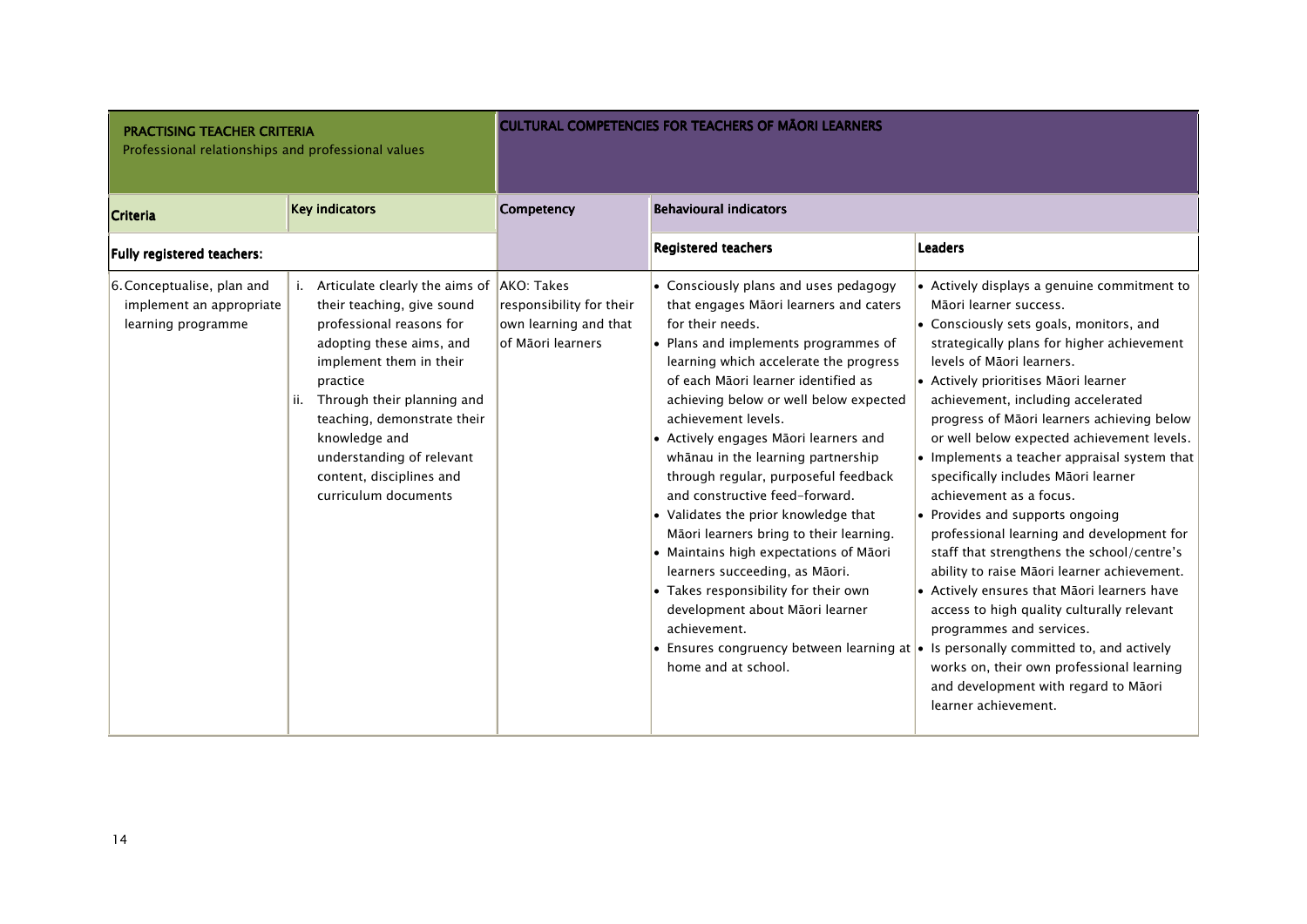| <b>PRACTISING TEACHER CRITERIA</b><br>Professional relationships and professional values |                                                                                                                                                                                                                                                                                                                                              |                                                                        | <b>CULTURAL COMPETENCIES FOR TEACHERS OF MAORI LEARNERS</b>                                                                                                                                                                                                                                                                                                                                                                                                                                                                                                                                                                                                                                                                             |                                                                                                                                                                                                                                                                                                                                                                                                                                                                                                                                                                                                                                                                                                                                                                                                                                                                                                                                                                                                                   |
|------------------------------------------------------------------------------------------|----------------------------------------------------------------------------------------------------------------------------------------------------------------------------------------------------------------------------------------------------------------------------------------------------------------------------------------------|------------------------------------------------------------------------|-----------------------------------------------------------------------------------------------------------------------------------------------------------------------------------------------------------------------------------------------------------------------------------------------------------------------------------------------------------------------------------------------------------------------------------------------------------------------------------------------------------------------------------------------------------------------------------------------------------------------------------------------------------------------------------------------------------------------------------------|-------------------------------------------------------------------------------------------------------------------------------------------------------------------------------------------------------------------------------------------------------------------------------------------------------------------------------------------------------------------------------------------------------------------------------------------------------------------------------------------------------------------------------------------------------------------------------------------------------------------------------------------------------------------------------------------------------------------------------------------------------------------------------------------------------------------------------------------------------------------------------------------------------------------------------------------------------------------------------------------------------------------|
| <b>Criteria</b>                                                                          | <b>Key indicators</b>                                                                                                                                                                                                                                                                                                                        | Competency                                                             | <b>Behavioural indicators</b>                                                                                                                                                                                                                                                                                                                                                                                                                                                                                                                                                                                                                                                                                                           |                                                                                                                                                                                                                                                                                                                                                                                                                                                                                                                                                                                                                                                                                                                                                                                                                                                                                                                                                                                                                   |
| Fully registered teachers:                                                               |                                                                                                                                                                                                                                                                                                                                              |                                                                        | <b>Registered teachers</b>                                                                                                                                                                                                                                                                                                                                                                                                                                                                                                                                                                                                                                                                                                              | <b>Leaders</b>                                                                                                                                                                                                                                                                                                                                                                                                                                                                                                                                                                                                                                                                                                                                                                                                                                                                                                                                                                                                    |
| 6. Conceptualise, plan and<br>implement an appropriate<br>learning programme             | Articulate clearly the aims of AKO: Takes<br>their teaching, give sound<br>professional reasons for<br>adopting these aims, and<br>implement them in their<br>practice<br>Through their planning and<br>ii.<br>teaching, demonstrate their<br>knowledge and<br>understanding of relevant<br>content, disciplines and<br>curriculum documents | responsibility for their<br>own learning and that<br>of Māori Iearners | • Consciously plans and uses pedagogy<br>that engages Māori learners and caters<br>for their needs.<br>• Plans and implements programmes of<br>learning which accelerate the progress<br>of each Māori learner identified as<br>achieving below or well below expected<br>achievement levels.<br>• Actively engages Māori learners and<br>whānau in the learning partnership<br>through regular, purposeful feedback<br>and constructive feed-forward.<br>• Validates the prior knowledge that<br>Māori learners bring to their learning.<br>• Maintains high expectations of Māori<br>learners succeeding, as Māori.<br>• Takes responsibility for their own<br>development about Māori learner<br>achievement.<br>home and at school. | • Actively displays a genuine commitment to<br>Māori learner success.<br>• Consciously sets goals, monitors, and<br>strategically plans for higher achievement<br>levels of Māori learners.<br>• Actively prioritises Māori learner<br>achievement, including accelerated<br>progress of Māori learners achieving below<br>or well below expected achievement levels.<br>$\bullet$ Implements a teacher appraisal system that<br>specifically includes Māori learner<br>achievement as a focus.<br>• Provides and supports ongoing<br>professional learning and development for<br>staff that strengthens the school/centre's<br>ability to raise Māori learner achievement.<br>• Actively ensures that Māori learners have<br>access to high quality culturally relevant<br>programmes and services.<br>• Ensures congruency between learning at $\bullet$ Is personally committed to, and actively<br>works on, their own professional learning<br>and development with regard to Māori<br>learner achievement. |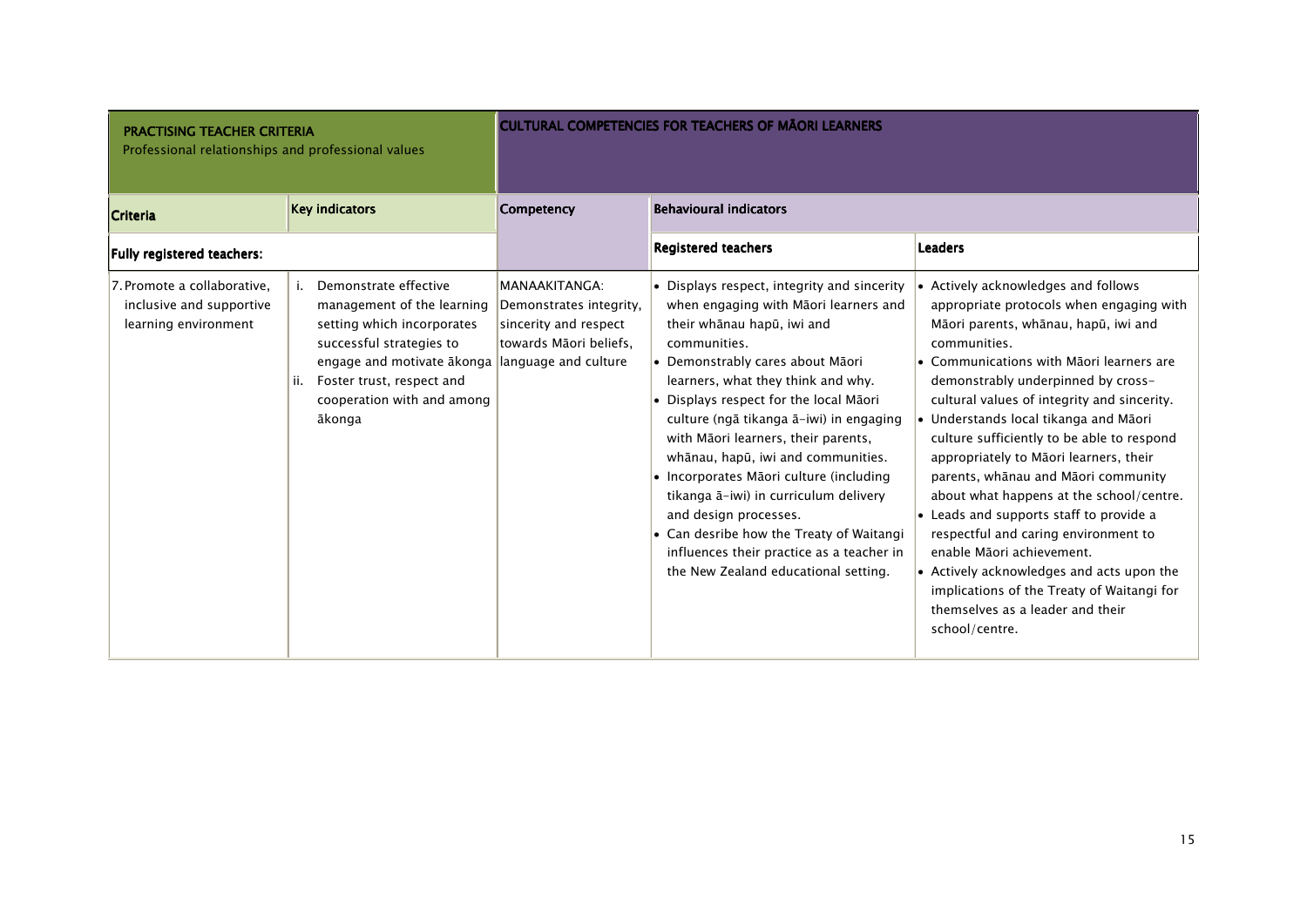| <b>PRACTISING TEACHER CRITERIA</b><br>Professional relationships and professional values |                                                                                                                                                                                                                                       |                                                                                             | <b>CULTURAL COMPETENCIES FOR TEACHERS OF MÃORI LEARNERS</b>                                                                                                                                                                                                                                                                                                                                                                                                                                                                                                                                                                  |                                                                                                                                                                                                                                                                                                                                                                                                                                                                                                                                                                                                                                                                                                                                                               |
|------------------------------------------------------------------------------------------|---------------------------------------------------------------------------------------------------------------------------------------------------------------------------------------------------------------------------------------|---------------------------------------------------------------------------------------------|------------------------------------------------------------------------------------------------------------------------------------------------------------------------------------------------------------------------------------------------------------------------------------------------------------------------------------------------------------------------------------------------------------------------------------------------------------------------------------------------------------------------------------------------------------------------------------------------------------------------------|---------------------------------------------------------------------------------------------------------------------------------------------------------------------------------------------------------------------------------------------------------------------------------------------------------------------------------------------------------------------------------------------------------------------------------------------------------------------------------------------------------------------------------------------------------------------------------------------------------------------------------------------------------------------------------------------------------------------------------------------------------------|
| <b>Criteria</b>                                                                          | <b>Key indicators</b>                                                                                                                                                                                                                 | Competency                                                                                  | <b>Behavioural indicators</b>                                                                                                                                                                                                                                                                                                                                                                                                                                                                                                                                                                                                |                                                                                                                                                                                                                                                                                                                                                                                                                                                                                                                                                                                                                                                                                                                                                               |
| Fully registered teachers:                                                               |                                                                                                                                                                                                                                       |                                                                                             | <b>Registered teachers</b>                                                                                                                                                                                                                                                                                                                                                                                                                                                                                                                                                                                                   | <b>Leaders</b>                                                                                                                                                                                                                                                                                                                                                                                                                                                                                                                                                                                                                                                                                                                                                |
| 7. Promote a collaborative.<br>inclusive and supportive<br>learning environment          | Demonstrate effective<br>management of the learning<br>setting which incorporates<br>successful strategies to<br>engage and motivate akonga language and culture<br>Foster trust, respect and<br>cooperation with and among<br>ākonga | MANAAKITANGA:<br>Demonstrates integrity,<br>sincerity and respect<br>towards Māori beliefs, | • Displays respect, integrity and sincerity<br>when engaging with Māori learners and<br>their whānau hapū, iwi and<br>communities.<br>• Demonstrably cares about Māori<br>learners, what they think and why.<br>• Displays respect for the local Māori<br>culture (ngā tikanga ā-iwi) in engaging<br>with Māori learners, their parents,<br>whānau, hapū, iwi and communities.<br>• Incorporates Māori culture (including<br>tikanga ā-iwi) in curriculum delivery<br>and design processes.<br>• Can desribe how the Treaty of Waitangi<br>influences their practice as a teacher in<br>the New Zealand educational setting. | • Actively acknowledges and follows<br>appropriate protocols when engaging with<br>Māori parents, whānau, hapū, iwi and<br>communities.<br>• Communications with Māori learners are<br>demonstrably underpinned by cross-<br>cultural values of integrity and sincerity.<br>• Understands local tikanga and Māori<br>culture sufficiently to be able to respond<br>appropriately to Māori learners, their<br>parents, whānau and Māori community<br>about what happens at the school/centre.<br>• Leads and supports staff to provide a<br>respectful and caring environment to<br>enable Māori achievement.<br>• Actively acknowledges and acts upon the<br>implications of the Treaty of Waitangi for<br>themselves as a leader and their<br>school/centre. |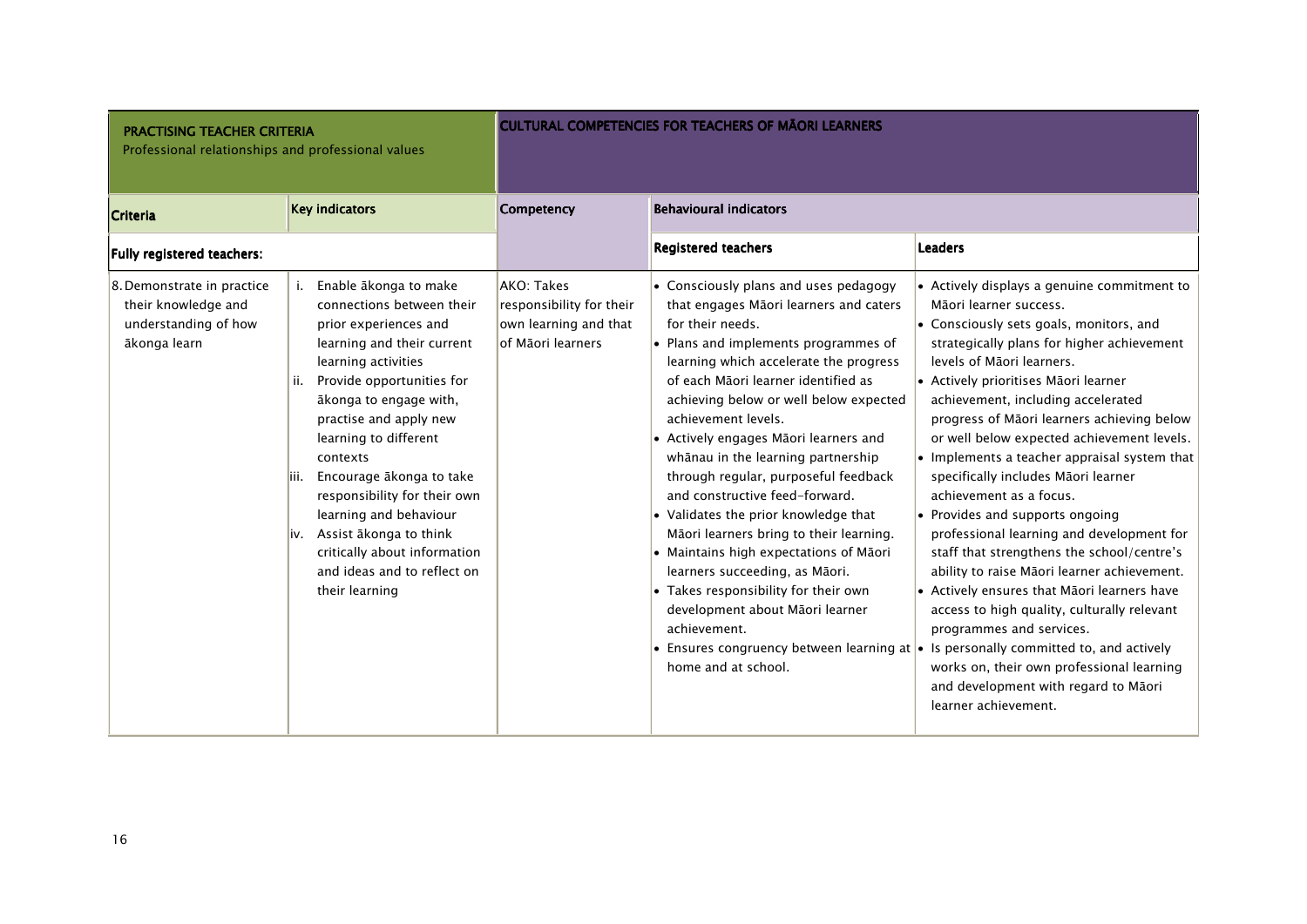| <b>PRACTISING TEACHER CRITERIA</b><br>Professional relationships and professional values  |                                                                                                                                                                                                                                                                                                                                                                                                                                                                                 |                                                                                      | <b>CULTURAL COMPETENCIES FOR TEACHERS OF MAORI LEARNERS</b>                                                                                                                                                                                                                                                                                                                                                                                                                                                                                                                                                                                                                                                                             |                                                                                                                                                                                                                                                                                                                                                                                                                                                                                                                                                                                                                                                                                                                                                                                                                                                                                                                                                                                                          |
|-------------------------------------------------------------------------------------------|---------------------------------------------------------------------------------------------------------------------------------------------------------------------------------------------------------------------------------------------------------------------------------------------------------------------------------------------------------------------------------------------------------------------------------------------------------------------------------|--------------------------------------------------------------------------------------|-----------------------------------------------------------------------------------------------------------------------------------------------------------------------------------------------------------------------------------------------------------------------------------------------------------------------------------------------------------------------------------------------------------------------------------------------------------------------------------------------------------------------------------------------------------------------------------------------------------------------------------------------------------------------------------------------------------------------------------------|----------------------------------------------------------------------------------------------------------------------------------------------------------------------------------------------------------------------------------------------------------------------------------------------------------------------------------------------------------------------------------------------------------------------------------------------------------------------------------------------------------------------------------------------------------------------------------------------------------------------------------------------------------------------------------------------------------------------------------------------------------------------------------------------------------------------------------------------------------------------------------------------------------------------------------------------------------------------------------------------------------|
| Criteria                                                                                  | <b>Key indicators</b>                                                                                                                                                                                                                                                                                                                                                                                                                                                           | Competency                                                                           | <b>Behavioural indicators</b>                                                                                                                                                                                                                                                                                                                                                                                                                                                                                                                                                                                                                                                                                                           |                                                                                                                                                                                                                                                                                                                                                                                                                                                                                                                                                                                                                                                                                                                                                                                                                                                                                                                                                                                                          |
| Fully registered teachers:                                                                |                                                                                                                                                                                                                                                                                                                                                                                                                                                                                 |                                                                                      | <b>Registered teachers</b>                                                                                                                                                                                                                                                                                                                                                                                                                                                                                                                                                                                                                                                                                                              | <b>Leaders</b>                                                                                                                                                                                                                                                                                                                                                                                                                                                                                                                                                                                                                                                                                                                                                                                                                                                                                                                                                                                           |
| 8. Demonstrate in practice<br>their knowledge and<br>understanding of how<br>ākonga learn | Enable ākonga to make<br>connections between their<br>prior experiences and<br>learning and their current<br>learning activities<br>Provide opportunities for<br>ii.<br>ākonga to engage with,<br>practise and apply new<br>learning to different<br>contexts<br>Encourage ākonga to take<br>liii.<br>responsibility for their own<br>learning and behaviour<br>Assist ākonga to think<br>liv.<br>critically about information<br>and ideas and to reflect on<br>their learning | AKO: Takes<br>responsibility for their<br>own learning and that<br>of Māori learners | • Consciously plans and uses pedagogy<br>that engages Māori learners and caters<br>for their needs.<br>• Plans and implements programmes of<br>learning which accelerate the progress<br>of each Māori learner identified as<br>achieving below or well below expected<br>achievement levels.<br>• Actively engages Māori learners and<br>whānau in the learning partnership<br>through regular, purposeful feedback<br>and constructive feed-forward.<br>• Validates the prior knowledge that<br>Māori learners bring to their learning.<br>• Maintains high expectations of Māori<br>learners succeeding, as Māori.<br>• Takes responsibility for their own<br>development about Māori learner<br>achievement.<br>home and at school. | • Actively displays a genuine commitment to<br>Māori learner success.<br>• Consciously sets goals, monitors, and<br>strategically plans for higher achievement<br>levels of Māori learners.<br>• Actively prioritises Māori learner<br>achievement, including accelerated<br>progress of Māori learners achieving below<br>or well below expected achievement levels.<br>• Implements a teacher appraisal system that<br>specifically includes Māori learner<br>achievement as a focus.<br>• Provides and supports ongoing<br>professional learning and development for<br>staff that strengthens the school/centre's<br>ability to raise Māori learner achievement.<br>• Actively ensures that Māori learners have<br>access to high quality, culturally relevant<br>programmes and services.<br>• Ensures congruency between learning at $\cdot$ Is personally committed to, and actively<br>works on, their own professional learning<br>and development with regard to Māori<br>learner achievement. |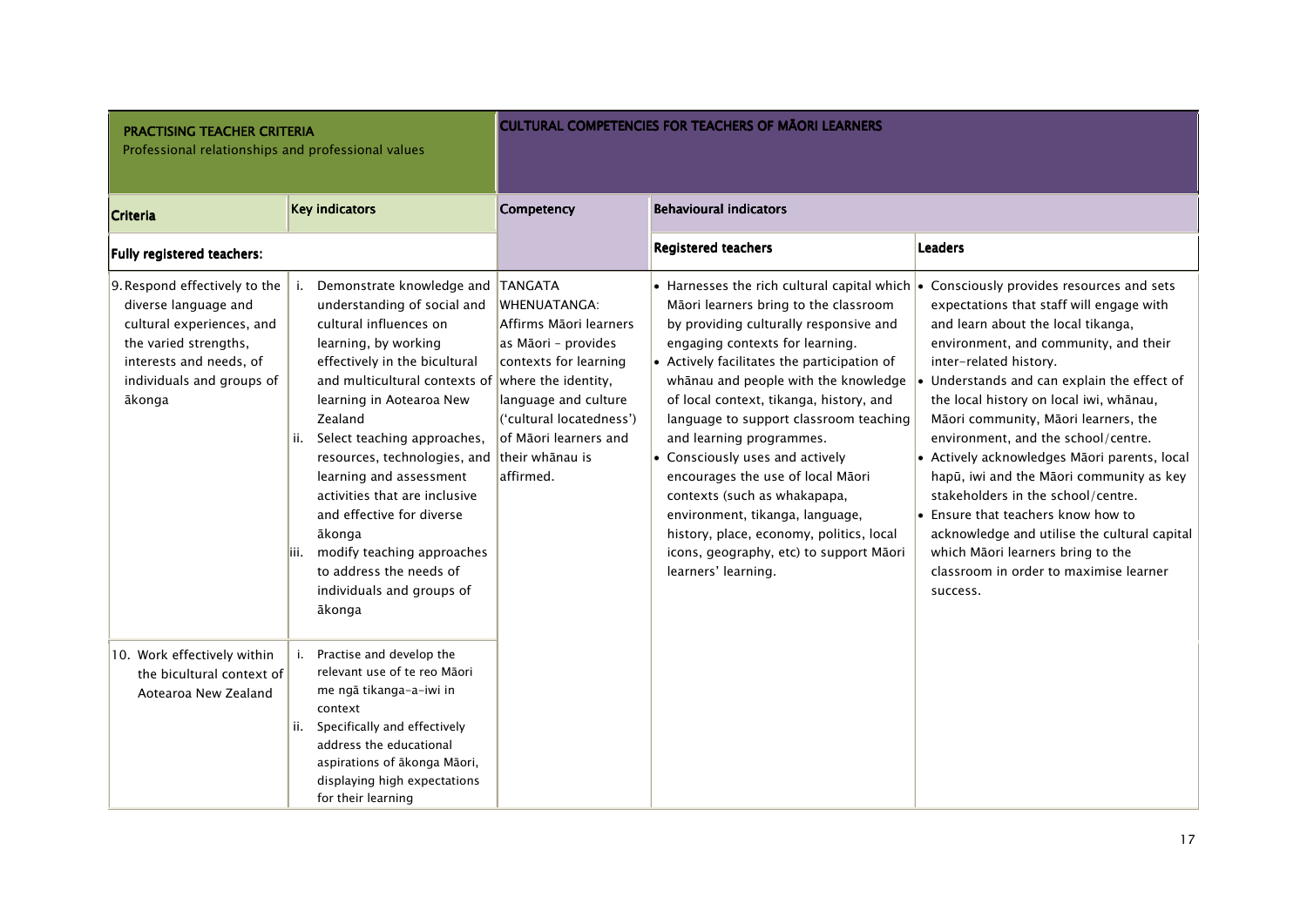| <b>PRACTISING TEACHER CRITERIA</b><br>Professional relationships and professional values                                                                                      |                                                                                                                                                                                                                                                                                                                                                                                                                                                                                                                                        |                                                                                                                                                                                                             | <b>CULTURAL COMPETENCIES FOR TEACHERS OF MAORI LEARNERS</b>                                                                                                                                                                                                                                                                                                                                                                                                                                                                                                                                                                                |                                                                                                                                                                                                                                                                                                                                                                                                                                                                                                                                                                                                                                                                                                  |
|-------------------------------------------------------------------------------------------------------------------------------------------------------------------------------|----------------------------------------------------------------------------------------------------------------------------------------------------------------------------------------------------------------------------------------------------------------------------------------------------------------------------------------------------------------------------------------------------------------------------------------------------------------------------------------------------------------------------------------|-------------------------------------------------------------------------------------------------------------------------------------------------------------------------------------------------------------|--------------------------------------------------------------------------------------------------------------------------------------------------------------------------------------------------------------------------------------------------------------------------------------------------------------------------------------------------------------------------------------------------------------------------------------------------------------------------------------------------------------------------------------------------------------------------------------------------------------------------------------------|--------------------------------------------------------------------------------------------------------------------------------------------------------------------------------------------------------------------------------------------------------------------------------------------------------------------------------------------------------------------------------------------------------------------------------------------------------------------------------------------------------------------------------------------------------------------------------------------------------------------------------------------------------------------------------------------------|
| <b>Criteria</b>                                                                                                                                                               | <b>Key indicators</b>                                                                                                                                                                                                                                                                                                                                                                                                                                                                                                                  | Competency                                                                                                                                                                                                  | <b>Behavioural indicators</b>                                                                                                                                                                                                                                                                                                                                                                                                                                                                                                                                                                                                              |                                                                                                                                                                                                                                                                                                                                                                                                                                                                                                                                                                                                                                                                                                  |
| Fully registered teachers:                                                                                                                                                    |                                                                                                                                                                                                                                                                                                                                                                                                                                                                                                                                        |                                                                                                                                                                                                             | <b>Registered teachers</b>                                                                                                                                                                                                                                                                                                                                                                                                                                                                                                                                                                                                                 | <b>Leaders</b>                                                                                                                                                                                                                                                                                                                                                                                                                                                                                                                                                                                                                                                                                   |
| 9. Respond effectively to the<br>diverse language and<br>cultural experiences, and<br>the varied strengths,<br>interests and needs, of<br>individuals and groups of<br>ākonga | Demonstrate knowledge and TANGATA<br>i.<br>understanding of social and<br>cultural influences on<br>learning, by working<br>effectively in the bicultural<br>and multicultural contexts of where the identity,<br>learning in Aotearoa New<br>Zealand<br>Select teaching approaches,<br>ii.<br>resources, technologies, and<br>learning and assessment<br>activities that are inclusive<br>and effective for diverse<br>ākonga<br>modify teaching approaches<br>iii.<br>to address the needs of<br>individuals and groups of<br>ākonga | <b>WHENUATANGA:</b><br>Affirms Māori learners<br>as Māori - provides<br>contexts for learning<br>language and culture<br>('cultural locatedness')<br>lof Māori learners and<br>their whānau is<br>affirmed. | • Harnesses the rich cultural capital which $\cdot$<br>Māori learners bring to the classroom<br>by providing culturally responsive and<br>engaging contexts for learning.<br>• Actively facilitates the participation of<br>whānau and people with the knowledge<br>of local context, tikanga, history, and<br>language to support classroom teaching<br>and learning programmes.<br>• Consciously uses and actively<br>encourages the use of local Māori<br>contexts (such as whakapapa,<br>environment, tikanga, language,<br>history, place, economy, politics, local<br>icons, geography, etc) to support Māori<br>learners' learning. | Consciously provides resources and sets<br>expectations that staff will engage with<br>and learn about the local tikanga,<br>environment, and community, and their<br>inter-related history.<br>$\bullet$ Understands and can explain the effect of<br>the local history on local iwi, whānau,<br>Māori community, Māori learners, the<br>environment, and the school/centre.<br>• Actively acknowledges Māori parents, local<br>hapū, iwi and the Māori community as key<br>stakeholders in the school/centre.<br>• Ensure that teachers know how to<br>acknowledge and utilise the cultural capital<br>which Māori learners bring to the<br>classroom in order to maximise learner<br>success. |
| 10. Work effectively within<br>the bicultural context of<br>Aotearoa New Zealand                                                                                              | Practise and develop the<br>relevant use of te reo Māori<br>me ngā tikanga-a-iwi in<br>context<br>Specifically and effectively<br>ii.<br>address the educational<br>aspirations of ākonga Māori,<br>displaying high expectations<br>for their learning                                                                                                                                                                                                                                                                                 |                                                                                                                                                                                                             |                                                                                                                                                                                                                                                                                                                                                                                                                                                                                                                                                                                                                                            |                                                                                                                                                                                                                                                                                                                                                                                                                                                                                                                                                                                                                                                                                                  |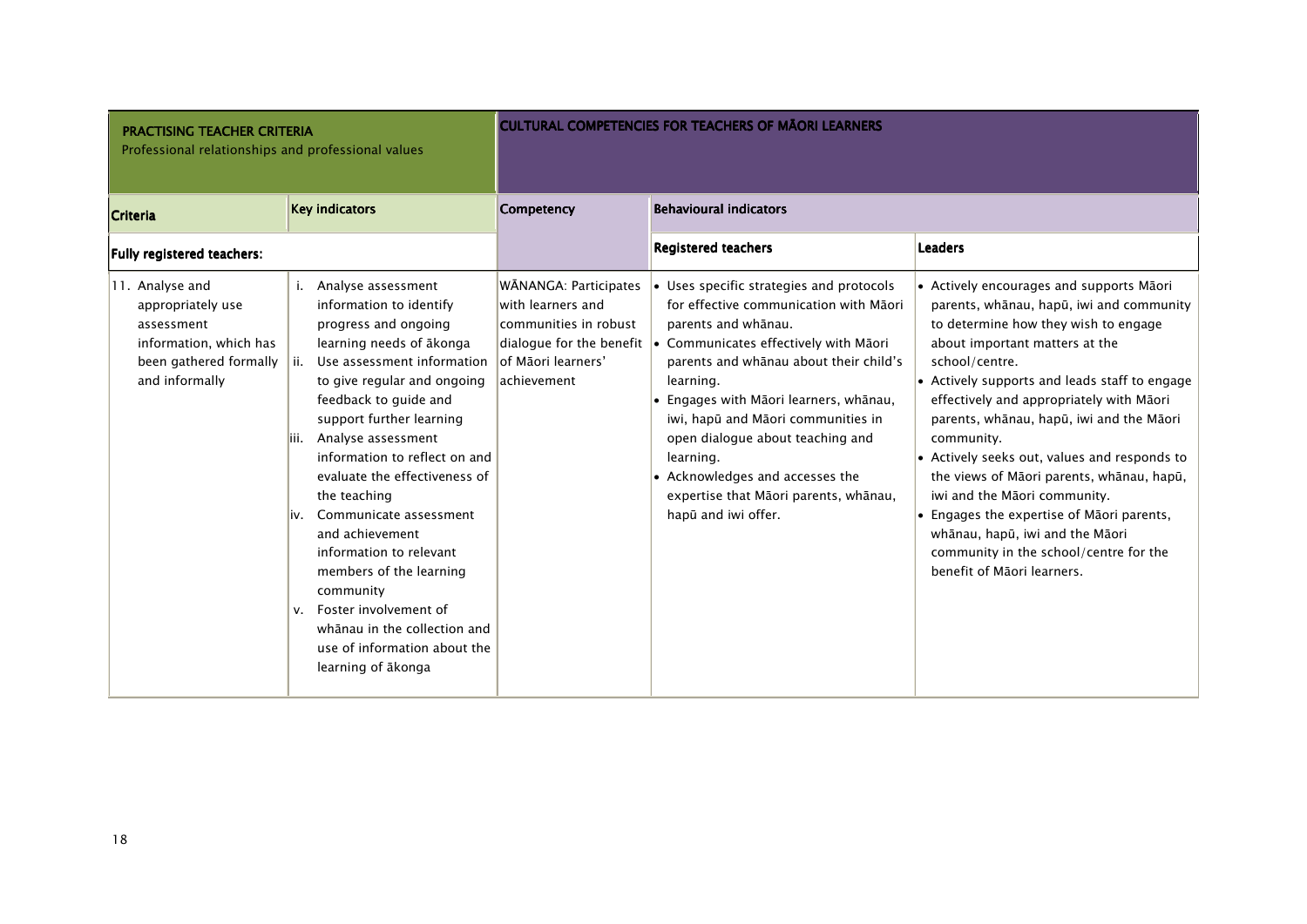| <b>PRACTISING TEACHER CRITERIA</b><br>Professional relationships and professional values                                 |                                                                                                                                                                                                                                                                                                                                                                                                                                                                                                                                                                                                |                                                                                                           | <b>CULTURAL COMPETENCIES FOR TEACHERS OF MAORI LEARNERS</b>                                                                                                                                                                                                                                                                                                                                                                                                            |                                                                                                                                                                                                                                                                                                                                                                                                                                                                                                                                                                                                                              |
|--------------------------------------------------------------------------------------------------------------------------|------------------------------------------------------------------------------------------------------------------------------------------------------------------------------------------------------------------------------------------------------------------------------------------------------------------------------------------------------------------------------------------------------------------------------------------------------------------------------------------------------------------------------------------------------------------------------------------------|-----------------------------------------------------------------------------------------------------------|------------------------------------------------------------------------------------------------------------------------------------------------------------------------------------------------------------------------------------------------------------------------------------------------------------------------------------------------------------------------------------------------------------------------------------------------------------------------|------------------------------------------------------------------------------------------------------------------------------------------------------------------------------------------------------------------------------------------------------------------------------------------------------------------------------------------------------------------------------------------------------------------------------------------------------------------------------------------------------------------------------------------------------------------------------------------------------------------------------|
| <b>Criteria</b>                                                                                                          | <b>Key indicators</b>                                                                                                                                                                                                                                                                                                                                                                                                                                                                                                                                                                          | <b>Competency</b>                                                                                         | <b>Behavioural indicators</b>                                                                                                                                                                                                                                                                                                                                                                                                                                          |                                                                                                                                                                                                                                                                                                                                                                                                                                                                                                                                                                                                                              |
| Fully registered teachers:                                                                                               |                                                                                                                                                                                                                                                                                                                                                                                                                                                                                                                                                                                                |                                                                                                           | <b>Registered teachers</b>                                                                                                                                                                                                                                                                                                                                                                                                                                             | <b>Leaders</b>                                                                                                                                                                                                                                                                                                                                                                                                                                                                                                                                                                                                               |
| 11. Analyse and<br>appropriately use<br>assessment<br>information, which has<br>been gathered formally<br>and informally | Analyse assessment<br>i.<br>information to identify<br>progress and ongoing<br>learning needs of akonga<br>Use assessment information<br>ii.<br>to give regular and ongoing<br>feedback to guide and<br>support further learning<br>Analyse assessment<br>liii.<br>information to reflect on and<br>evaluate the effectiveness of<br>the teaching<br>Communicate assessment<br>liv.<br>and achievement<br>information to relevant<br>members of the learning<br>community<br>Foster involvement of<br>V.<br>whānau in the collection and<br>use of information about the<br>learning of akonga | WĀNANGA: Participates<br>with learners and<br>communities in robust<br>lof Māori learners'<br>achievement | • Uses specific strategies and protocols<br>for effective communication with Māori<br>parents and whanau.<br>dialogue for the benefit   Communicates effectively with Māori<br>parents and whanau about their child's<br>learning.<br>· Engages with Māori learners, whānau,<br>iwi, hapū and Māori communities in<br>open dialogue about teaching and<br>learning.<br>• Acknowledges and accesses the<br>expertise that Māori parents, whānau,<br>hapū and iwi offer. | • Actively encourages and supports Māori<br>parents, whānau, hapū, iwi and community<br>to determine how they wish to engage<br>about important matters at the<br>school/centre.<br>• Actively supports and leads staff to engage<br>effectively and appropriately with Māori<br>parents, whānau, hapū, iwi and the Māori<br>community.<br>• Actively seeks out, values and responds to<br>the views of Māori parents, whānau, hapū,<br>iwi and the Māori community.<br>• Engages the expertise of Māori parents,<br>whānau, hapū, iwi and the Māori<br>community in the school/centre for the<br>benefit of Māori learners. |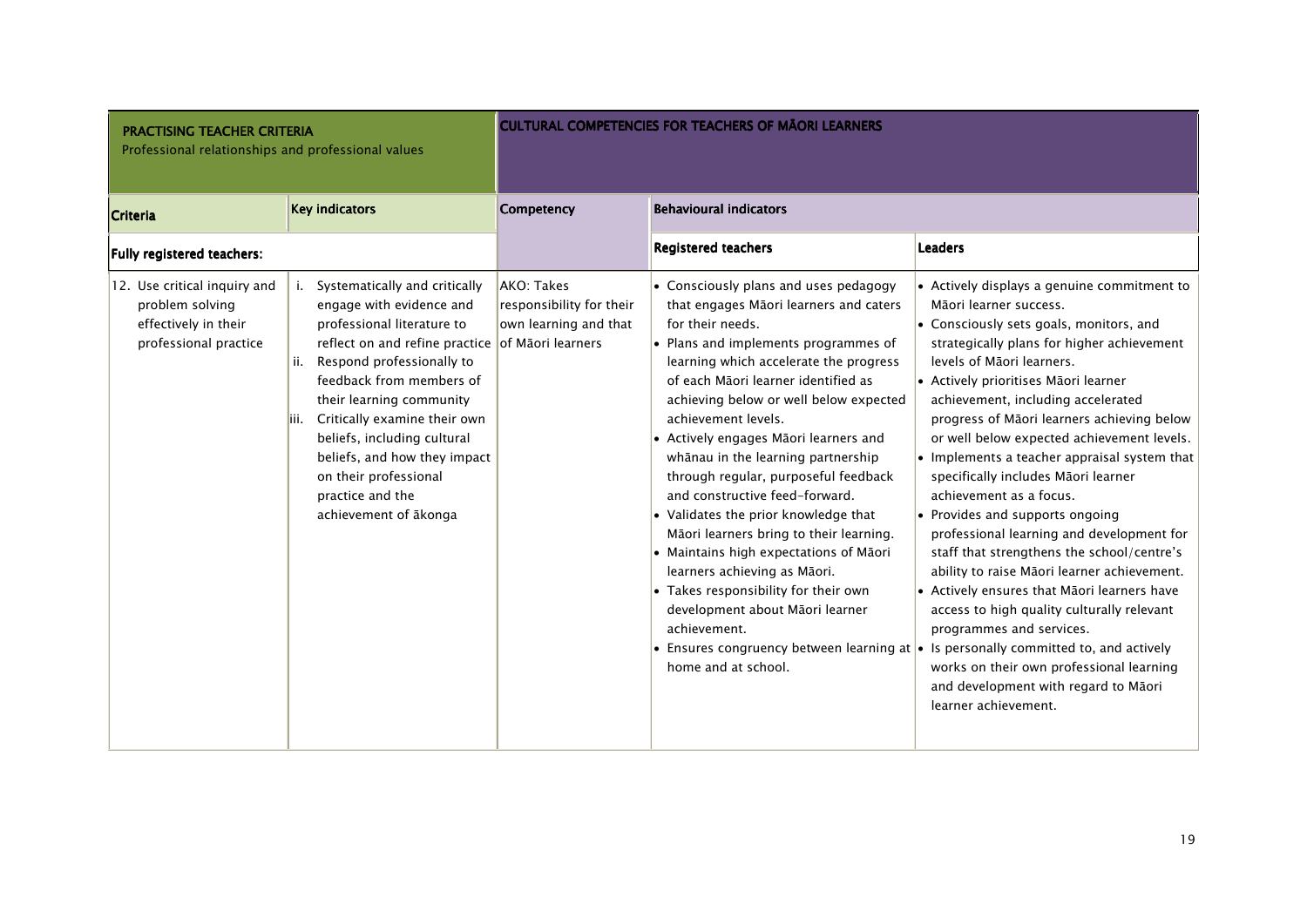| <b>PRACTISING TEACHER CRITERIA</b><br>Professional relationships and professional values         |                                                                                                                                                                                                                                                                                                                                                                                                                       |                                                                 | <b>CULTURAL COMPETENCIES FOR TEACHERS OF MAORI LEARNERS</b>                                                                                                                                                                                                                                                                                                                                                                                                                                                                                                                                                                                                                                                                           |                                                                                                                                                                                                                                                                                                                                                                                                                                                                                                                                                                                                                                                                                                                                                                                                                                                                                                                                                                                                          |
|--------------------------------------------------------------------------------------------------|-----------------------------------------------------------------------------------------------------------------------------------------------------------------------------------------------------------------------------------------------------------------------------------------------------------------------------------------------------------------------------------------------------------------------|-----------------------------------------------------------------|---------------------------------------------------------------------------------------------------------------------------------------------------------------------------------------------------------------------------------------------------------------------------------------------------------------------------------------------------------------------------------------------------------------------------------------------------------------------------------------------------------------------------------------------------------------------------------------------------------------------------------------------------------------------------------------------------------------------------------------|----------------------------------------------------------------------------------------------------------------------------------------------------------------------------------------------------------------------------------------------------------------------------------------------------------------------------------------------------------------------------------------------------------------------------------------------------------------------------------------------------------------------------------------------------------------------------------------------------------------------------------------------------------------------------------------------------------------------------------------------------------------------------------------------------------------------------------------------------------------------------------------------------------------------------------------------------------------------------------------------------------|
| <b>Criteria</b>                                                                                  | <b>Key indicators</b>                                                                                                                                                                                                                                                                                                                                                                                                 | Competency                                                      | <b>Behavioural indicators</b>                                                                                                                                                                                                                                                                                                                                                                                                                                                                                                                                                                                                                                                                                                         |                                                                                                                                                                                                                                                                                                                                                                                                                                                                                                                                                                                                                                                                                                                                                                                                                                                                                                                                                                                                          |
| Fully registered teachers:                                                                       |                                                                                                                                                                                                                                                                                                                                                                                                                       |                                                                 | <b>Registered teachers</b>                                                                                                                                                                                                                                                                                                                                                                                                                                                                                                                                                                                                                                                                                                            | <b>Leaders</b>                                                                                                                                                                                                                                                                                                                                                                                                                                                                                                                                                                                                                                                                                                                                                                                                                                                                                                                                                                                           |
| 12. Use critical inquiry and<br>problem solving<br>effectively in their<br>professional practice | Systematically and critically<br>engage with evidence and<br>professional literature to<br>reflect on and refine practice of Maori learners<br>Respond professionally to<br>ii.<br>feedback from members of<br>their learning community<br>Critically examine their own<br>liii.<br>beliefs, including cultural<br>beliefs, and how they impact<br>on their professional<br>practice and the<br>achievement of ākonga | AKO: Takes<br>responsibility for their<br>own learning and that | • Consciously plans and uses pedagogy<br>that engages Māori learners and caters<br>for their needs.<br>• Plans and implements programmes of<br>learning which accelerate the progress<br>of each Māori learner identified as<br>achieving below or well below expected<br>achievement levels.<br>• Actively engages Māori learners and<br>whānau in the learning partnership<br>through regular, purposeful feedback<br>and constructive feed-forward.<br>• Validates the prior knowledge that<br>Māori learners bring to their learning.<br>• Maintains high expectations of Māori<br>learners achieving as Māori.<br>• Takes responsibility for their own<br>development about Māori learner<br>achievement.<br>home and at school. | • Actively displays a genuine commitment to<br>Māori learner success.<br>• Consciously sets goals, monitors, and<br>strategically plans for higher achievement<br>levels of Māori learners.<br>• Actively prioritises Māori learner<br>achievement, including accelerated<br>progress of Māori learners achieving below<br>or well below expected achievement levels.<br>• Implements a teacher appraisal system that<br>specifically includes Māori learner<br>achievement as a focus.<br>• Provides and supports ongoing<br>professional learning and development for<br>staff that strengthens the school/centre's<br>ability to raise Māori learner achievement.<br>• Actively ensures that Māori learners have<br>access to high quality culturally relevant<br>programmes and services.<br>• Ensures congruency between learning at $\bullet$ Is personally committed to, and actively<br>works on their own professional learning<br>and development with regard to Māori<br>learner achievement. |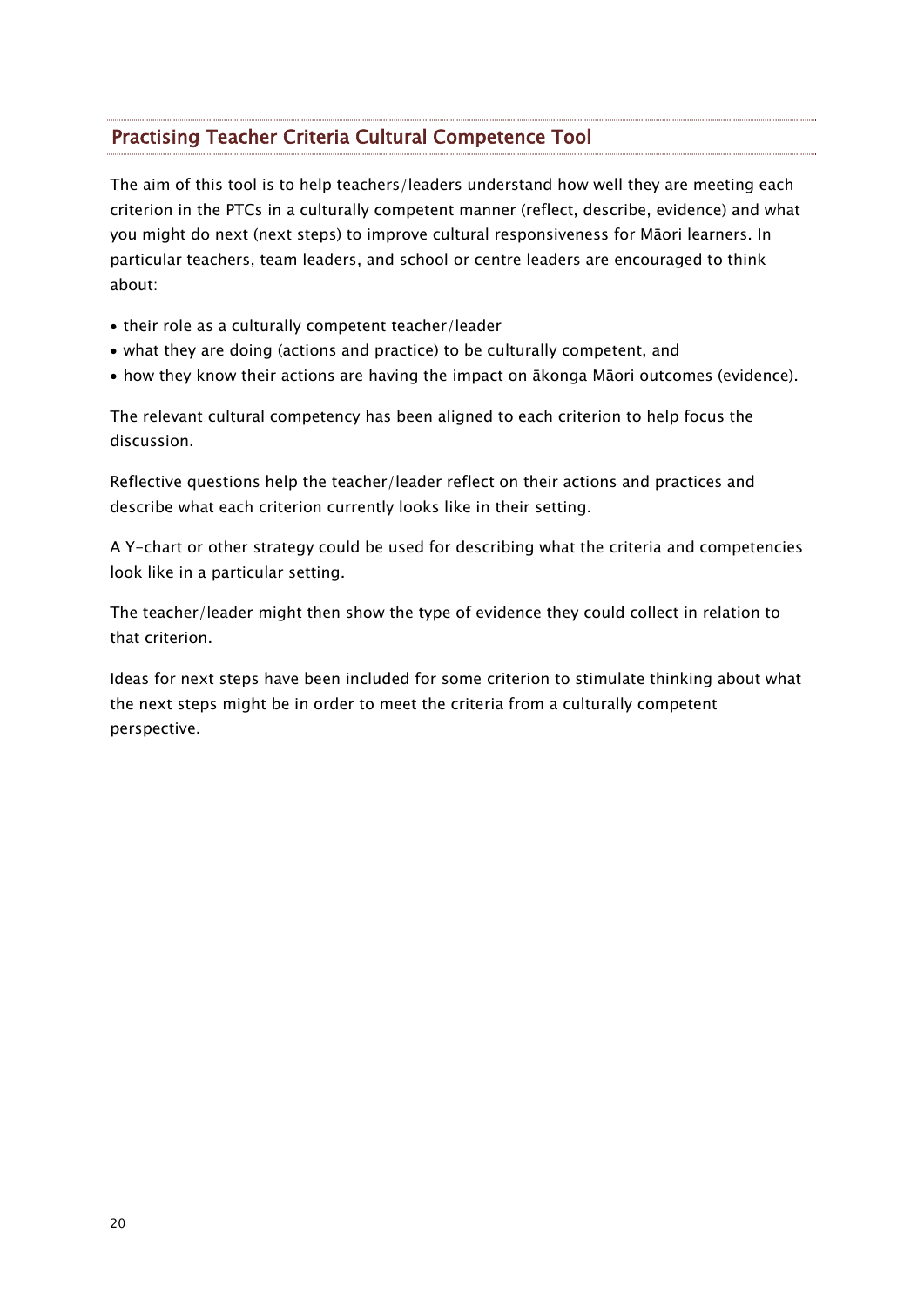## Practising Teacher Criteria Cultural Competence Tool

The aim of this tool is to help teachers/leaders understand how well they are meeting each criterion in the PTCs in a culturally competent manner (reflect, describe, evidence) and what you might do next (next steps) to improve cultural responsiveness for Māori learners. In particular teachers, team leaders, and school or centre leaders are encouraged to think about:

- their role as a culturally competent teacher/leader
- what they are doing (actions and practice) to be culturally competent, and
- how they know their actions are having the impact on ākonga Māori outcomes (evidence).

The relevant cultural competency has been aligned to each criterion to help focus the discussion.

Reflective questions help the teacher/leader reflect on their actions and practices and describe what each criterion currently looks like in their setting.

A Y-chart or other strategy could be used for describing what the criteria and competencies look like in a particular setting.

The teacher/leader might then show the type of evidence they could collect in relation to that criterion.

Ideas for next steps have been included for some criterion to stimulate thinking about what the next steps might be in order to meet the criteria from a culturally competent perspective.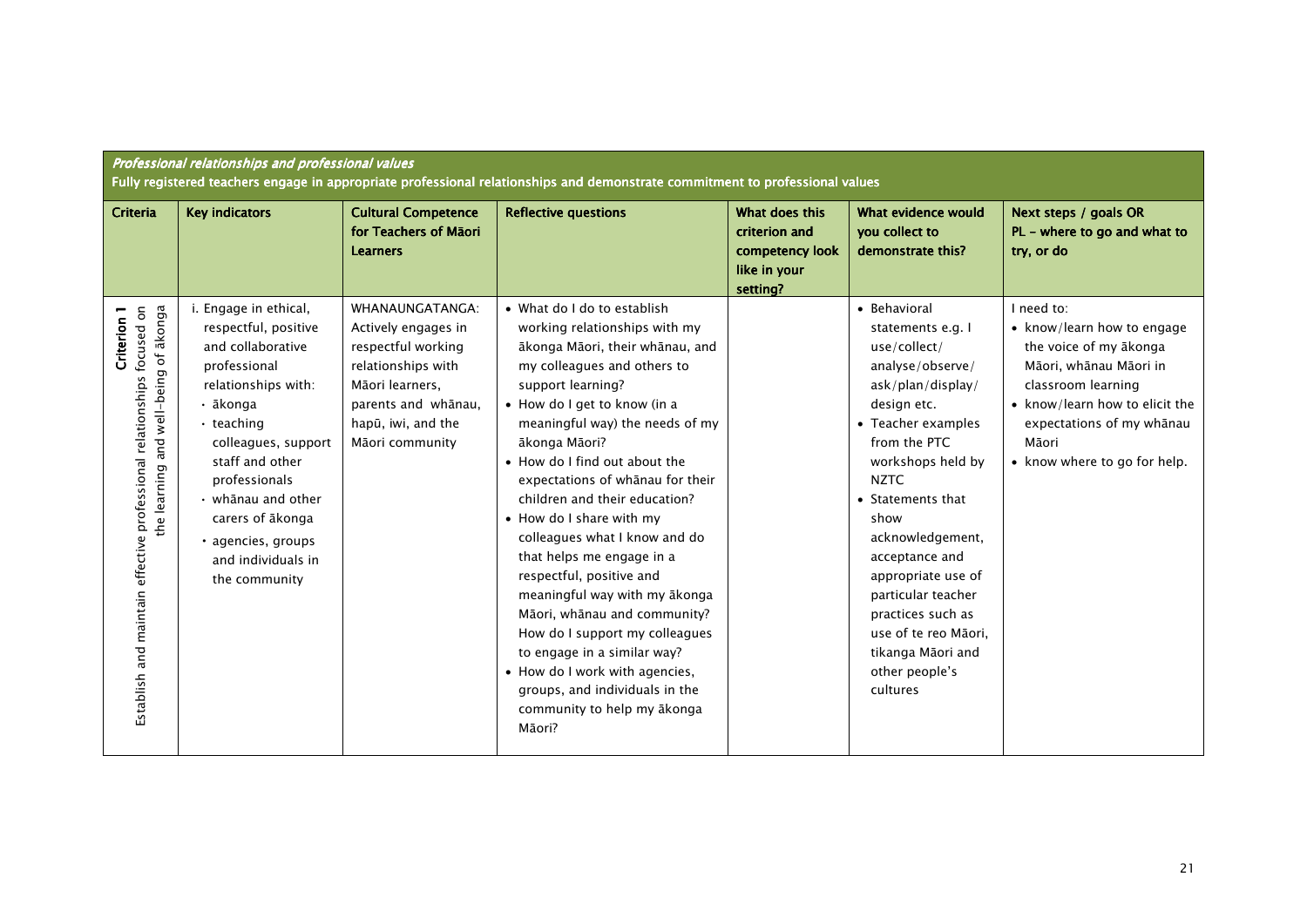| Professional relationships and professional values<br>Fully registered teachers engage in appropriate professional relationships and demonstrate commitment to professional values |                                                                                                                                                                                                                                                                                                                   |                                                                                                                                                                       |                                                                                                                                                                                                                                                                                                                                                                                                                                                                                                                                                                                                                                                                                                                    |                                                                                |                                                                                                                                                                                                                                                                                                                                                                                                    |                                                                                                                                                                                                                            |  |
|------------------------------------------------------------------------------------------------------------------------------------------------------------------------------------|-------------------------------------------------------------------------------------------------------------------------------------------------------------------------------------------------------------------------------------------------------------------------------------------------------------------|-----------------------------------------------------------------------------------------------------------------------------------------------------------------------|--------------------------------------------------------------------------------------------------------------------------------------------------------------------------------------------------------------------------------------------------------------------------------------------------------------------------------------------------------------------------------------------------------------------------------------------------------------------------------------------------------------------------------------------------------------------------------------------------------------------------------------------------------------------------------------------------------------------|--------------------------------------------------------------------------------|----------------------------------------------------------------------------------------------------------------------------------------------------------------------------------------------------------------------------------------------------------------------------------------------------------------------------------------------------------------------------------------------------|----------------------------------------------------------------------------------------------------------------------------------------------------------------------------------------------------------------------------|--|
| Criteria                                                                                                                                                                           | <b>Key indicators</b>                                                                                                                                                                                                                                                                                             | <b>Cultural Competence</b><br>for Teachers of Māori<br><b>Learners</b>                                                                                                | <b>Reflective questions</b>                                                                                                                                                                                                                                                                                                                                                                                                                                                                                                                                                                                                                                                                                        | What does this<br>criterion and<br>competency look<br>like in your<br>setting? | What evidence would<br>you collect to<br>demonstrate this?                                                                                                                                                                                                                                                                                                                                         | Next steps / goals OR<br>PL - where to go and what to<br>try, or do                                                                                                                                                        |  |
| Establish and maintain effective professional relationships focused on<br>the learning and well-being of ākonga<br>Criterion 1                                                     | i. Engage in ethical,<br>respectful, positive<br>and collaborative<br>professional<br>relationships with:<br>• ākonga<br>$\cdot$ teaching<br>colleagues, support<br>staff and other<br>professionals<br>$\cdot$ whānau and other<br>carers of ākonga<br>· agencies, groups<br>and individuals in<br>the community | WHANAUNGATANGA:<br>Actively engages in<br>respectful working<br>relationships with<br>Māori learners,<br>parents and whanau,<br>hapū, iwi, and the<br>Māori community | • What do I do to establish<br>working relationships with my<br>ākonga Māori, their whānau, and<br>my colleagues and others to<br>support learning?<br>• How do I get to know (in a<br>meaningful way) the needs of my<br>ākonga Māori?<br>• How do I find out about the<br>expectations of whanau for their<br>children and their education?<br>• How do I share with my<br>colleagues what I know and do<br>that helps me engage in a<br>respectful, positive and<br>meaningful way with my ākonga<br>Māori, whānau and community?<br>How do I support my colleagues<br>to engage in a similar way?<br>• How do I work with agencies,<br>groups, and individuals in the<br>community to help my ākonga<br>Māori? |                                                                                | • Behavioral<br>statements e.g. I<br>use/collect/<br>analyse/observe/<br>ask/plan/display/<br>design etc.<br>• Teacher examples<br>from the PTC<br>workshops held by<br><b>NZTC</b><br>• Statements that<br>show<br>acknowledgement,<br>acceptance and<br>appropriate use of<br>particular teacher<br>practices such as<br>use of te reo Māori,<br>tikanga Māori and<br>other people's<br>cultures | I need to:<br>• know/learn how to engage<br>the voice of my ākonga<br>Māori, whānau Māori in<br>classroom learning<br>• know/learn how to elicit the<br>expectations of my whanau<br>Māori<br>• know where to go for help. |  |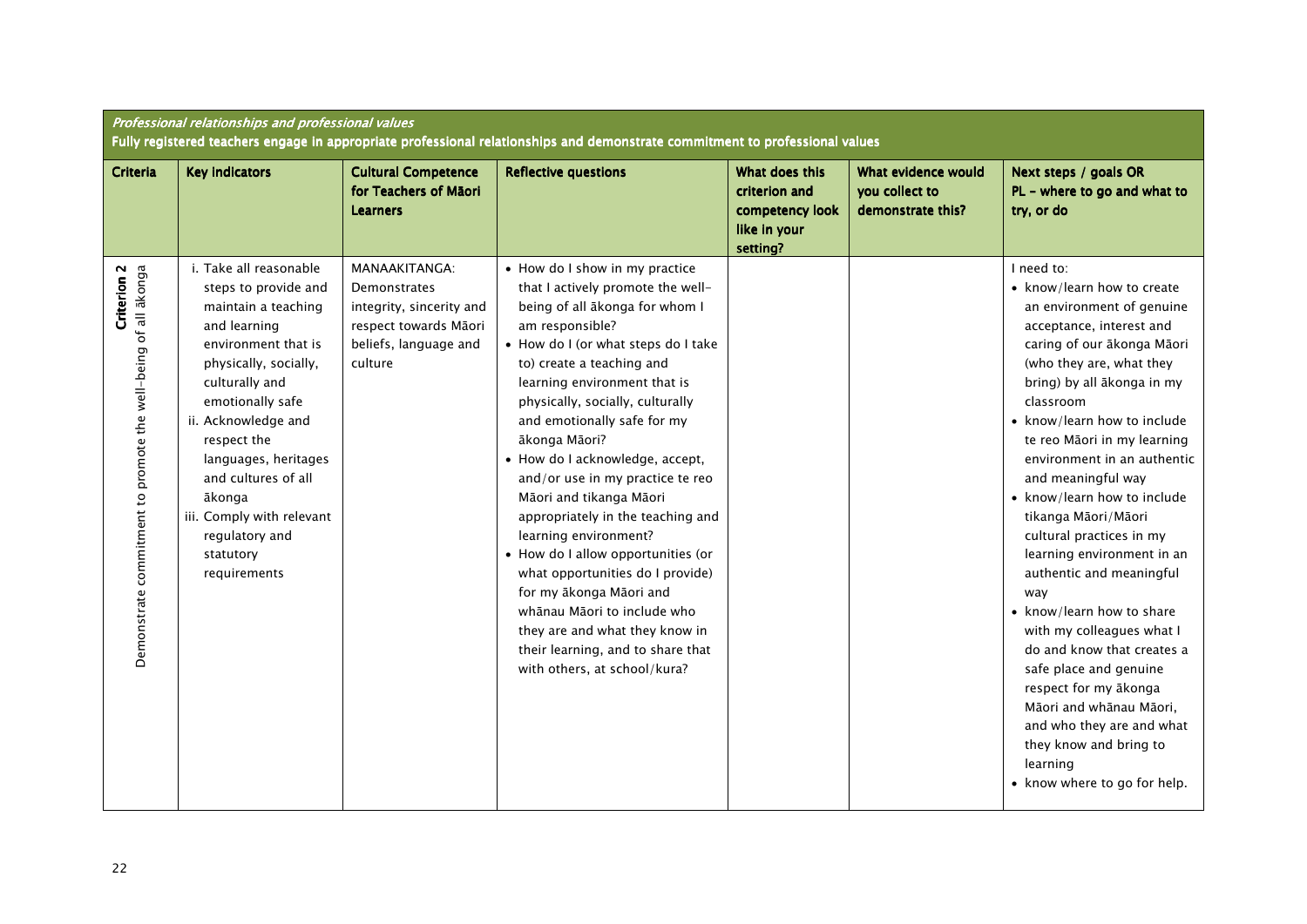|                                                                                          | Professional relationships and professional values<br>Fully registered teachers engage in appropriate professional relationships and demonstrate commitment to professional values                                                                                                                                                                     |                                                                                                                               |                                                                                                                                                                                                                                                                                                                                                                                                                                                                                                                                                                                                                                                                                                                             |                                                                                |                                                            |                                                                                                                                                                                                                                                                                                                                                                                                                                                                                                                                                                                                                                                                                                                                                       |  |  |
|------------------------------------------------------------------------------------------|--------------------------------------------------------------------------------------------------------------------------------------------------------------------------------------------------------------------------------------------------------------------------------------------------------------------------------------------------------|-------------------------------------------------------------------------------------------------------------------------------|-----------------------------------------------------------------------------------------------------------------------------------------------------------------------------------------------------------------------------------------------------------------------------------------------------------------------------------------------------------------------------------------------------------------------------------------------------------------------------------------------------------------------------------------------------------------------------------------------------------------------------------------------------------------------------------------------------------------------------|--------------------------------------------------------------------------------|------------------------------------------------------------|-------------------------------------------------------------------------------------------------------------------------------------------------------------------------------------------------------------------------------------------------------------------------------------------------------------------------------------------------------------------------------------------------------------------------------------------------------------------------------------------------------------------------------------------------------------------------------------------------------------------------------------------------------------------------------------------------------------------------------------------------------|--|--|
| Criteria                                                                                 | <b>Key indicators</b>                                                                                                                                                                                                                                                                                                                                  | <b>Cultural Competence</b><br>for Teachers of Māori<br><b>Learners</b>                                                        | <b>Reflective questions</b>                                                                                                                                                                                                                                                                                                                                                                                                                                                                                                                                                                                                                                                                                                 | What does this<br>criterion and<br>competency look<br>like in your<br>setting? | What evidence would<br>you collect to<br>demonstrate this? | Next steps / goals OR<br>PL - where to go and what to<br>try, or do                                                                                                                                                                                                                                                                                                                                                                                                                                                                                                                                                                                                                                                                                   |  |  |
| Demonstrate commitment to promote the well-being of all akonga<br>Criterion <sub>2</sub> | i. Take all reasonable<br>steps to provide and<br>maintain a teaching<br>and learning<br>environment that is<br>physically, socially,<br>culturally and<br>emotionally safe<br>ii. Acknowledge and<br>respect the<br>languages, heritages<br>and cultures of all<br>ākonga<br>iii. Comply with relevant<br>regulatory and<br>statutory<br>requirements | MANAAKITANGA:<br><b>Demonstrates</b><br>integrity, sincerity and<br>respect towards Māori<br>beliefs, language and<br>culture | • How do I show in my practice<br>that I actively promote the well-<br>being of all ākonga for whom I<br>am responsible?<br>• How do I (or what steps do I take<br>to) create a teaching and<br>learning environment that is<br>physically, socially, culturally<br>and emotionally safe for my<br>ākonga Māori?<br>• How do I acknowledge, accept,<br>and/or use in my practice te reo<br>Māori and tikanga Māori<br>appropriately in the teaching and<br>learning environment?<br>• How do I allow opportunities (or<br>what opportunities do I provide)<br>for my ākonga Māori and<br>whānau Māori to include who<br>they are and what they know in<br>their learning, and to share that<br>with others, at school/kura? |                                                                                |                                                            | I need to:<br>• know/learn how to create<br>an environment of genuine<br>acceptance, interest and<br>caring of our ākonga Māori<br>(who they are, what they<br>bring) by all ākonga in my<br>classroom<br>• know/learn how to include<br>te reo Māori in my learning<br>environment in an authentic<br>and meaningful way<br>• know/learn how to include<br>tikanga Māori/Māori<br>cultural practices in my<br>learning environment in an<br>authentic and meaningful<br>way<br>• know/learn how to share<br>with my colleagues what I<br>do and know that creates a<br>safe place and genuine<br>respect for my ākonga<br>Māori and whānau Māori,<br>and who they are and what<br>they know and bring to<br>learning<br>• know where to go for help. |  |  |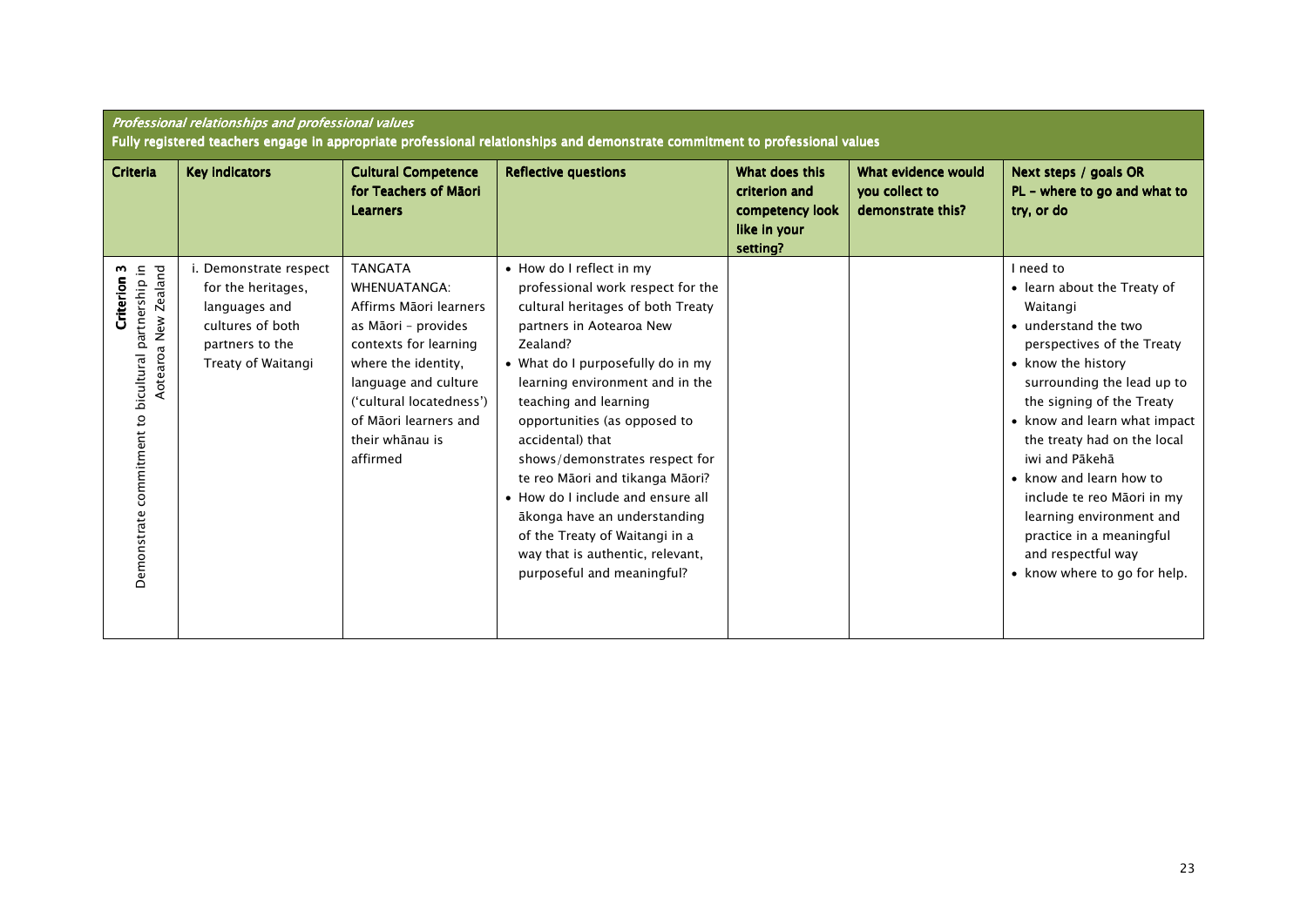|                                                                                                      | Professional relationships and professional values<br>Fully registered teachers engage in appropriate professional relationships and demonstrate commitment to professional values |                                                                                                                                                                                                                                                    |                                                                                                                                                                                                                                                                                                                                                                                                                                                                                                                                               |                                                                                |                                                            |                                                                                                                                                                                                                                                                                                                                                                                                                                                     |  |  |
|------------------------------------------------------------------------------------------------------|------------------------------------------------------------------------------------------------------------------------------------------------------------------------------------|----------------------------------------------------------------------------------------------------------------------------------------------------------------------------------------------------------------------------------------------------|-----------------------------------------------------------------------------------------------------------------------------------------------------------------------------------------------------------------------------------------------------------------------------------------------------------------------------------------------------------------------------------------------------------------------------------------------------------------------------------------------------------------------------------------------|--------------------------------------------------------------------------------|------------------------------------------------------------|-----------------------------------------------------------------------------------------------------------------------------------------------------------------------------------------------------------------------------------------------------------------------------------------------------------------------------------------------------------------------------------------------------------------------------------------------------|--|--|
| <b>Criteria</b>                                                                                      | <b>Key indicators</b>                                                                                                                                                              | <b>Cultural Competence</b><br>for Teachers of Māori<br><b>Learners</b>                                                                                                                                                                             | <b>Reflective questions</b>                                                                                                                                                                                                                                                                                                                                                                                                                                                                                                                   | What does this<br>criterion and<br>competency look<br>like in your<br>setting? | What evidence would<br>you collect to<br>demonstrate this? | Next steps / goals OR<br>PL - where to go and what to<br>try, or do                                                                                                                                                                                                                                                                                                                                                                                 |  |  |
| Demonstrate commitment to bicultural partnership in<br>Aotearoa New Zealand<br>m<br><b>Criterion</b> | i. Demonstrate respect<br>for the heritages,<br>languages and<br>cultures of both<br>partners to the<br>Treaty of Waitangi                                                         | <b>TANGATA</b><br><b>WHENUATANGA:</b><br>Affirms Māori learners<br>as Māori - provides<br>contexts for learning<br>where the identity,<br>language and culture<br>('cultural locatedness')<br>of Māori learners and<br>their whānau is<br>affirmed | • How do I reflect in my<br>professional work respect for the<br>cultural heritages of both Treaty<br>partners in Aotearoa New<br>Zealand?<br>• What do I purposefully do in my<br>learning environment and in the<br>teaching and learning<br>opportunities (as opposed to<br>accidental) that<br>shows/demonstrates respect for<br>te reo Māori and tikanga Māori?<br>• How do I include and ensure all<br>ākonga have an understanding<br>of the Treaty of Waitangi in a<br>way that is authentic, relevant,<br>purposeful and meaningful? |                                                                                |                                                            | I need to<br>• learn about the Treaty of<br>Waitangi<br>• understand the two<br>perspectives of the Treaty<br>• know the history<br>surrounding the lead up to<br>the signing of the Treaty<br>• know and learn what impact<br>the treaty had on the local<br>iwi and Pākehā<br>• know and learn how to<br>include te reo Māori in my<br>learning environment and<br>practice in a meaningful<br>and respectful way<br>• know where to go for help. |  |  |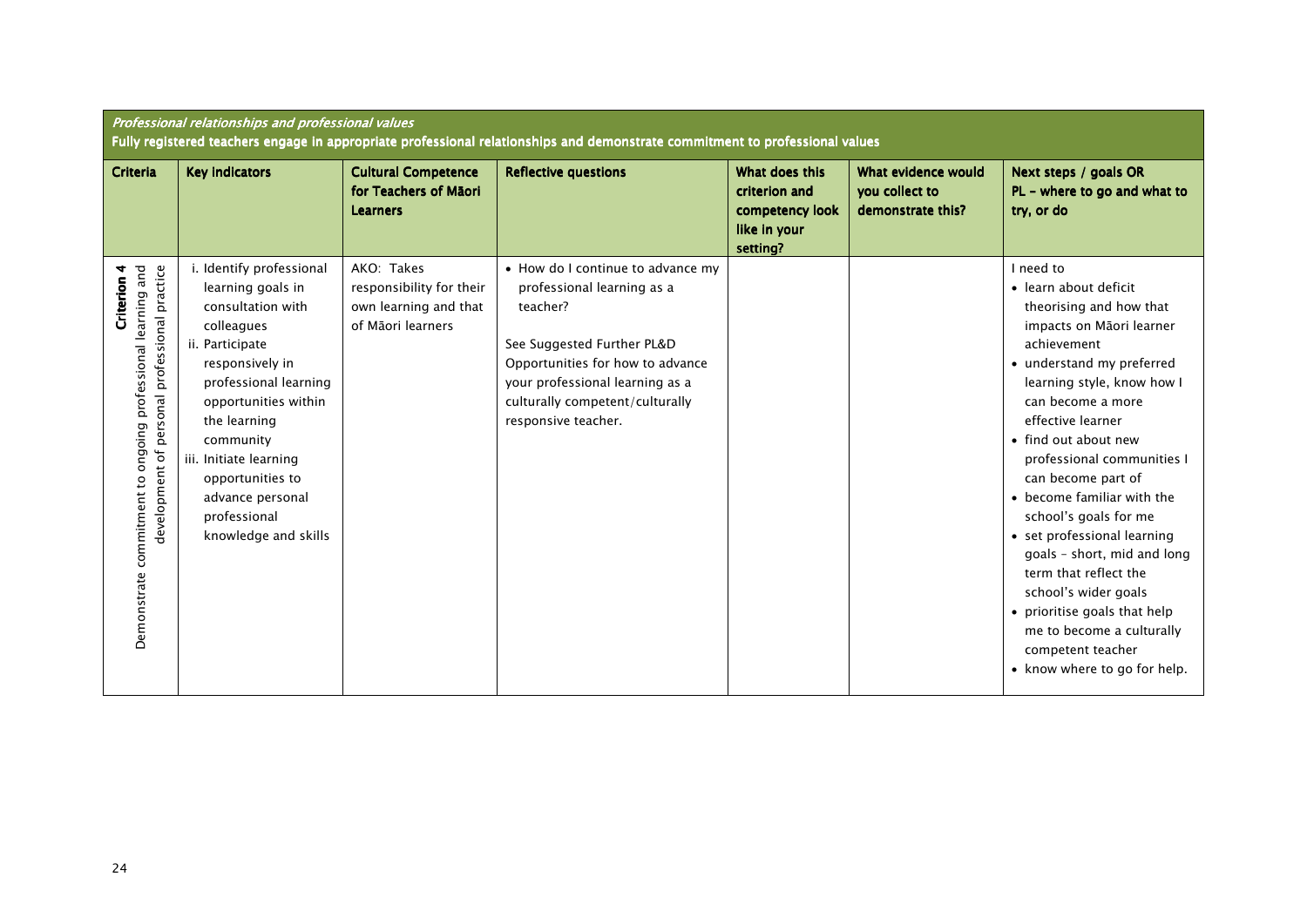|                                                                                                                                   | Professional relationships and professional values<br>Fully registered teachers engage in appropriate professional relationships and demonstrate commitment to professional values                                                                                                                             |                                                                                      |                                                                                                                                                                                                                                            |                                                                                |                                                            |                                                                                                                                                                                                                                                                                                                                                                                                                                                                                                                                                                                   |  |  |
|-----------------------------------------------------------------------------------------------------------------------------------|----------------------------------------------------------------------------------------------------------------------------------------------------------------------------------------------------------------------------------------------------------------------------------------------------------------|--------------------------------------------------------------------------------------|--------------------------------------------------------------------------------------------------------------------------------------------------------------------------------------------------------------------------------------------|--------------------------------------------------------------------------------|------------------------------------------------------------|-----------------------------------------------------------------------------------------------------------------------------------------------------------------------------------------------------------------------------------------------------------------------------------------------------------------------------------------------------------------------------------------------------------------------------------------------------------------------------------------------------------------------------------------------------------------------------------|--|--|
| <b>Criteria</b>                                                                                                                   | <b>Key indicators</b>                                                                                                                                                                                                                                                                                          | <b>Cultural Competence</b><br>for Teachers of Māori<br><b>Learners</b>               | <b>Reflective questions</b>                                                                                                                                                                                                                | What does this<br>criterion and<br>competency look<br>like in your<br>setting? | What evidence would<br>you collect to<br>demonstrate this? | Next steps / goals OR<br>PL - where to go and what to<br>try, or do                                                                                                                                                                                                                                                                                                                                                                                                                                                                                                               |  |  |
| ongoing professional learning and<br>personal professional practice<br>Criterion 4<br>development of<br>Demonstrate commitment to | i. Identify professional<br>learning goals in<br>consultation with<br>colleagues<br>ii. Participate<br>responsively in<br>professional learning<br>opportunities within<br>the learning<br>community<br>iii. Initiate learning<br>opportunities to<br>advance personal<br>professional<br>knowledge and skills | AKO: Takes<br>responsibility for their<br>own learning and that<br>of Māori learners | • How do I continue to advance my<br>professional learning as a<br>teacher?<br>See Suggested Further PL&D<br>Opportunities for how to advance<br>your professional learning as a<br>culturally competent/culturally<br>responsive teacher. |                                                                                |                                                            | I need to<br>• learn about deficit<br>theorising and how that<br>impacts on Māori learner<br>achievement<br>• understand my preferred<br>learning style, know how I<br>can become a more<br>effective learner<br>• find out about new<br>professional communities I<br>can become part of<br>• become familiar with the<br>school's goals for me<br>• set professional learning<br>goals - short, mid and long<br>term that reflect the<br>school's wider goals<br>• prioritise goals that help<br>me to become a culturally<br>competent teacher<br>• know where to go for help. |  |  |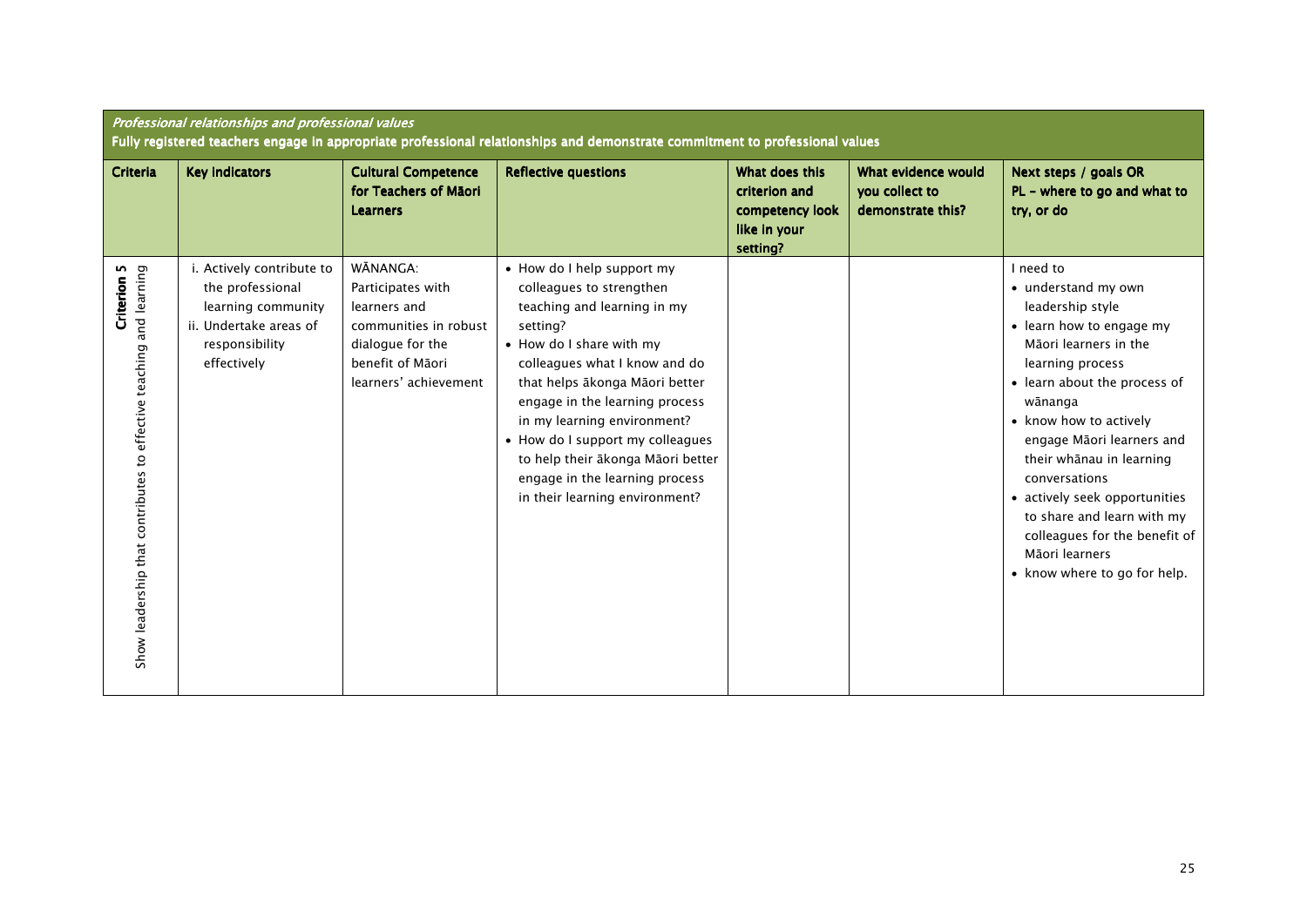| <b>Criteria</b>                                                                              | <b>Key indicators</b>                                                                                                          | <b>Cultural Competence</b><br>for Teachers of Māori<br><b>Learners</b>                                                                  | <b>Reflective questions</b>                                                                                                                                                                                                                                                                                                                                                                                    | What does this<br>criterion and<br>competency look<br>like in your<br>setting? | What evidence would<br>you collect to<br>demonstrate this? | Next steps / goals OR<br>PL - where to go and what to<br>try, or do                                                                                                                                                                                                                                                                                                                                                            |
|----------------------------------------------------------------------------------------------|--------------------------------------------------------------------------------------------------------------------------------|-----------------------------------------------------------------------------------------------------------------------------------------|----------------------------------------------------------------------------------------------------------------------------------------------------------------------------------------------------------------------------------------------------------------------------------------------------------------------------------------------------------------------------------------------------------------|--------------------------------------------------------------------------------|------------------------------------------------------------|--------------------------------------------------------------------------------------------------------------------------------------------------------------------------------------------------------------------------------------------------------------------------------------------------------------------------------------------------------------------------------------------------------------------------------|
| <b>Criterion 5</b><br>and learning<br>Show leadership that contributes to effective teaching | i. Actively contribute to<br>the professional<br>learning community<br>ii. Undertake areas of<br>responsibility<br>effectively | WĀNANGA:<br>Participates with<br>learners and<br>communities in robust<br>dialogue for the<br>benefit of Māori<br>learners' achievement | • How do I help support my<br>colleagues to strengthen<br>teaching and learning in my<br>setting?<br>• How do I share with my<br>colleagues what I know and do<br>that helps ākonga Māori better<br>engage in the learning process<br>in my learning environment?<br>• How do I support my colleagues<br>to help their ākonga Māori better<br>engage in the learning process<br>in their learning environment? |                                                                                |                                                            | I need to<br>• understand my own<br>leadership style<br>• learn how to engage my<br>Māori learners in the<br>learning process<br>• learn about the process of<br>wānanga<br>• know how to actively<br>engage Māori learners and<br>their whānau in learning<br>conversations<br>• actively seek opportunities<br>to share and learn with my<br>colleagues for the benefit of<br>Māori learners<br>• know where to go for help. |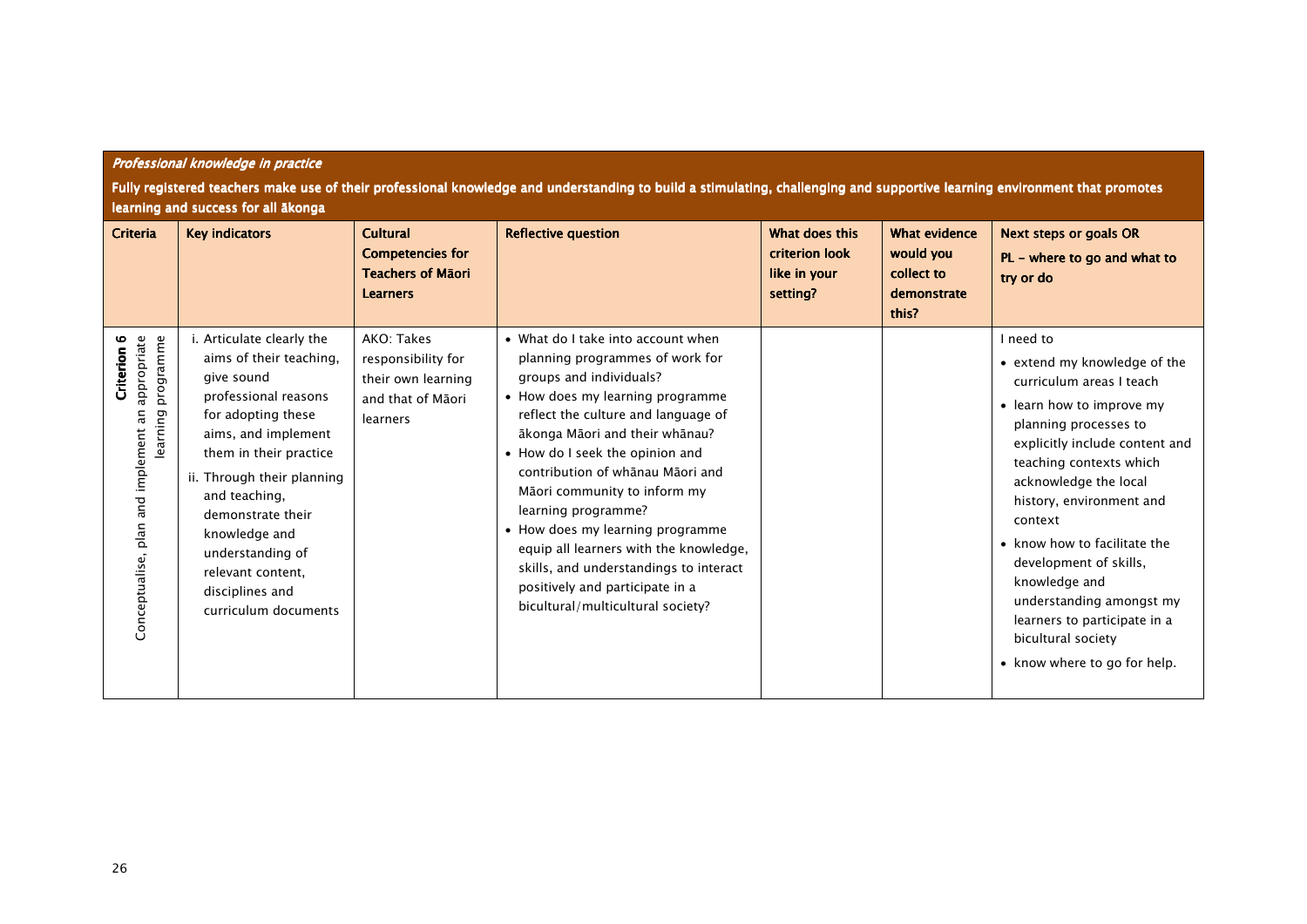| Criteria                                                                                 | <b>Key indicators</b>                                                                                                                                                                                                                                                                                                                      | <b>Cultural</b><br><b>Competencies for</b><br><b>Teachers of Mãori</b><br><b>Learners</b> | <b>Reflective question</b>                                                                                                                                                                                                                                                                                                                                                                                                                                                                                                                  | What does this<br>criterion look<br>like in your<br>setting? | <b>What evidence</b><br>would you<br>collect to<br>demonstrate<br>this? | <b>Next steps or goals OR</b><br>PL - where to go and what to<br>try or do                                                                                                                                                                                                                                                                                                                                                                            |
|------------------------------------------------------------------------------------------|--------------------------------------------------------------------------------------------------------------------------------------------------------------------------------------------------------------------------------------------------------------------------------------------------------------------------------------------|-------------------------------------------------------------------------------------------|---------------------------------------------------------------------------------------------------------------------------------------------------------------------------------------------------------------------------------------------------------------------------------------------------------------------------------------------------------------------------------------------------------------------------------------------------------------------------------------------------------------------------------------------|--------------------------------------------------------------|-------------------------------------------------------------------------|-------------------------------------------------------------------------------------------------------------------------------------------------------------------------------------------------------------------------------------------------------------------------------------------------------------------------------------------------------------------------------------------------------------------------------------------------------|
| Conceptualise, plan and implement an appropriate<br>programme<br>Criterion 6<br>learning | i. Articulate clearly the<br>aims of their teaching,<br>give sound<br>professional reasons<br>for adopting these<br>aims, and implement<br>them in their practice<br>ii. Through their planning<br>and teaching,<br>demonstrate their<br>knowledge and<br>understanding of<br>relevant content.<br>disciplines and<br>curriculum documents | AKO: Takes<br>responsibility for<br>their own learning<br>and that of Māori<br>learners   | • What do I take into account when<br>planning programmes of work for<br>groups and individuals?<br>• How does my learning programme<br>reflect the culture and language of<br>ākonga Māori and their whānau?<br>• How do I seek the opinion and<br>contribution of whanau Maori and<br>Māori community to inform my<br>learning programme?<br>• How does my learning programme<br>equip all learners with the knowledge,<br>skills, and understandings to interact<br>positively and participate in a<br>bicultural/multicultural society? |                                                              |                                                                         | I need to<br>• extend my knowledge of the<br>curriculum areas I teach<br>• learn how to improve my<br>planning processes to<br>explicitly include content and<br>teaching contexts which<br>acknowledge the local<br>history, environment and<br>context<br>• know how to facilitate the<br>development of skills,<br>knowledge and<br>understanding amongst my<br>learners to participate in a<br>bicultural society<br>• know where to go for help. |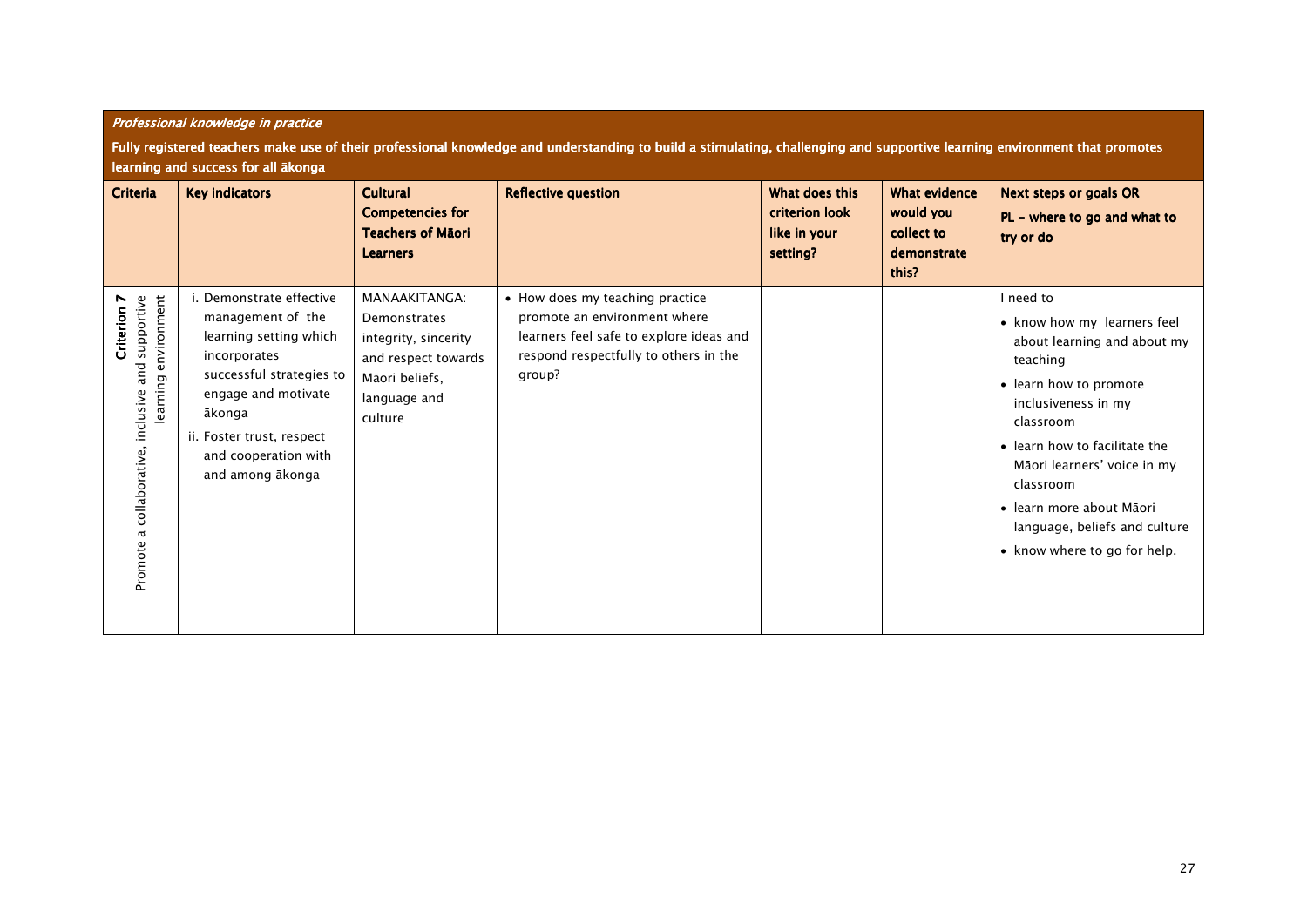|                                                                                             | Professional knowledge in practice                                                                                                                                                                                            |                                                                                                                           |                                                                                                                                                               |                                                              |                                                                         |                                                                                                                                                                                                                                                                                                                             |  |  |
|---------------------------------------------------------------------------------------------|-------------------------------------------------------------------------------------------------------------------------------------------------------------------------------------------------------------------------------|---------------------------------------------------------------------------------------------------------------------------|---------------------------------------------------------------------------------------------------------------------------------------------------------------|--------------------------------------------------------------|-------------------------------------------------------------------------|-----------------------------------------------------------------------------------------------------------------------------------------------------------------------------------------------------------------------------------------------------------------------------------------------------------------------------|--|--|
|                                                                                             | Fully registered teachers make use of their professional knowledge and understanding to build a stimulating, challenging and supportive learning environment that promotes<br>learning and success for all ākonga             |                                                                                                                           |                                                                                                                                                               |                                                              |                                                                         |                                                                                                                                                                                                                                                                                                                             |  |  |
| <b>Criteria</b>                                                                             | <b>Key indicators</b>                                                                                                                                                                                                         | <b>Cultural</b><br><b>Competencies for</b><br><b>Teachers of Māori</b><br><b>Learners</b>                                 | <b>Reflective question</b>                                                                                                                                    | What does this<br>criterion look<br>like in your<br>setting? | <b>What evidence</b><br>would you<br>collect to<br>demonstrate<br>this? | <b>Next steps or goals OR</b><br>PL - where to go and what to<br>try or do                                                                                                                                                                                                                                                  |  |  |
| learning environment<br>supportive<br>Criterion 7<br>Promote a collaborative, inclusive and | i. Demonstrate effective<br>management of the<br>learning setting which<br>incorporates<br>successful strategies to<br>engage and motivate<br>ākonga<br>ii. Foster trust, respect<br>and cooperation with<br>and among ākonga | MANAAKITANGA:<br>Demonstrates<br>integrity, sincerity<br>and respect towards<br>Māori beliefs.<br>language and<br>culture | • How does my teaching practice<br>promote an environment where<br>learners feel safe to explore ideas and<br>respond respectfully to others in the<br>group? |                                                              |                                                                         | I need to<br>• know how my learners feel<br>about learning and about my<br>teaching<br>• learn how to promote<br>inclusiveness in my<br>classroom<br>• learn how to facilitate the<br>Māori learners' voice in my<br>classroom<br>· learn more about Māori<br>language, beliefs and culture<br>• know where to go for help. |  |  |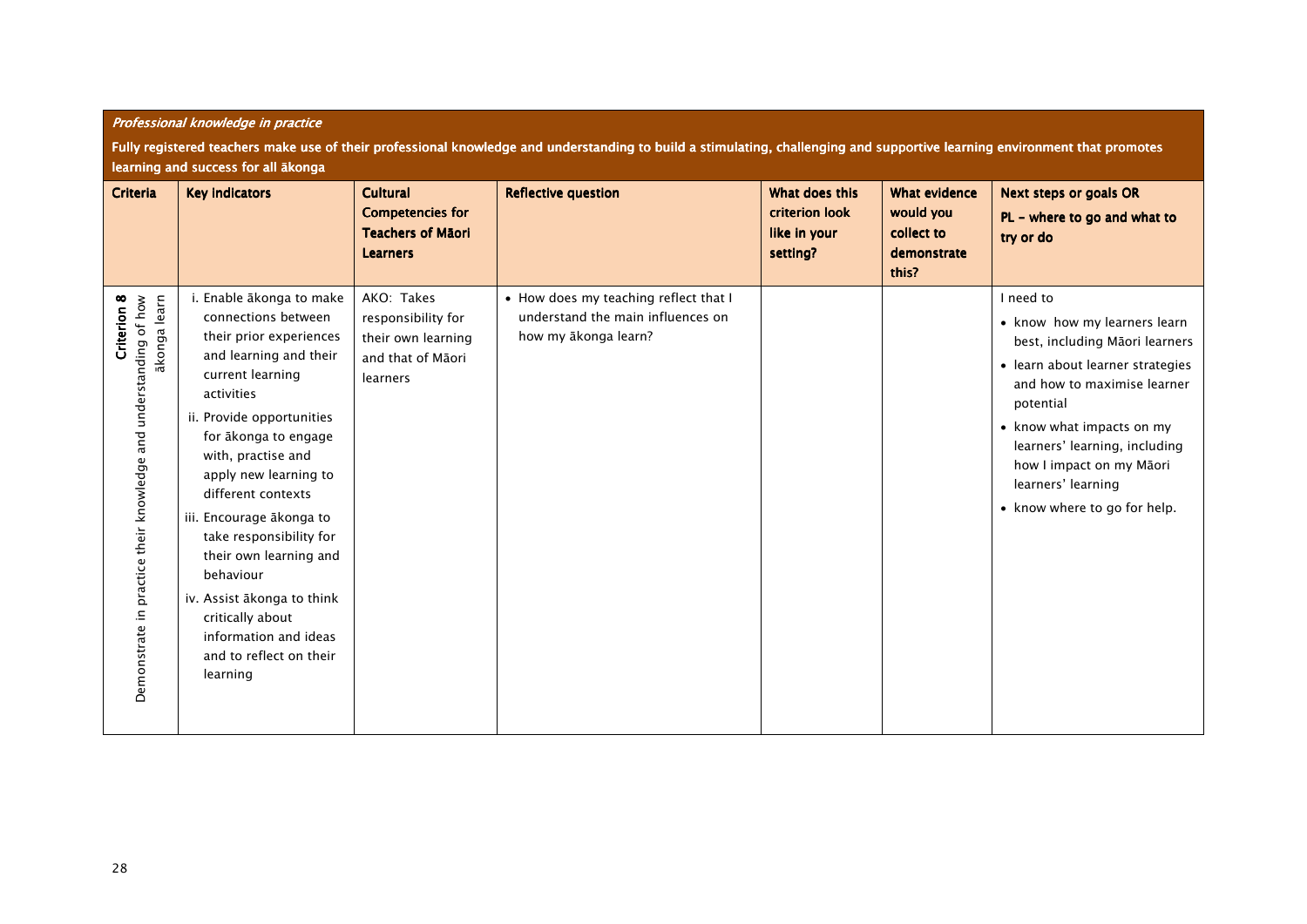|                                                                                                 | Professional knowledge in practice                                                                                                                                                                                                                                                                                                                                                                                                                                               |                                                                                           |                                                                                                    |                                                                     |                                                                         |                                                                                                                                                                                                                                                                                                             |  |  |
|-------------------------------------------------------------------------------------------------|----------------------------------------------------------------------------------------------------------------------------------------------------------------------------------------------------------------------------------------------------------------------------------------------------------------------------------------------------------------------------------------------------------------------------------------------------------------------------------|-------------------------------------------------------------------------------------------|----------------------------------------------------------------------------------------------------|---------------------------------------------------------------------|-------------------------------------------------------------------------|-------------------------------------------------------------------------------------------------------------------------------------------------------------------------------------------------------------------------------------------------------------------------------------------------------------|--|--|
|                                                                                                 | Fully registered teachers make use of their professional knowledge and understanding to build a stimulating, challenging and supportive learning environment that promotes<br>learning and success for all ākonga                                                                                                                                                                                                                                                                |                                                                                           |                                                                                                    |                                                                     |                                                                         |                                                                                                                                                                                                                                                                                                             |  |  |
| <b>Criteria</b>                                                                                 | <b>Key indicators</b>                                                                                                                                                                                                                                                                                                                                                                                                                                                            | <b>Cultural</b><br><b>Competencies for</b><br><b>Teachers of Māori</b><br><b>Learners</b> | <b>Reflective question</b>                                                                         | What does this<br><b>criterion look</b><br>like in your<br>setting? | <b>What evidence</b><br>would you<br>collect to<br>demonstrate<br>this? | <b>Next steps or goals OR</b><br>$PL -$ where to go and what to<br>try or do                                                                                                                                                                                                                                |  |  |
| Demonstrate in practice their knowledge and understanding of how<br>akonga learn<br>Criterion 8 | i. Enable ākonga to make<br>connections between<br>their prior experiences<br>and learning and their<br>current learning<br>activities<br>ii. Provide opportunities<br>for ākonga to engage<br>with, practise and<br>apply new learning to<br>different contexts<br>iii. Encourage ākonga to<br>take responsibility for<br>their own learning and<br>behaviour<br>iv. Assist ākonga to think<br>critically about<br>information and ideas<br>and to reflect on their<br>learning | AKO: Takes<br>responsibility for<br>their own learning<br>and that of Māori<br>learners   | • How does my teaching reflect that I<br>understand the main influences on<br>how my akonga learn? |                                                                     |                                                                         | I need to<br>• know how my learners learn<br>best, including Māori learners<br>• learn about learner strategies<br>and how to maximise learner<br>potential<br>• know what impacts on my<br>learners' learning, including<br>how I impact on my Māori<br>learners' learning<br>• know where to go for help. |  |  |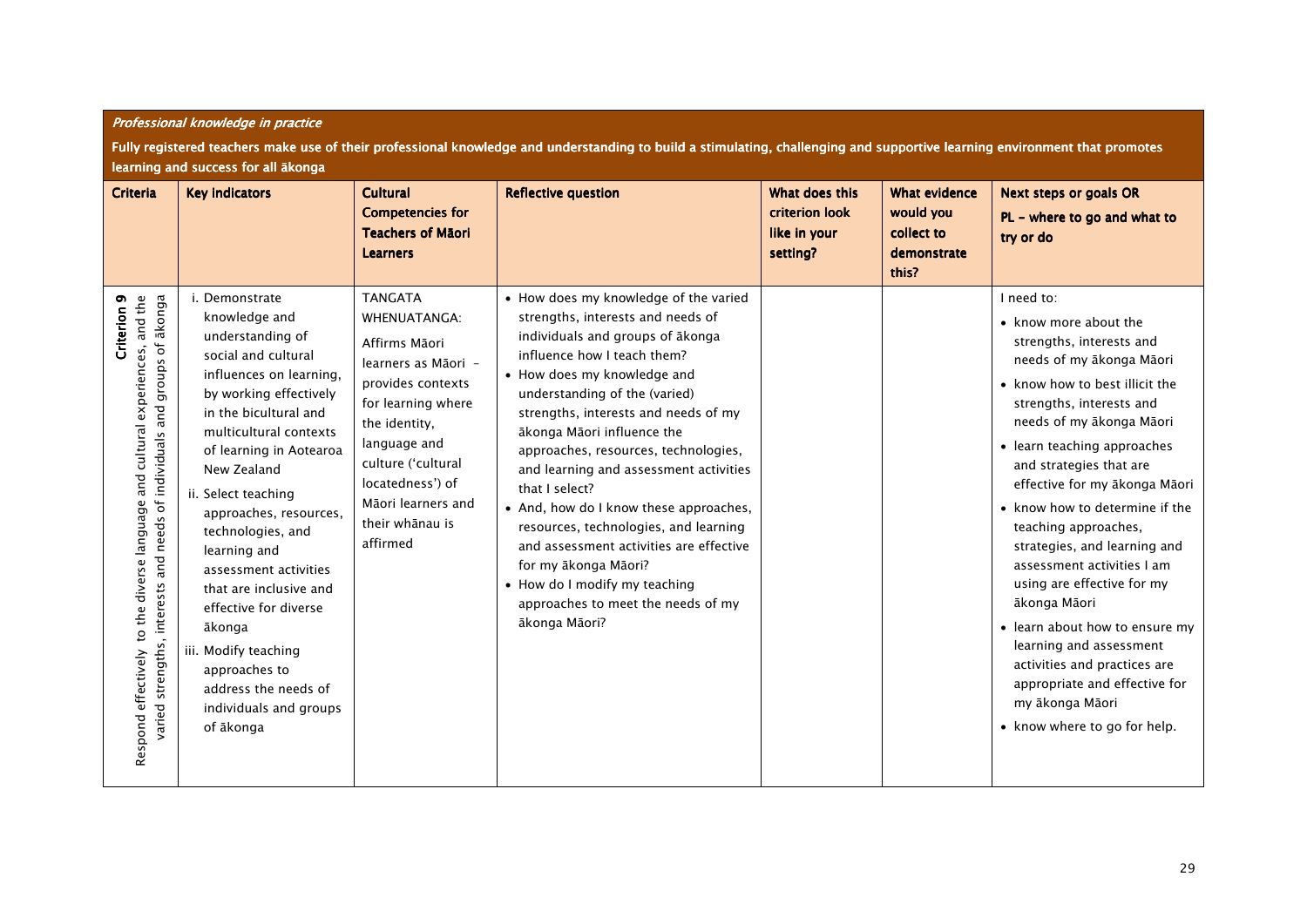|                                                                                                                                                                                            | Fully registered teachers make use of their professional knowledge and understanding to build a stimulating, challenging and supportive learning environment that promotes<br>learning and success for all ākonga                                                                                                                                                                                                                                                                                           |                                                                                                                                                                                                                                                   |                                                                                                                                                                                                                                                                                                                                                                                                                                                                                                                                                                                                                                       |                                                              |                                                                         |                                                                                                                                                                                                                                                                                                                                                                                                                                                                                                                                                                                                                                         |  |  |
|--------------------------------------------------------------------------------------------------------------------------------------------------------------------------------------------|-------------------------------------------------------------------------------------------------------------------------------------------------------------------------------------------------------------------------------------------------------------------------------------------------------------------------------------------------------------------------------------------------------------------------------------------------------------------------------------------------------------|---------------------------------------------------------------------------------------------------------------------------------------------------------------------------------------------------------------------------------------------------|---------------------------------------------------------------------------------------------------------------------------------------------------------------------------------------------------------------------------------------------------------------------------------------------------------------------------------------------------------------------------------------------------------------------------------------------------------------------------------------------------------------------------------------------------------------------------------------------------------------------------------------|--------------------------------------------------------------|-------------------------------------------------------------------------|-----------------------------------------------------------------------------------------------------------------------------------------------------------------------------------------------------------------------------------------------------------------------------------------------------------------------------------------------------------------------------------------------------------------------------------------------------------------------------------------------------------------------------------------------------------------------------------------------------------------------------------------|--|--|
| Criteria                                                                                                                                                                                   | <b>Key indicators</b>                                                                                                                                                                                                                                                                                                                                                                                                                                                                                       | Cultural<br><b>Competencies for</b><br><b>Teachers of Māori</b><br><b>Learners</b>                                                                                                                                                                | <b>Reflective question</b>                                                                                                                                                                                                                                                                                                                                                                                                                                                                                                                                                                                                            | What does this<br>criterion look<br>like in your<br>setting? | <b>What evidence</b><br>would you<br>collect to<br>demonstrate<br>this? | <b>Next steps or goals OR</b><br>PL - where to go and what to<br>try or do                                                                                                                                                                                                                                                                                                                                                                                                                                                                                                                                                              |  |  |
| and needs of individuals and groups of ākonga<br>Criterion <sub>9</sub><br>to the diverse language and cultural experiences, and the<br>varied strengths, interests<br>Respond effectively | i. Demonstrate<br>knowledge and<br>understanding of<br>social and cultural<br>influences on learning,<br>by working effectively<br>in the bicultural and<br>multicultural contexts<br>of learning in Aotearoa<br>New Zealand<br>ii. Select teaching<br>approaches, resources,<br>technologies, and<br>learning and<br>assessment activities<br>that are inclusive and<br>effective for diverse<br>ākonga<br>Modify teaching<br>approaches to<br>address the needs of<br>individuals and groups<br>of ākonga | <b>TANGATA</b><br>WHENUATANGA:<br>Affirms Māori<br>learners as Māori -<br>provides contexts<br>for learning where<br>the identity,<br>language and<br>culture ('cultural<br>locatedness') of<br>Māori learners and<br>their whānau is<br>affirmed | • How does my knowledge of the varied<br>strengths, interests and needs of<br>individuals and groups of ākonga<br>influence how I teach them?<br>• How does my knowledge and<br>understanding of the (varied)<br>strengths, interests and needs of my<br>ākonga Māori influence the<br>approaches, resources, technologies,<br>and learning and assessment activities<br>that I select?<br>• And, how do I know these approaches,<br>resources, technologies, and learning<br>and assessment activities are effective<br>for my ākonga Māori?<br>• How do I modify my teaching<br>approaches to meet the needs of my<br>ākonga Māori? |                                                              |                                                                         | I need to:<br>• know more about the<br>strengths, interests and<br>needs of my ākonga Māori<br>• know how to best illicit the<br>strengths, interests and<br>needs of my ākonga Māori<br>• learn teaching approaches<br>and strategies that are<br>effective for my ākonga Māori<br>• know how to determine if the<br>teaching approaches,<br>strategies, and learning and<br>assessment activities I am<br>using are effective for my<br>ākonga Māori<br>• learn about how to ensure my<br>learning and assessment<br>activities and practices are<br>appropriate and effective for<br>my ākonga Māori<br>• know where to go for help. |  |  |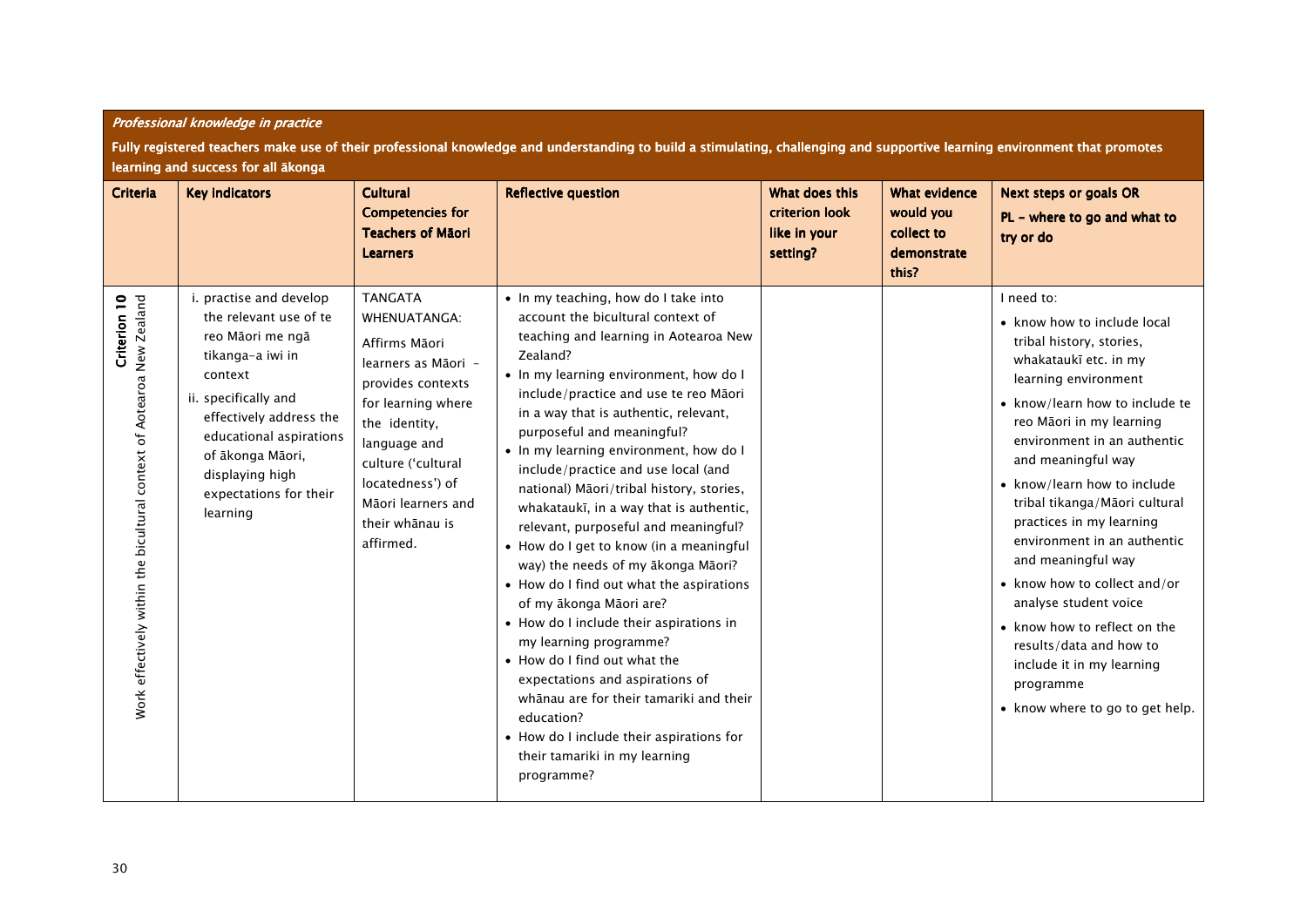|                                                                                        | Fully registered teachers make use of their professional knowledge and understanding to build a stimulating, challenging and supportive learning environment that promotes<br>learning and success for all ākonga                                               |                                                                                                                                                                                                                                                           |                                                                                                                                                                                                                                                                                                                                                                                                                                                                                                                                                                                                                                                                                                                                                                                                                                                                                                                                                              |                                                              |                                                                         |                                                                                                                                                                                                                                                                                                                                                                                                                                                                                                                                                                                             |  |  |  |
|----------------------------------------------------------------------------------------|-----------------------------------------------------------------------------------------------------------------------------------------------------------------------------------------------------------------------------------------------------------------|-----------------------------------------------------------------------------------------------------------------------------------------------------------------------------------------------------------------------------------------------------------|--------------------------------------------------------------------------------------------------------------------------------------------------------------------------------------------------------------------------------------------------------------------------------------------------------------------------------------------------------------------------------------------------------------------------------------------------------------------------------------------------------------------------------------------------------------------------------------------------------------------------------------------------------------------------------------------------------------------------------------------------------------------------------------------------------------------------------------------------------------------------------------------------------------------------------------------------------------|--------------------------------------------------------------|-------------------------------------------------------------------------|---------------------------------------------------------------------------------------------------------------------------------------------------------------------------------------------------------------------------------------------------------------------------------------------------------------------------------------------------------------------------------------------------------------------------------------------------------------------------------------------------------------------------------------------------------------------------------------------|--|--|--|
| <b>Criteria</b>                                                                        | <b>Key indicators</b>                                                                                                                                                                                                                                           | <b>Cultural</b><br><b>Competencies for</b><br><b>Teachers of Māori</b><br><b>Learners</b>                                                                                                                                                                 | <b>Reflective question</b>                                                                                                                                                                                                                                                                                                                                                                                                                                                                                                                                                                                                                                                                                                                                                                                                                                                                                                                                   | What does this<br>criterion look<br>like in your<br>setting? | <b>What evidence</b><br>would you<br>collect to<br>demonstrate<br>this? | <b>Next steps or goals OR</b><br>$PL -$ where to go and what to<br>try or do                                                                                                                                                                                                                                                                                                                                                                                                                                                                                                                |  |  |  |
| Criterion 10<br>Work effectively within the bicultural context of Aotearoa New Zealand | i. practise and develop<br>the relevant use of te<br>reo Māori me ngā<br>tikanga-a iwi in<br>context<br>ii. specifically and<br>effectively address the<br>educational aspirations<br>of ākonga Māori,<br>displaying high<br>expectations for their<br>learning | <b>TANGATA</b><br><b>WHENUATANGA:</b><br>Affirms Māori<br>learners as Māori -<br>provides contexts<br>for learning where<br>the identity,<br>language and<br>culture ('cultural<br>locatedness') of<br>Māori learners and<br>their whānau is<br>affirmed. | • In my teaching, how do I take into<br>account the bicultural context of<br>teaching and learning in Aotearoa New<br>Zealand?<br>• In my learning environment, how do I<br>include/practice and use te reo Māori<br>in a way that is authentic, relevant,<br>purposeful and meaningful?<br>• In my learning environment, how do I<br>include/practice and use local (and<br>national) Māori/tribal history, stories,<br>whakataukī, in a way that is authentic,<br>relevant, purposeful and meaningful?<br>• How do I get to know (in a meaningful<br>way) the needs of my ākonga Māori?<br>• How do I find out what the aspirations<br>of my ākonga Māori are?<br>• How do I include their aspirations in<br>my learning programme?<br>• How do I find out what the<br>expectations and aspirations of<br>whānau are for their tamariki and their<br>education?<br>• How do I include their aspirations for<br>their tamariki in my learning<br>programme? |                                                              |                                                                         | I need to:<br>• know how to include local<br>tribal history, stories,<br>whakataukī etc. in my<br>learning environment<br>• know/learn how to include te<br>reo Māori in my learning<br>environment in an authentic<br>and meaningful way<br>• know/learn how to include<br>tribal tikanga/Māori cultural<br>practices in my learning<br>environment in an authentic<br>and meaningful way<br>• know how to collect and/or<br>analyse student voice<br>• know how to reflect on the<br>results/data and how to<br>include it in my learning<br>programme<br>• know where to go to get help. |  |  |  |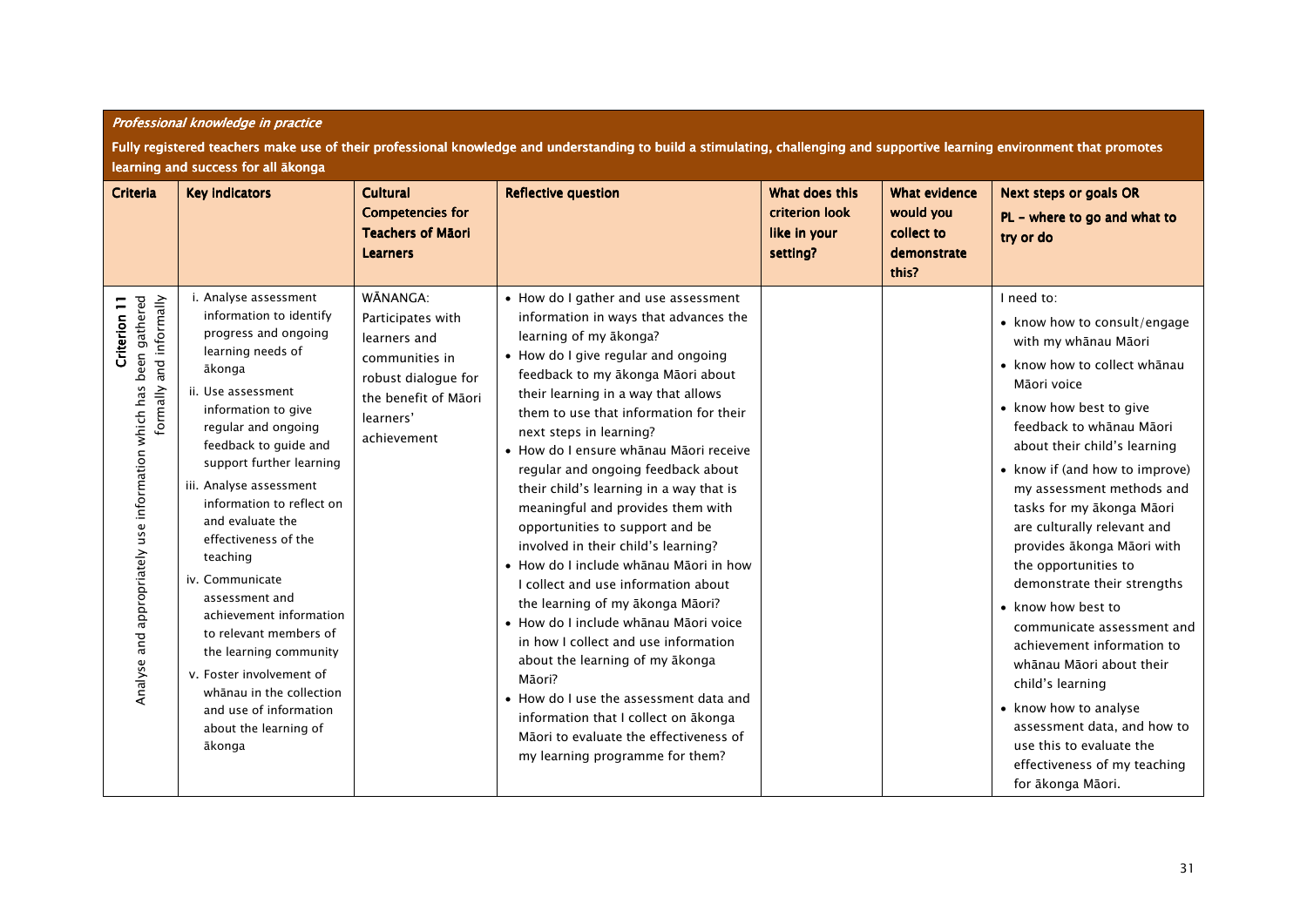|                                                                                                              | Fully registered teachers make use of their professional knowledge and understanding to build a stimulating, challenging and supportive learning environment that promotes<br>learning and success for all ākonga                                                                                                                                                                                                                                                                                                                                                                         |                                                                                                                                            |                                                                                                                                                                                                                                                                                                                                                                                                                                                                                                                                                                                                                                                                                                                                                                                                                                                                                                                                                             |                                                              |                                                                         |                                                                                                                                                                                                                                                                                                                                                                                                                                                                                                                                                                                                                                                                                                     |  |  |  |
|--------------------------------------------------------------------------------------------------------------|-------------------------------------------------------------------------------------------------------------------------------------------------------------------------------------------------------------------------------------------------------------------------------------------------------------------------------------------------------------------------------------------------------------------------------------------------------------------------------------------------------------------------------------------------------------------------------------------|--------------------------------------------------------------------------------------------------------------------------------------------|-------------------------------------------------------------------------------------------------------------------------------------------------------------------------------------------------------------------------------------------------------------------------------------------------------------------------------------------------------------------------------------------------------------------------------------------------------------------------------------------------------------------------------------------------------------------------------------------------------------------------------------------------------------------------------------------------------------------------------------------------------------------------------------------------------------------------------------------------------------------------------------------------------------------------------------------------------------|--------------------------------------------------------------|-------------------------------------------------------------------------|-----------------------------------------------------------------------------------------------------------------------------------------------------------------------------------------------------------------------------------------------------------------------------------------------------------------------------------------------------------------------------------------------------------------------------------------------------------------------------------------------------------------------------------------------------------------------------------------------------------------------------------------------------------------------------------------------------|--|--|--|
| Criteria                                                                                                     | <b>Key indicators</b>                                                                                                                                                                                                                                                                                                                                                                                                                                                                                                                                                                     | <b>Cultural</b><br><b>Competencies for</b><br><b>Teachers of Māori</b><br><b>Learners</b>                                                  | <b>Reflective question</b>                                                                                                                                                                                                                                                                                                                                                                                                                                                                                                                                                                                                                                                                                                                                                                                                                                                                                                                                  | What does this<br>criterion look<br>like in your<br>setting? | <b>What evidence</b><br>would you<br>collect to<br>demonstrate<br>this? | <b>Next steps or goals OR</b><br>PL - where to go and what to<br>try or do                                                                                                                                                                                                                                                                                                                                                                                                                                                                                                                                                                                                                          |  |  |  |
| Analyse and appropriately use information which has been gathered<br>formally and informally<br>Criterion 11 | i. Analyse assessment<br>information to identify<br>progress and ongoing<br>learning needs of<br>ākonga<br>ii. Use assessment<br>information to give<br>regular and ongoing<br>feedback to guide and<br>support further learning<br>iii. Analyse assessment<br>information to reflect on<br>and evaluate the<br>effectiveness of the<br>teaching<br>iv. Communicate<br>assessment and<br>achievement information<br>to relevant members of<br>the learning community<br>v. Foster involvement of<br>whānau in the collection<br>and use of information<br>about the learning of<br>ākonga | WĀNANGA:<br>Participates with<br>learners and<br>communities in<br>robust dialogue for<br>the benefit of Māori<br>learners'<br>achievement | • How do I gather and use assessment<br>information in ways that advances the<br>learning of my akonga?<br>• How do I give regular and ongoing<br>feedback to my ākonga Māori about<br>their learning in a way that allows<br>them to use that information for their<br>next steps in learning?<br>· How do I ensure whanau Maori receive<br>regular and ongoing feedback about<br>their child's learning in a way that is<br>meaningful and provides them with<br>opportunities to support and be<br>involved in their child's learning?<br>· How do I include whanau Maori in how<br>I collect and use information about<br>the learning of my akonga Maori?<br>· How do I include whānau Māori voice<br>in how I collect and use information<br>about the learning of my akonga<br>Māori?<br>• How do I use the assessment data and<br>information that I collect on akonga<br>Māori to evaluate the effectiveness of<br>my learning programme for them? |                                                              |                                                                         | I need to:<br>• know how to consult/engage<br>with my whānau Māori<br>• know how to collect whanau<br>Māori voice<br>• know how best to give<br>feedback to whānau Māori<br>about their child's learning<br>• know if (and how to improve)<br>my assessment methods and<br>tasks for my ākonga Māori<br>are culturally relevant and<br>provides ākonga Māori with<br>the opportunities to<br>demonstrate their strengths<br>• know how best to<br>communicate assessment and<br>achievement information to<br>whānau Māori about their<br>child's learning<br>• know how to analyse<br>assessment data, and how to<br>use this to evaluate the<br>effectiveness of my teaching<br>for ākonga Māori. |  |  |  |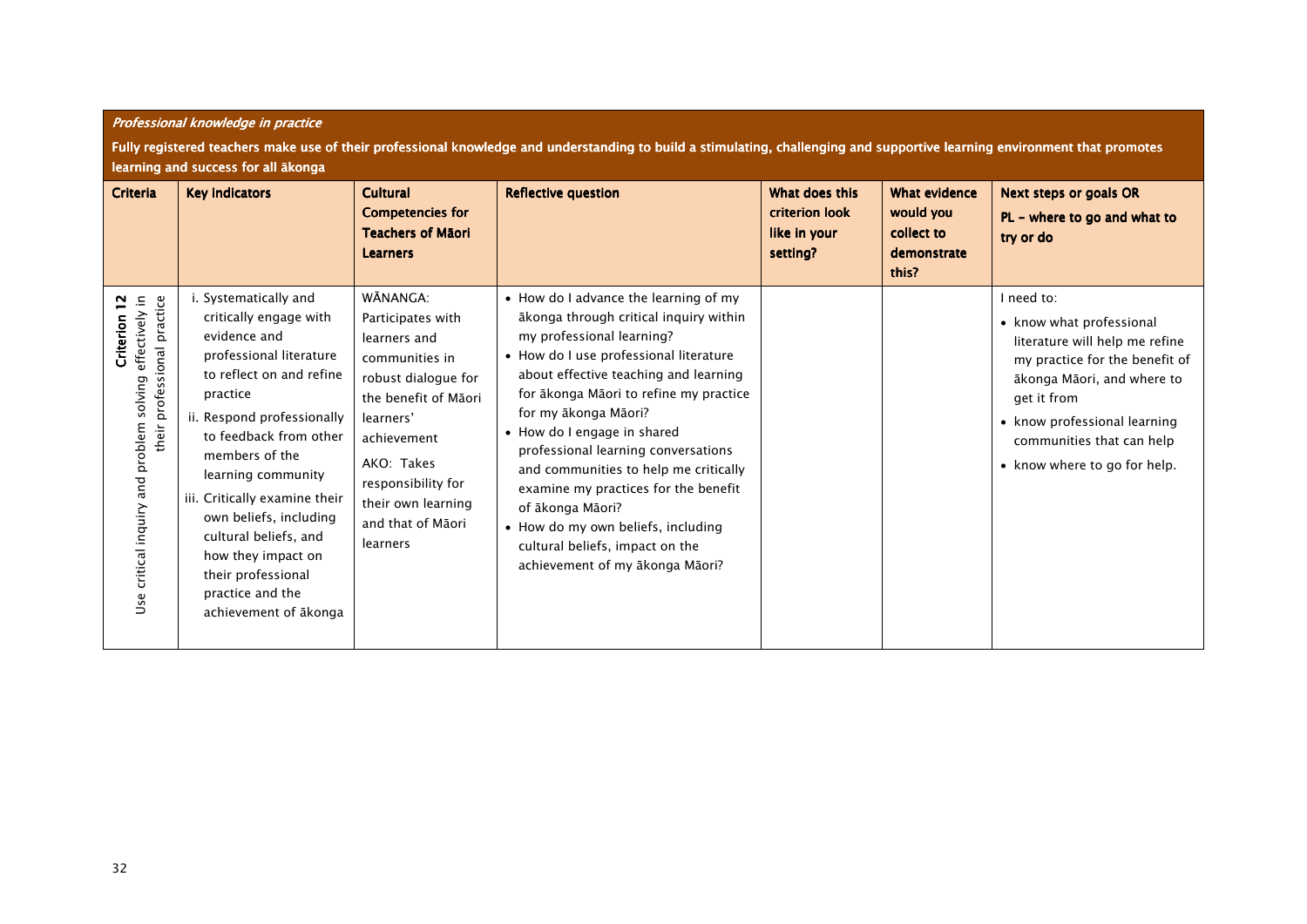|                                                                                                           | Fully registered teachers make use of their professional knowledge and understanding to build a stimulating, challenging and supportive learning environment that promotes<br>learning and success for all akonga                                                                                                                                                                                               |                                                                                                                                                                                                                                       |                                                                                                                                                                                                                                                                                                                                                                                                                                                                                                                                                          |                                                              |                                                                         |                                                                                                                                                                                                                                                      |  |
|-----------------------------------------------------------------------------------------------------------|-----------------------------------------------------------------------------------------------------------------------------------------------------------------------------------------------------------------------------------------------------------------------------------------------------------------------------------------------------------------------------------------------------------------|---------------------------------------------------------------------------------------------------------------------------------------------------------------------------------------------------------------------------------------|----------------------------------------------------------------------------------------------------------------------------------------------------------------------------------------------------------------------------------------------------------------------------------------------------------------------------------------------------------------------------------------------------------------------------------------------------------------------------------------------------------------------------------------------------------|--------------------------------------------------------------|-------------------------------------------------------------------------|------------------------------------------------------------------------------------------------------------------------------------------------------------------------------------------------------------------------------------------------------|--|
| Criteria                                                                                                  | <b>Key indicators</b>                                                                                                                                                                                                                                                                                                                                                                                           | <b>Cultural</b><br><b>Competencies for</b><br><b>Teachers of Mãori</b><br><b>Learners</b>                                                                                                                                             | <b>Reflective question</b>                                                                                                                                                                                                                                                                                                                                                                                                                                                                                                                               | What does this<br>criterion look<br>like in your<br>setting? | <b>What evidence</b><br>would you<br>collect to<br>demonstrate<br>this? | <b>Next steps or goals OR</b><br>$PL -$ where to go and what to<br>try or do                                                                                                                                                                         |  |
| Use critical inquiry and problem solving effectively in<br>professional practice<br>Criterion 12<br>their | i. Systematically and<br>critically engage with<br>evidence and<br>professional literature<br>to reflect on and refine<br>practice<br>ii. Respond professionally<br>to feedback from other<br>members of the<br>learning community<br>iii. Critically examine their<br>own beliefs, including<br>cultural beliefs, and<br>how they impact on<br>their professional<br>practice and the<br>achievement of ākonga | WĀNANGA:<br>Participates with<br>learners and<br>communities in<br>robust dialogue for<br>the benefit of Māori<br>learners'<br>achievement<br>AKO: Takes<br>responsibility for<br>their own learning<br>and that of Māori<br>learners | • How do I advance the learning of my<br>ākonga through critical inquiry within<br>my professional learning?<br>• How do I use professional literature<br>about effective teaching and learning<br>for ākonga Māori to refine my practice<br>for my ākonga Māori?<br>• How do I engage in shared<br>professional learning conversations<br>and communities to help me critically<br>examine my practices for the benefit<br>of ākonga Māori?<br>• How do my own beliefs, including<br>cultural beliefs, impact on the<br>achievement of my ākonga Māori? |                                                              |                                                                         | I need to:<br>• know what professional<br>literature will help me refine<br>my practice for the benefit of<br>ākonga Māori, and where to<br>get it from<br>• know professional learning<br>communities that can help<br>• know where to go for help. |  |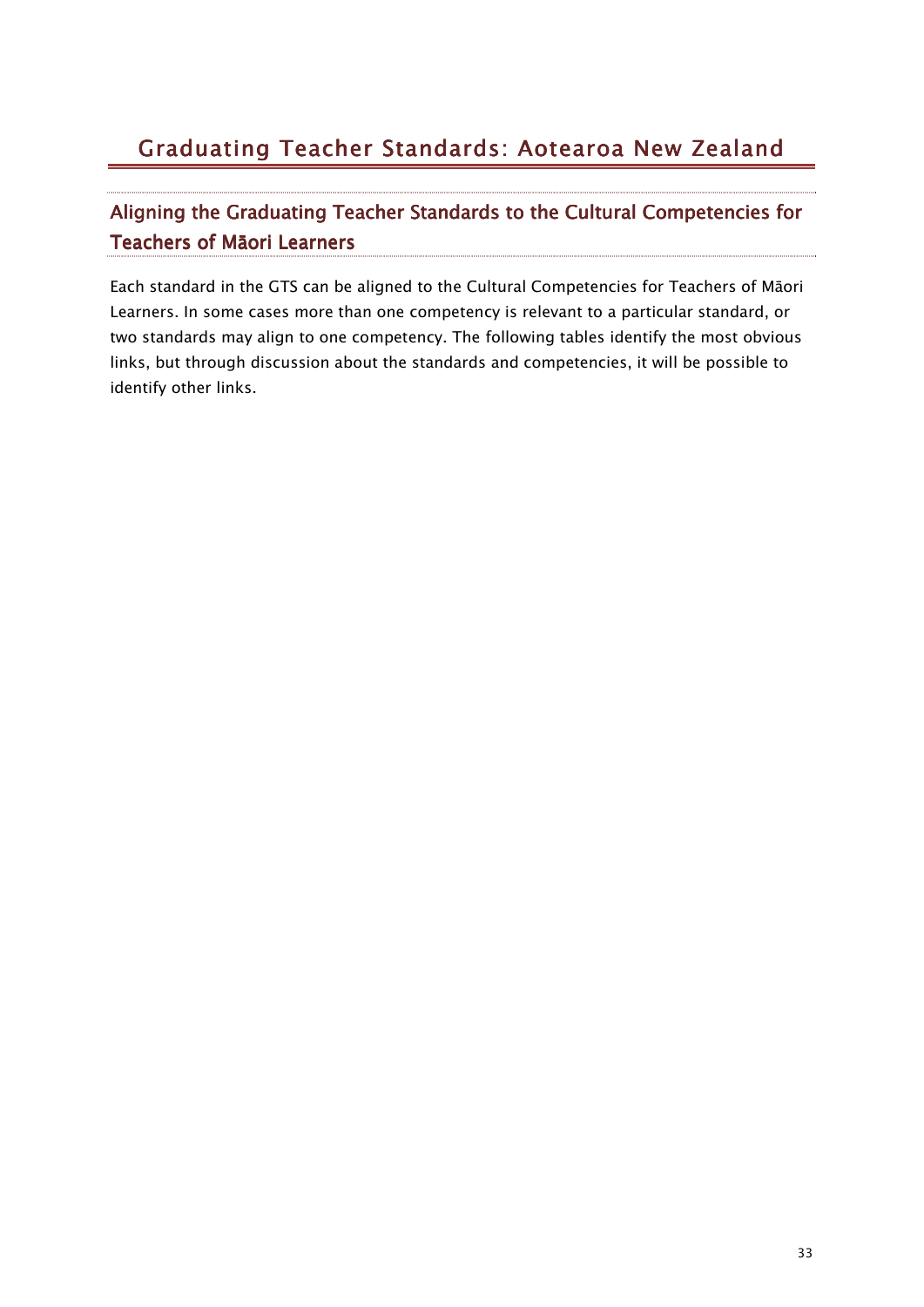# Graduating Teacher Standards: Aotearoa New Zealand

## Aligning the Graduating Teacher Standards to the Cultural Competencies for Teachers of Māori Learners

Each standard in the GTS can be aligned to the Cultural Competencies for Teachers of Māori Learners. In some cases more than one competency is relevant to a particular standard, or two standards may align to one competency. The following tables identify the most obvious links, but through discussion about the standards and competencies, it will be possible to identify other links.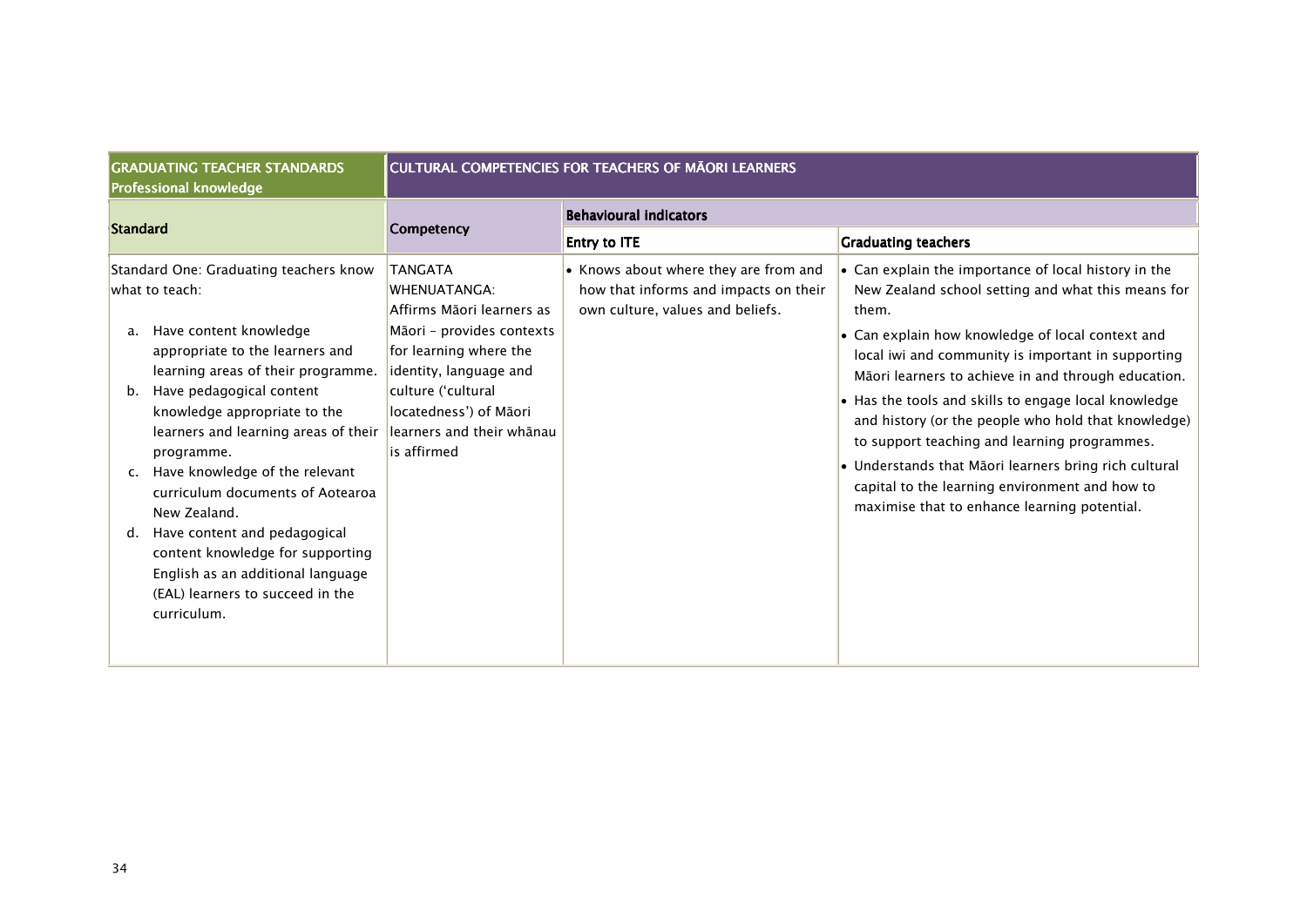| <b>GRADUATING TEACHER STANDARDS</b><br><b>Professional knowledge</b>                                                                                                                                                                                                                                                                                                                                                                                                                                                                                                        | <b>CULTURAL COMPETENCIES FOR TEACHERS OF MAORI LEARNERS</b>                                                                                                                                                        |                                                                                                                    |                                                                                                                                                                                                                                                                                                                                                                                                                                                                                                                                                                                                                        |
|-----------------------------------------------------------------------------------------------------------------------------------------------------------------------------------------------------------------------------------------------------------------------------------------------------------------------------------------------------------------------------------------------------------------------------------------------------------------------------------------------------------------------------------------------------------------------------|--------------------------------------------------------------------------------------------------------------------------------------------------------------------------------------------------------------------|--------------------------------------------------------------------------------------------------------------------|------------------------------------------------------------------------------------------------------------------------------------------------------------------------------------------------------------------------------------------------------------------------------------------------------------------------------------------------------------------------------------------------------------------------------------------------------------------------------------------------------------------------------------------------------------------------------------------------------------------------|
| <b>Standard</b>                                                                                                                                                                                                                                                                                                                                                                                                                                                                                                                                                             | <b>Competency</b>                                                                                                                                                                                                  | <b>Behavioural indicators</b><br><b>Entry to ITE</b>                                                               | <b>Graduating teachers</b>                                                                                                                                                                                                                                                                                                                                                                                                                                                                                                                                                                                             |
| Standard One: Graduating teachers know<br>what to teach:<br>Have content knowledge<br>a.<br>appropriate to the learners and<br>learning areas of their programme.<br>Have pedagogical content<br>b.<br>knowledge appropriate to the<br>learners and learning areas of their learners and their whanau<br>programme.<br>Have knowledge of the relevant<br>curriculum documents of Aotearoa<br>New Zealand.<br>Have content and pedagogical<br>d.<br>content knowledge for supporting<br>English as an additional language<br>(EAL) learners to succeed in the<br>curriculum. | <b>TANGATA</b><br><b>WHENUATANGA:</b><br>Affirms Māori learners as<br>Māori - provides contexts<br>for learning where the<br>identity, language and<br>culture ('cultural<br>locatedness') of Māori<br>is affirmed | • Knows about where they are from and<br>how that informs and impacts on their<br>own culture, values and beliefs. | • Can explain the importance of local history in the<br>New Zealand school setting and what this means for<br>them.<br>$\bullet$ Can explain how knowledge of local context and<br>local iwi and community is important in supporting<br>Māori learners to achieve in and through education.<br>• Has the tools and skills to engage local knowledge<br>and history (or the people who hold that knowledge)<br>to support teaching and learning programmes.<br>• Understands that Māori learners bring rich cultural<br>capital to the learning environment and how to<br>maximise that to enhance learning potential. |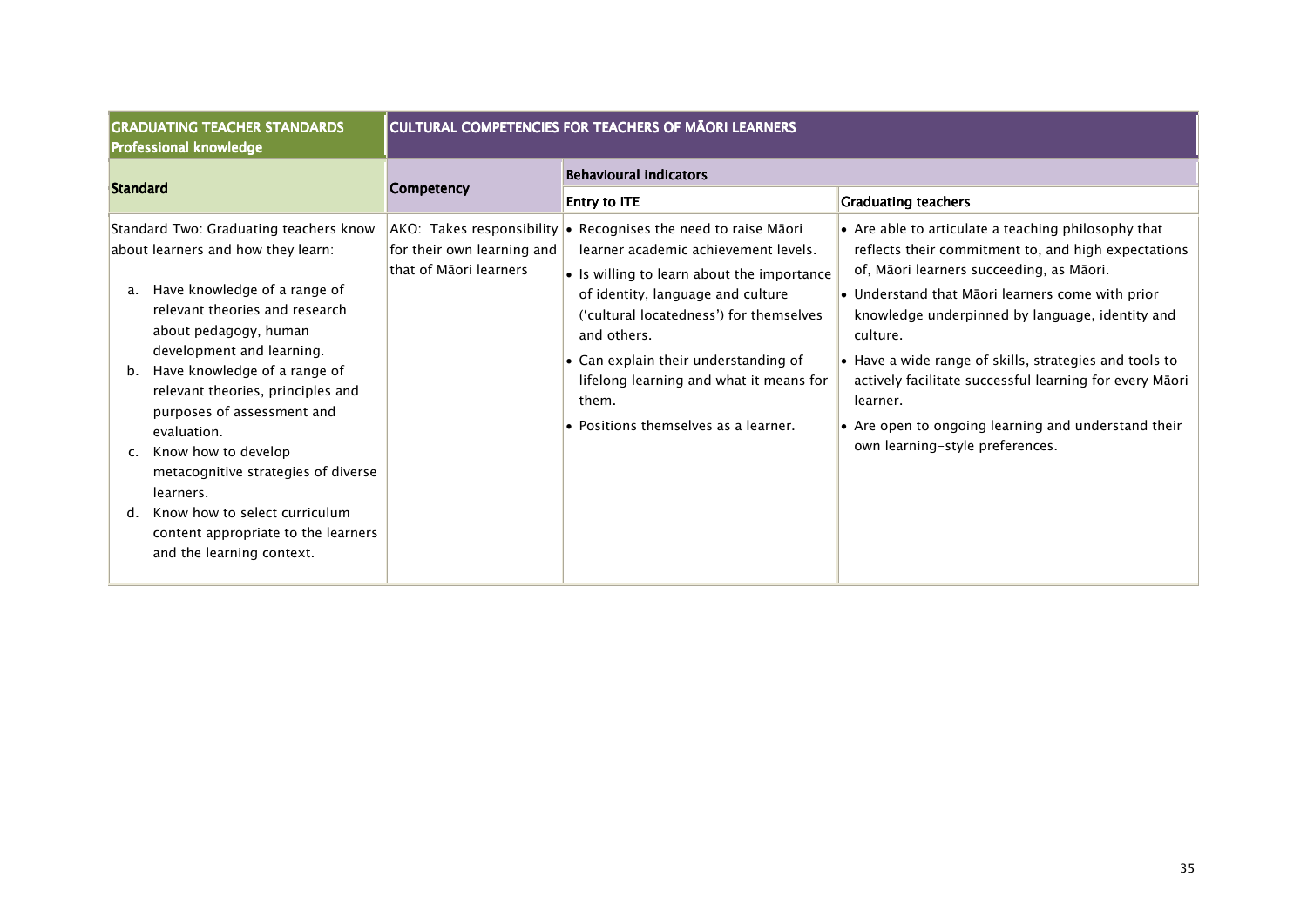| <b>GRADUATING TEACHER STANDARDS</b><br>Professional knowledge                                                                                                                                                                                                                                                                                                                                                                                                                                                                  | <b>CULTURAL COMPETENCIES FOR TEACHERS OF MĀORI LEARNERS</b> |                                                                                                                                                                                                                                                                                                                                                                                                   |                                                                                                                                                                                                                                                                                                                                                                                                                                                                                                      |
|--------------------------------------------------------------------------------------------------------------------------------------------------------------------------------------------------------------------------------------------------------------------------------------------------------------------------------------------------------------------------------------------------------------------------------------------------------------------------------------------------------------------------------|-------------------------------------------------------------|---------------------------------------------------------------------------------------------------------------------------------------------------------------------------------------------------------------------------------------------------------------------------------------------------------------------------------------------------------------------------------------------------|------------------------------------------------------------------------------------------------------------------------------------------------------------------------------------------------------------------------------------------------------------------------------------------------------------------------------------------------------------------------------------------------------------------------------------------------------------------------------------------------------|
| Standard                                                                                                                                                                                                                                                                                                                                                                                                                                                                                                                       | <b>Competency</b>                                           | <b>Behavioural indicators</b><br><b>Entry to ITE</b>                                                                                                                                                                                                                                                                                                                                              | <b>Graduating teachers</b>                                                                                                                                                                                                                                                                                                                                                                                                                                                                           |
| Standard Two: Graduating teachers know<br>about learners and how they learn:<br>Have knowledge of a range of<br>a.<br>relevant theories and research<br>about pedagogy, human<br>development and learning.<br>Have knowledge of a range of<br>b.<br>relevant theories, principles and<br>purposes of assessment and<br>evaluation.<br>Know how to develop<br>c.<br>metacognitive strategies of diverse<br>learners.<br>Know how to select curriculum<br>d.<br>content appropriate to the learners<br>and the learning context. | for their own learning and<br>that of Māori learners        | $AKO:$ Takes responsibility $\bullet$ Recognises the need to raise Maori<br>learner academic achievement levels.<br>• Is willing to learn about the importance<br>of identity, language and culture<br>('cultural locatedness') for themselves<br>and others.<br>• Can explain their understanding of<br>lifelong learning and what it means for<br>them.<br>• Positions themselves as a learner. | • Are able to articulate a teaching philosophy that<br>reflects their commitment to, and high expectations<br>of, Māori learners succeeding, as Māori.<br>• Understand that Māori learners come with prior<br>knowledge underpinned by language, identity and<br>culture.<br>• Have a wide range of skills, strategies and tools to<br>actively facilitate successful learning for every Māori<br>learner.<br>• Are open to ongoing learning and understand their<br>own learning-style preferences. |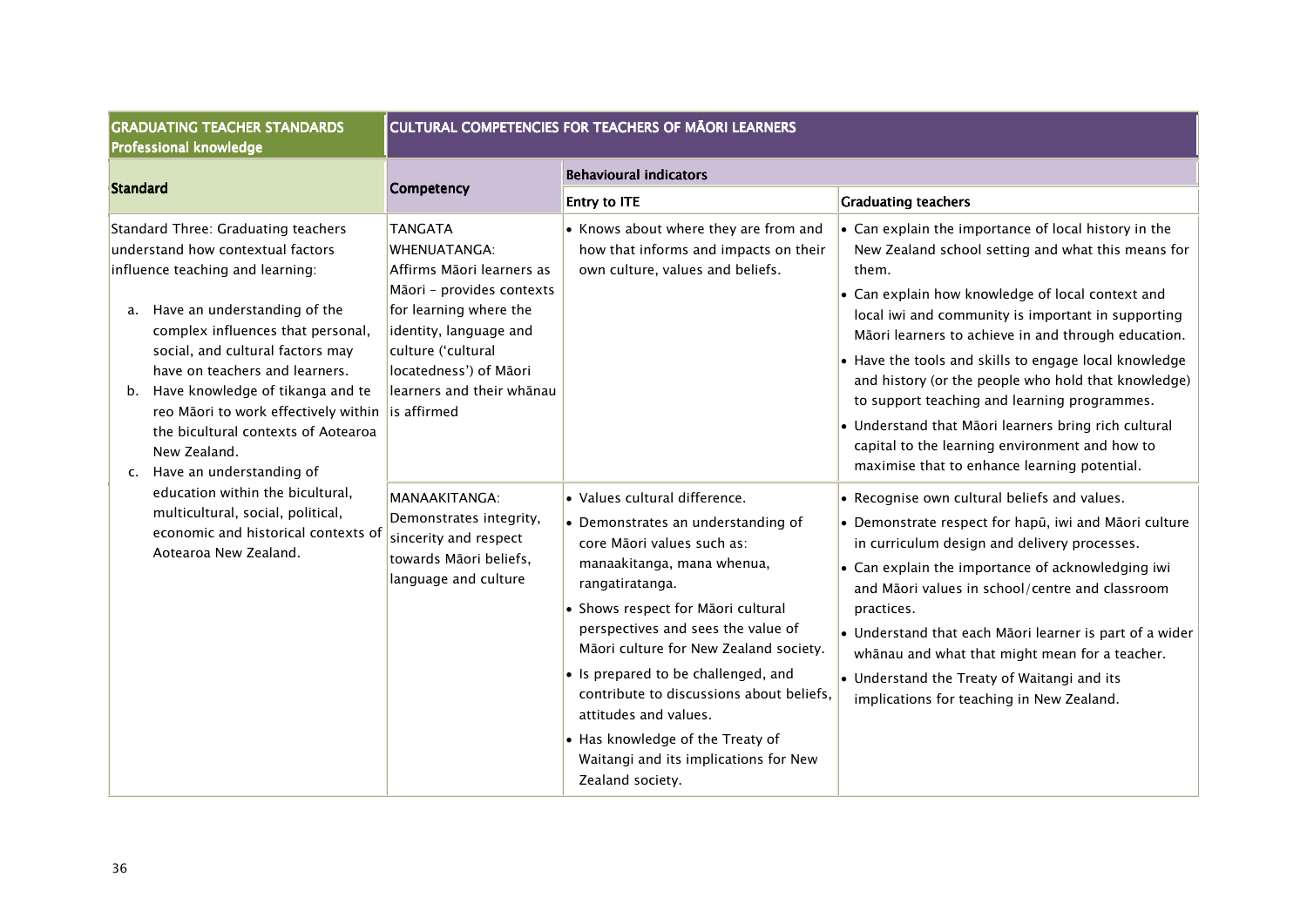| <b>GRADUATING TEACHER STANDARDS</b><br><b>Professional knowledge</b>                                                                                                                                                                                                                                                                                                                                                                                 | <b>CULTURAL COMPETENCIES FOR TEACHERS OF MĀORI LEARNERS</b>                                                                                                                                                               |                                                                                                                                                                                                                                                                                                                                                                                                                                                                                       |                                                                                                                                                                                                                                                                                                                                                                                                                                                                                                                                                                                                                      |
|------------------------------------------------------------------------------------------------------------------------------------------------------------------------------------------------------------------------------------------------------------------------------------------------------------------------------------------------------------------------------------------------------------------------------------------------------|---------------------------------------------------------------------------------------------------------------------------------------------------------------------------------------------------------------------------|---------------------------------------------------------------------------------------------------------------------------------------------------------------------------------------------------------------------------------------------------------------------------------------------------------------------------------------------------------------------------------------------------------------------------------------------------------------------------------------|----------------------------------------------------------------------------------------------------------------------------------------------------------------------------------------------------------------------------------------------------------------------------------------------------------------------------------------------------------------------------------------------------------------------------------------------------------------------------------------------------------------------------------------------------------------------------------------------------------------------|
| <b>Standard</b>                                                                                                                                                                                                                                                                                                                                                                                                                                      | Competency                                                                                                                                                                                                                | <b>Behavioural indicators</b>                                                                                                                                                                                                                                                                                                                                                                                                                                                         |                                                                                                                                                                                                                                                                                                                                                                                                                                                                                                                                                                                                                      |
|                                                                                                                                                                                                                                                                                                                                                                                                                                                      |                                                                                                                                                                                                                           | <b>Entry to ITE</b>                                                                                                                                                                                                                                                                                                                                                                                                                                                                   | <b>Graduating teachers</b>                                                                                                                                                                                                                                                                                                                                                                                                                                                                                                                                                                                           |
| Standard Three: Graduating teachers<br>understand how contextual factors<br>influence teaching and learning:<br>Have an understanding of the<br>a.<br>complex influences that personal,<br>social, and cultural factors may<br>have on teachers and learners.<br>Have knowledge of tikanga and te<br>b.<br>reo Māori to work effectively within is affirmed<br>the bicultural contexts of Aotearoa<br>New Zealand.<br>Have an understanding of<br>c. | <b>TANGATA</b><br>WHENUATANGA:<br>Affirms Māori learners as<br>Māori - provides contexts<br>for learning where the<br>identity, language and<br>culture ('cultural<br>locatedness') of Māori<br>learners and their whānau | • Knows about where they are from and<br>how that informs and impacts on their<br>own culture, values and beliefs.                                                                                                                                                                                                                                                                                                                                                                    | $\cdot$ Can explain the importance of local history in the<br>New Zealand school setting and what this means for<br>them.<br>• Can explain how knowledge of local context and<br>local iwi and community is important in supporting<br>Māori learners to achieve in and through education.<br>• Have the tools and skills to engage local knowledge<br>and history (or the people who hold that knowledge)<br>to support teaching and learning programmes.<br>• Understand that Māori learners bring rich cultural<br>capital to the learning environment and how to<br>maximise that to enhance learning potential. |
| education within the bicultural,<br>multicultural, social, political,<br>economic and historical contexts of<br>Aotearoa New Zealand.                                                                                                                                                                                                                                                                                                                | MANAAKITANGA:<br>Demonstrates integrity,<br>sincerity and respect<br>towards Māori beliefs,<br>language and culture                                                                                                       | • Values cultural difference.<br>• Demonstrates an understanding of<br>core Māori values such as:<br>manaakitanga, mana whenua,<br>rangatiratanga.<br>• Shows respect for Māori cultural<br>perspectives and sees the value of<br>Māori culture for New Zealand society.<br>• Is prepared to be challenged, and<br>contribute to discussions about beliefs,<br>attitudes and values.<br>• Has knowledge of the Treaty of<br>Waitangi and its implications for New<br>Zealand society. | • Recognise own cultural beliefs and values.<br>$\bullet$ Demonstrate respect for hapū, iwi and Māori culture<br>in curriculum design and delivery processes.<br>• Can explain the importance of acknowledging iwi<br>and Māori values in school/centre and classroom<br>practices.<br>$\bullet$ Understand that each Māori learner is part of a wider<br>whānau and what that might mean for a teacher.<br>• Understand the Treaty of Waitangi and its<br>implications for teaching in New Zealand.                                                                                                                 |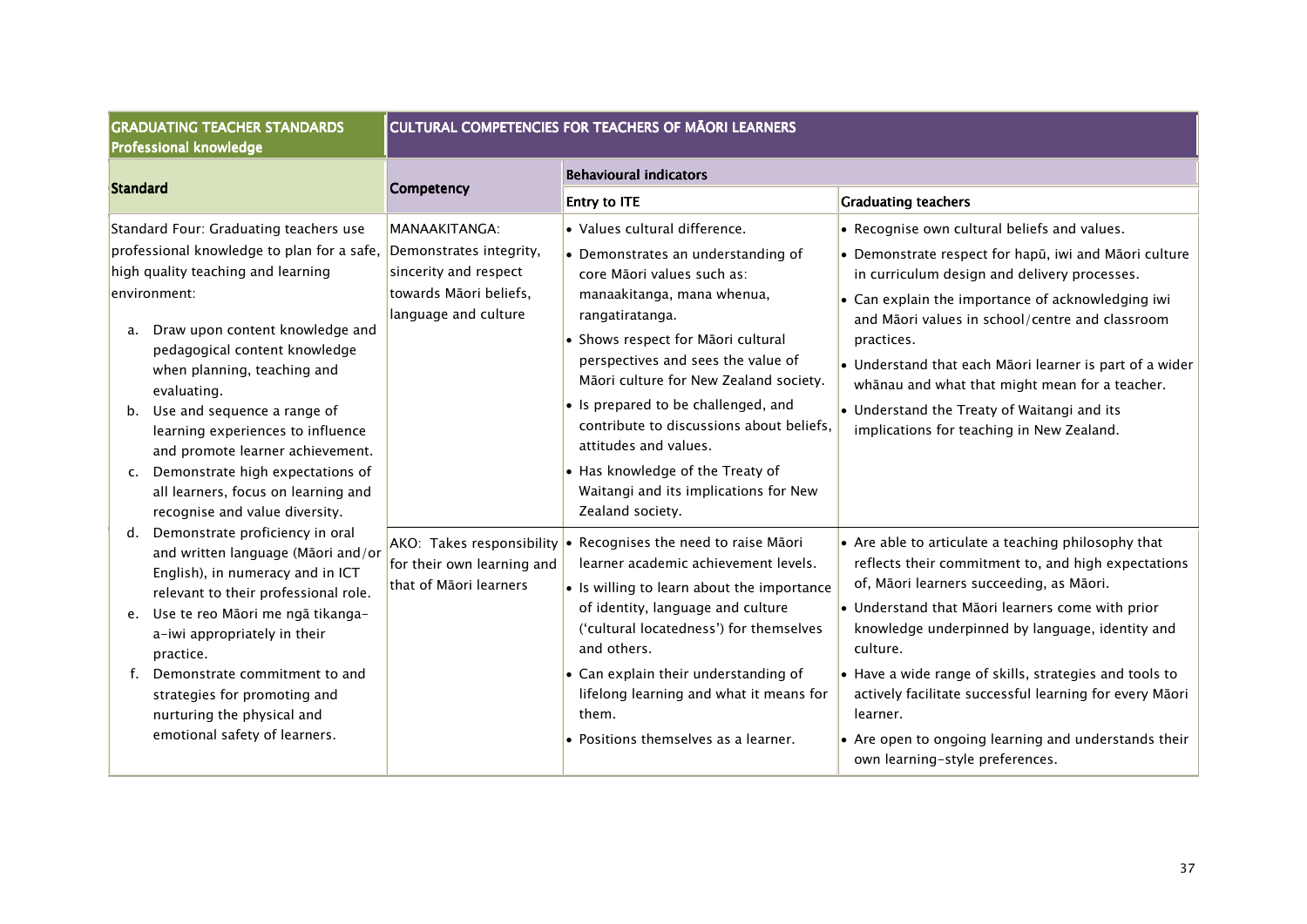| <b>GRADUATING TEACHER STANDARDS</b><br><b>Professional knowledge</b>                                                                                                                                                                                                                                                                                                                                                                                                                                                        | <b>CULTURAL COMPETENCIES FOR TEACHERS OF MĀORI LEARNERS</b>                              |                                                                                                                                                                                                                                                                                                                                                                                                                                                                                               |                                                                                                                                                                                                                                                                                                                                                                                                                                                                                                       |  |
|-----------------------------------------------------------------------------------------------------------------------------------------------------------------------------------------------------------------------------------------------------------------------------------------------------------------------------------------------------------------------------------------------------------------------------------------------------------------------------------------------------------------------------|------------------------------------------------------------------------------------------|-----------------------------------------------------------------------------------------------------------------------------------------------------------------------------------------------------------------------------------------------------------------------------------------------------------------------------------------------------------------------------------------------------------------------------------------------------------------------------------------------|-------------------------------------------------------------------------------------------------------------------------------------------------------------------------------------------------------------------------------------------------------------------------------------------------------------------------------------------------------------------------------------------------------------------------------------------------------------------------------------------------------|--|
| Standard                                                                                                                                                                                                                                                                                                                                                                                                                                                                                                                    | <b>Competency</b>                                                                        | <b>Behavioural indicators</b>                                                                                                                                                                                                                                                                                                                                                                                                                                                                 |                                                                                                                                                                                                                                                                                                                                                                                                                                                                                                       |  |
|                                                                                                                                                                                                                                                                                                                                                                                                                                                                                                                             |                                                                                          | <b>Entry to ITE</b>                                                                                                                                                                                                                                                                                                                                                                                                                                                                           | <b>Graduating teachers</b>                                                                                                                                                                                                                                                                                                                                                                                                                                                                            |  |
| Standard Four: Graduating teachers use<br>professional knowledge to plan for a safe, Demonstrates integrity,<br>high quality teaching and learning<br>environment:<br>Draw upon content knowledge and<br>a.<br>pedagogical content knowledge<br>when planning, teaching and<br>evaluating.<br>Use and sequence a range of<br>b.<br>learning experiences to influence<br>and promote learner achievement.<br>Demonstrate high expectations of<br>c.<br>all learners, focus on learning and<br>recognise and value diversity. | MANAAKITANGA:<br>sincerity and respect<br>towards Māori beliefs,<br>language and culture | • Values cultural difference.<br>$\bullet$ Demonstrates an understanding of<br>core Māori values such as:<br>manaakitanga, mana whenua,<br>rangatiratanga.<br>• Shows respect for Māori cultural<br>perspectives and sees the value of<br>Māori culture for New Zealand society.<br>• Is prepared to be challenged, and<br>contribute to discussions about beliefs,<br>attitudes and values.<br>• Has knowledge of the Treaty of<br>Waitangi and its implications for New<br>Zealand society. | • Recognise own cultural beliefs and values.<br>• Demonstrate respect for hapū, iwi and Māori culture<br>in curriculum design and delivery processes.<br>• Can explain the importance of acknowledging iwi<br>and Māori values in school/centre and classroom<br>practices.<br>• Understand that each Māori learner is part of a wider<br>whānau and what that might mean for a teacher.<br>• Understand the Treaty of Waitangi and its<br>implications for teaching in New Zealand.                  |  |
| Demonstrate proficiency in oral<br>d.<br>and written language (Māori and/or<br>English), in numeracy and in ICT<br>relevant to their professional role.<br>Use te reo Māori me ngā tikanga-<br>e.<br>a-iwi appropriately in their<br>practice.<br>Demonstrate commitment to and<br>strategies for promoting and<br>nurturing the physical and<br>emotional safety of learners.                                                                                                                                              | for their own learning and<br>that of Māori learners                                     | AKO: Takes responsibility • Recognises the need to raise Māori<br>learner academic achievement levels.<br>• Is willing to learn about the importance<br>of identity, language and culture<br>('cultural locatedness') for themselves<br>and others.<br>• Can explain their understanding of<br>lifelong learning and what it means for<br>them.<br>• Positions themselves as a learner.                                                                                                       | • Are able to articulate a teaching philosophy that<br>reflects their commitment to, and high expectations<br>of, Māori learners succeeding, as Māori.<br>• Understand that Māori learners come with prior<br>knowledge underpinned by language, identity and<br>culture.<br>• Have a wide range of skills, strategies and tools to<br>actively facilitate successful learning for every Māori<br>learner.<br>• Are open to ongoing learning and understands their<br>own learning-style preferences. |  |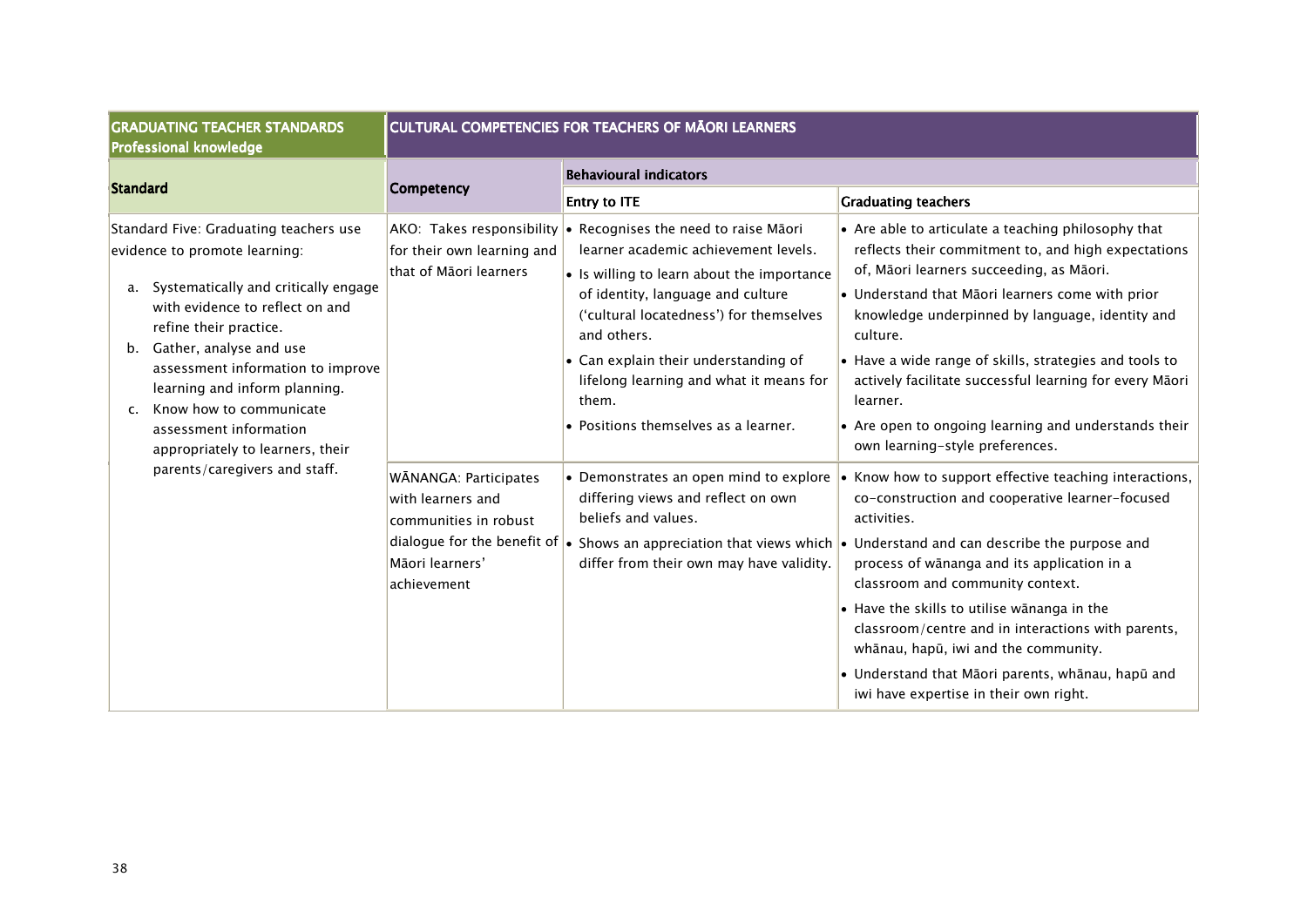| <b>GRADUATING TEACHER STANDARDS</b><br><b>Professional knowledge</b>                                                                                                                                                                                                                                                                                                                                                      | <b>CULTURAL COMPETENCIES FOR TEACHERS OF MĀORI LEARNERS</b>                                                                                                   |                                                                                                                                                                                                                                                                                                                                                                                                                                                                                                                                                                          |                                                                                                                                                                                                                                                                                                                                                                                                                                                                                                                                                                                                                                                                                                                                                                                                                                                                                                                                                                                                                                                                                                  |
|---------------------------------------------------------------------------------------------------------------------------------------------------------------------------------------------------------------------------------------------------------------------------------------------------------------------------------------------------------------------------------------------------------------------------|---------------------------------------------------------------------------------------------------------------------------------------------------------------|--------------------------------------------------------------------------------------------------------------------------------------------------------------------------------------------------------------------------------------------------------------------------------------------------------------------------------------------------------------------------------------------------------------------------------------------------------------------------------------------------------------------------------------------------------------------------|--------------------------------------------------------------------------------------------------------------------------------------------------------------------------------------------------------------------------------------------------------------------------------------------------------------------------------------------------------------------------------------------------------------------------------------------------------------------------------------------------------------------------------------------------------------------------------------------------------------------------------------------------------------------------------------------------------------------------------------------------------------------------------------------------------------------------------------------------------------------------------------------------------------------------------------------------------------------------------------------------------------------------------------------------------------------------------------------------|
| Standard                                                                                                                                                                                                                                                                                                                                                                                                                  | Competency                                                                                                                                                    | <b>Behavioural indicators</b>                                                                                                                                                                                                                                                                                                                                                                                                                                                                                                                                            |                                                                                                                                                                                                                                                                                                                                                                                                                                                                                                                                                                                                                                                                                                                                                                                                                                                                                                                                                                                                                                                                                                  |
|                                                                                                                                                                                                                                                                                                                                                                                                                           |                                                                                                                                                               | <b>Entry to ITE</b>                                                                                                                                                                                                                                                                                                                                                                                                                                                                                                                                                      | <b>Graduating teachers</b>                                                                                                                                                                                                                                                                                                                                                                                                                                                                                                                                                                                                                                                                                                                                                                                                                                                                                                                                                                                                                                                                       |
| Standard Five: Graduating teachers use<br>evidence to promote learning:<br>Systematically and critically engage<br>a.<br>with evidence to reflect on and<br>refine their practice.<br>Gather, analyse and use<br>b.<br>assessment information to improve<br>learning and inform planning.<br>Know how to communicate<br>c.<br>assessment information<br>appropriately to learners, their<br>parents/caregivers and staff. | for their own learning and<br>that of Māori learners<br>WĀNANGA: Participates<br>with learners and<br>communities in robust<br>Māori learners'<br>achievement | $AKO:$ Takes responsibility $\cdot$ Recognises the need to raise Māori<br>learner academic achievement levels.<br>$\cdot$ Is willing to learn about the importance<br>of identity, language and culture<br>('cultural locatedness') for themselves<br>and others.<br>$\bullet$ Can explain their understanding of<br>lifelong learning and what it means for<br>them.<br>• Positions themselves as a learner.<br>$\bullet$ Demonstrates an open mind to explore<br>differing views and reflect on own<br>beliefs and values.<br>differ from their own may have validity. | • Are able to articulate a teaching philosophy that<br>reflects their commitment to, and high expectations<br>of, Māori learners succeeding, as Māori.<br>• Understand that Māori learners come with prior<br>knowledge underpinned by language, identity and<br>culture.<br>• Have a wide range of skills, strategies and tools to<br>actively facilitate successful learning for every Māori<br>learner.<br>• Are open to ongoing learning and understands their<br>own learning-style preferences.<br>Know how to support effective teaching interactions,<br>co-construction and cooperative learner-focused<br>activities.<br>dialogue for the benefit of $\cdot$ Shows an appreciation that views which $\cdot$ Understand and can describe the purpose and<br>process of wānanga and its application in a<br>classroom and community context.<br>• Have the skills to utilise wānanga in the<br>classroom/centre and in interactions with parents,<br>whānau, hapū, iwi and the community.<br>· Understand that Māori parents, whānau, hapū and<br>iwi have expertise in their own right. |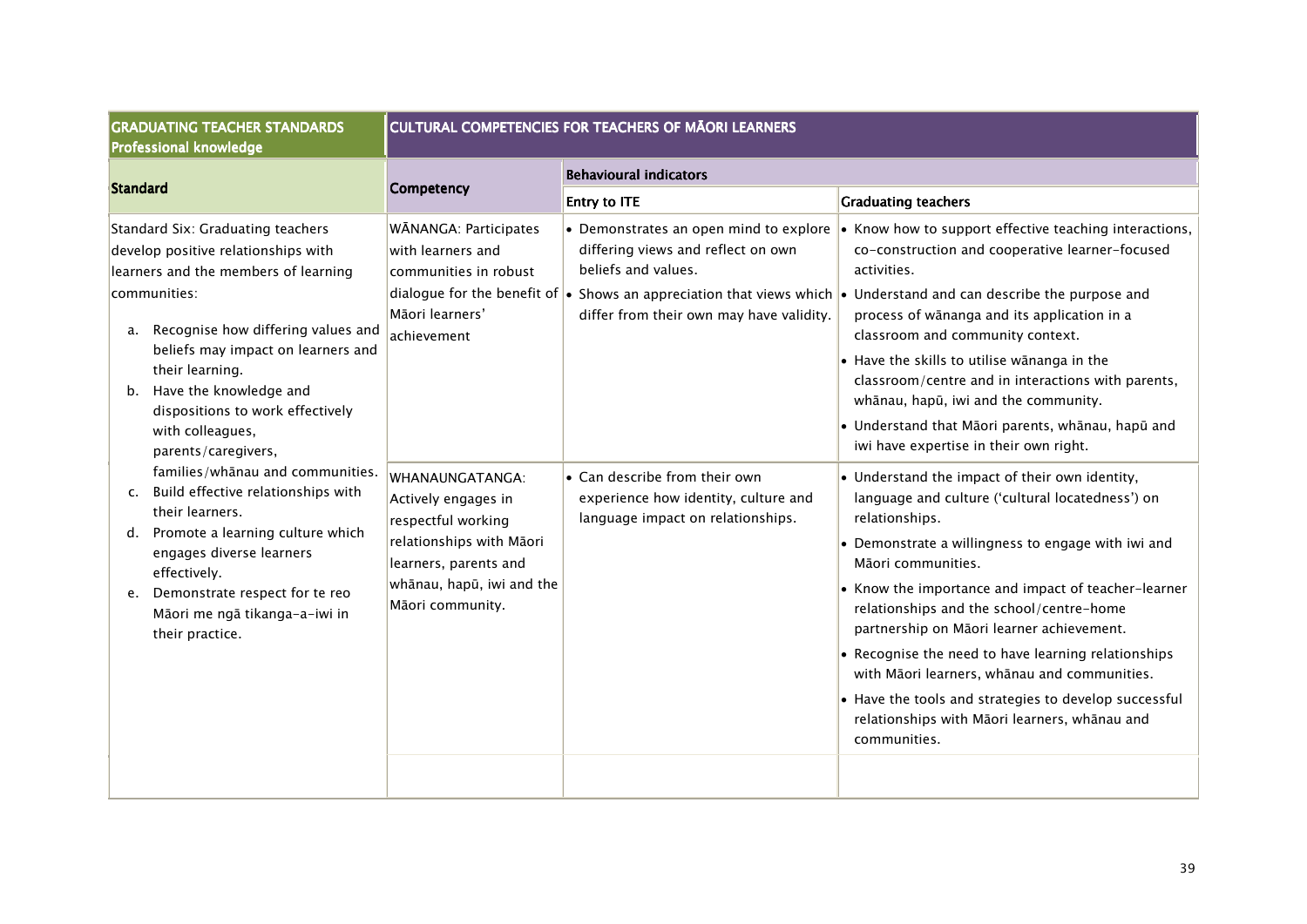| <b>Behavioural indicators</b>                                                                                                                                                                                                                                         |                                                                                                                                                                                                                                                                                                                                                                                                                                                                                                                                                                                                                                                                                                                                                                                                                                                                                                                                                                                                                                                                                                                                                                                    |
|-----------------------------------------------------------------------------------------------------------------------------------------------------------------------------------------------------------------------------------------------------------------------|------------------------------------------------------------------------------------------------------------------------------------------------------------------------------------------------------------------------------------------------------------------------------------------------------------------------------------------------------------------------------------------------------------------------------------------------------------------------------------------------------------------------------------------------------------------------------------------------------------------------------------------------------------------------------------------------------------------------------------------------------------------------------------------------------------------------------------------------------------------------------------------------------------------------------------------------------------------------------------------------------------------------------------------------------------------------------------------------------------------------------------------------------------------------------------|
|                                                                                                                                                                                                                                                                       |                                                                                                                                                                                                                                                                                                                                                                                                                                                                                                                                                                                                                                                                                                                                                                                                                                                                                                                                                                                                                                                                                                                                                                                    |
| <b>Entry to ITE</b>                                                                                                                                                                                                                                                   | <b>Graduating teachers</b>                                                                                                                                                                                                                                                                                                                                                                                                                                                                                                                                                                                                                                                                                                                                                                                                                                                                                                                                                                                                                                                                                                                                                         |
| • Demonstrates an open mind to explore<br>differing views and reflect on own<br>beliefs and values.<br>differ from their own may have validity.<br>$\bullet$ Can describe from their own<br>experience how identity, culture and<br>language impact on relationships. | • Know how to support effective teaching interactions,<br>co-construction and cooperative learner-focused<br>activities.<br>dialogue for the benefit of $\bullet$ Shows an appreciation that views which $\bullet$ Understand and can describe the purpose and<br>process of wānanga and its application in a<br>classroom and community context.<br>• Have the skills to utilise wānanga in the<br>classroom/centre and in interactions with parents,<br>whānau, hapū, iwi and the community.<br>· Understand that Māori parents, whānau, hapū and<br>iwi have expertise in their own right.<br>• Understand the impact of their own identity,<br>language and culture ('cultural locatedness') on<br>relationships.<br>• Demonstrate a willingness to engage with iwi and<br>Māori communities.<br>• Know the importance and impact of teacher-learner<br>relationships and the school/centre-home<br>partnership on Māori learner achievement.<br>• Recognise the need to have learning relationships<br>with Māori learners, whānau and communities.<br>• Have the tools and strategies to develop successful<br>relationships with Māori learners, whānau and<br>communities. |
|                                                                                                                                                                                                                                                                       |                                                                                                                                                                                                                                                                                                                                                                                                                                                                                                                                                                                                                                                                                                                                                                                                                                                                                                                                                                                                                                                                                                                                                                                    |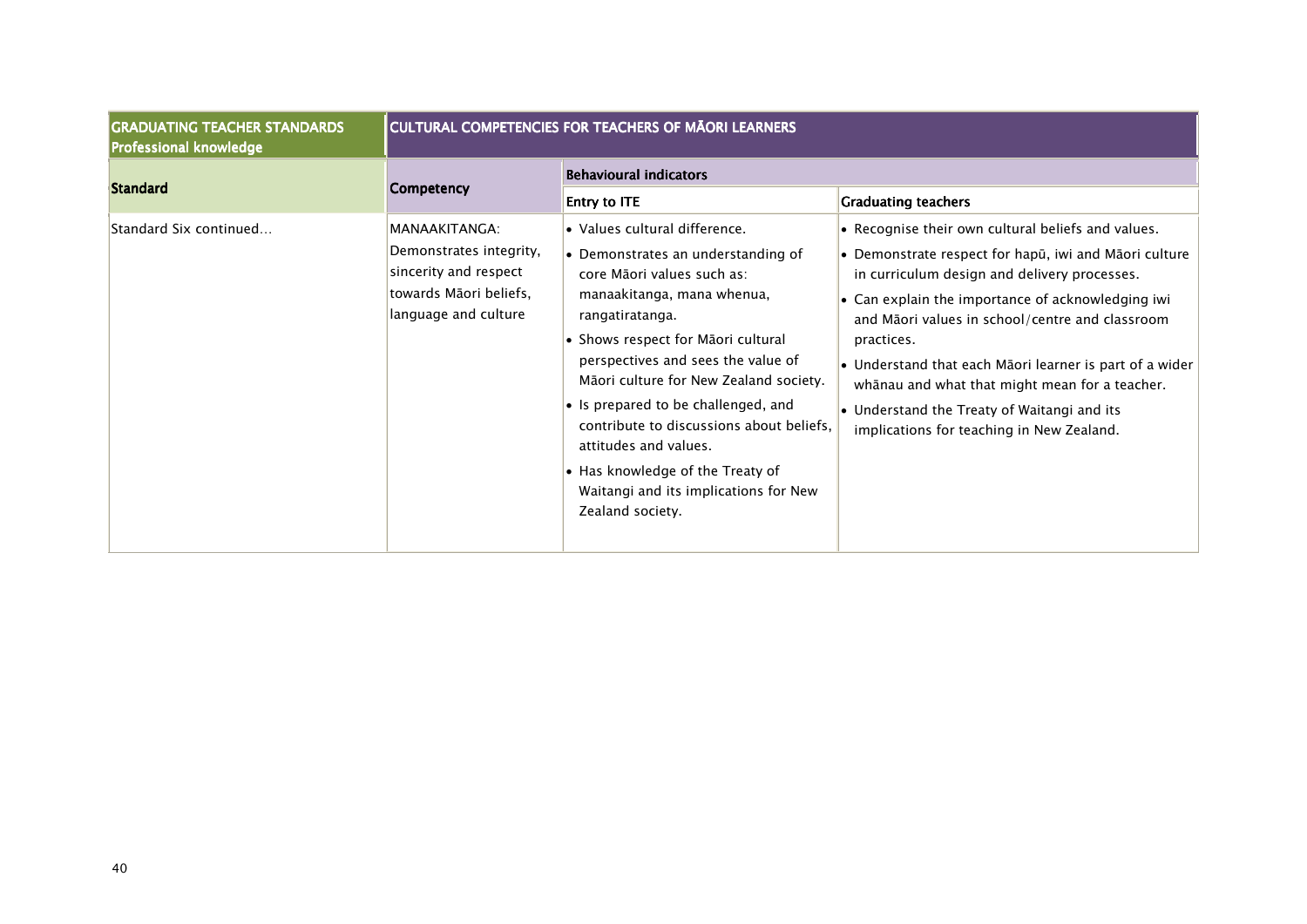| <b>GRADUATING TEACHER STANDARDS</b><br>Professional knowledge | <b>CULTURAL COMPETENCIES FOR TEACHERS OF MAORI LEARNERS</b>                                                         |                                                                                                                                                                                                                                                                                                                                                                                                                                                                                                                              |                                                                                                                                                                                                                                                                                                                                                                                                                                                                                                                          |  |
|---------------------------------------------------------------|---------------------------------------------------------------------------------------------------------------------|------------------------------------------------------------------------------------------------------------------------------------------------------------------------------------------------------------------------------------------------------------------------------------------------------------------------------------------------------------------------------------------------------------------------------------------------------------------------------------------------------------------------------|--------------------------------------------------------------------------------------------------------------------------------------------------------------------------------------------------------------------------------------------------------------------------------------------------------------------------------------------------------------------------------------------------------------------------------------------------------------------------------------------------------------------------|--|
| <b>Standard</b>                                               | <b>Competency</b>                                                                                                   | <b>Behavioural indicators</b>                                                                                                                                                                                                                                                                                                                                                                                                                                                                                                |                                                                                                                                                                                                                                                                                                                                                                                                                                                                                                                          |  |
| Standard Six continued                                        | MANAAKITANGA:<br>Demonstrates integrity,<br>sincerity and respect<br>towards Māori beliefs,<br>language and culture | <b>Entry to ITE</b><br>• Values cultural difference.<br>$\bullet$ Demonstrates an understanding of<br>core Māori values such as:<br>manaakitanga, mana whenua,<br>rangatiratanga.<br>• Shows respect for Māori cultural<br>perspectives and sees the value of<br>Māori culture for New Zealand society.<br>$\bullet$ Is prepared to be challenged, and<br>contribute to discussions about beliefs,<br>attitudes and values.<br>• Has knowledge of the Treaty of<br>Waitangi and its implications for New<br>Zealand society. | <b>Graduating teachers</b><br>• Recognise their own cultural beliefs and values.<br>• Demonstrate respect for hapū, iwi and Māori culture<br>in curriculum design and delivery processes.<br>• Can explain the importance of acknowledging iwi<br>and Māori values in school/centre and classroom<br>practices.<br>• Understand that each Māori learner is part of a wider<br>whānau and what that might mean for a teacher.<br>• Understand the Treaty of Waitangi and its<br>implications for teaching in New Zealand. |  |